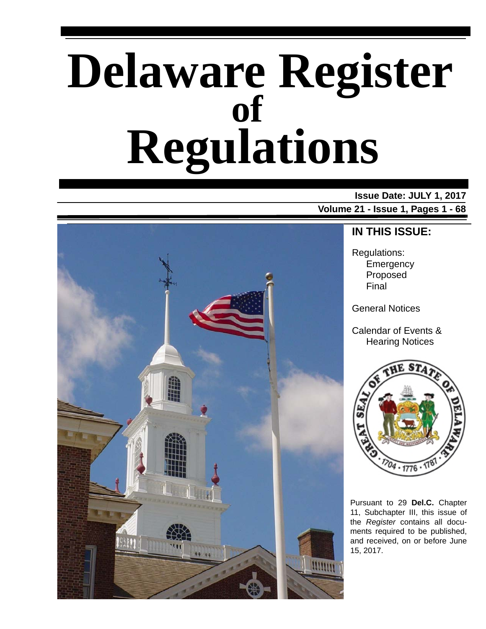# **Delaware Register Regulations of**

### **Issue Date: JULY 1, 2017**

**Volume 21 - Issue 1, Pages 1 - 68**



### **IN THIS ISSUE:**

Regulations: **Emergency** Proposed Final

General Notices

Calendar of Events & Hearing Notices



Pursuant to 29 **Del.C.** Chapter 11, Subchapter III, this issue of the *Register* contains all documents required to be published, and received, on or before June 15, 2017.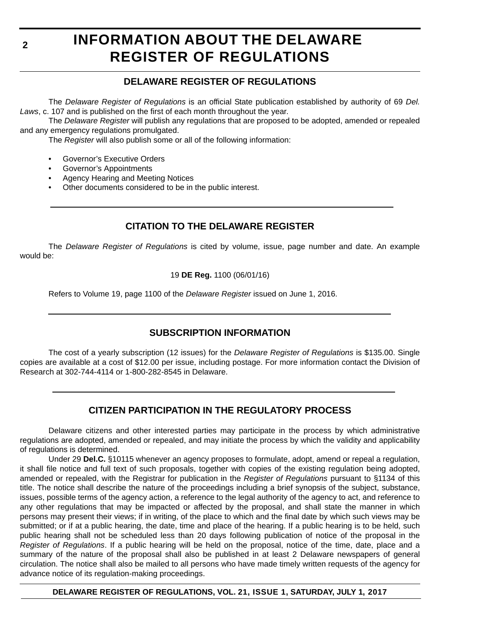# **INFORMATION ABOUT THE DELAWARE REGISTER OF REGULATIONS**

### **DELAWARE REGISTER OF REGULATIONS**

The *Delaware Register of Regulations* is an official State publication established by authority of 69 *Del. Laws*, c. 107 and is published on the first of each month throughout the year.

The *Delaware Register* will publish any regulations that are proposed to be adopted, amended or repealed and any emergency regulations promulgated.

The *Register* will also publish some or all of the following information:

- Governor's Executive Orders
- Governor's Appointments
- Agency Hearing and Meeting Notices
- Other documents considered to be in the public interest.

### **CITATION TO THE DELAWARE REGISTER**

The *Delaware Register of Regulations* is cited by volume, issue, page number and date. An example would be:

19 **DE Reg.** 1100 (06/01/16)

Refers to Volume 19, page 1100 of the *Delaware Register* issued on June 1, 2016.

### **SUBSCRIPTION INFORMATION**

The cost of a yearly subscription (12 issues) for the *Delaware Register of Regulations* is \$135.00. Single copies are available at a cost of \$12.00 per issue, including postage. For more information contact the Division of Research at 302-744-4114 or 1-800-282-8545 in Delaware.

### **CITIZEN PARTICIPATION IN THE REGULATORY PROCESS**

Delaware citizens and other interested parties may participate in the process by which administrative regulations are adopted, amended or repealed, and may initiate the process by which the validity and applicability of regulations is determined.

Under 29 **Del.C.** §10115 whenever an agency proposes to formulate, adopt, amend or repeal a regulation, it shall file notice and full text of such proposals, together with copies of the existing regulation being adopted, amended or repealed, with the Registrar for publication in the *Register of Regulations* pursuant to §1134 of this title. The notice shall describe the nature of the proceedings including a brief synopsis of the subject, substance, issues, possible terms of the agency action, a reference to the legal authority of the agency to act, and reference to any other regulations that may be impacted or affected by the proposal, and shall state the manner in which persons may present their views; if in writing, of the place to which and the final date by which such views may be submitted; or if at a public hearing, the date, time and place of the hearing. If a public hearing is to be held, such public hearing shall not be scheduled less than 20 days following publication of notice of the proposal in the *Register of Regulations*. If a public hearing will be held on the proposal, notice of the time, date, place and a summary of the nature of the proposal shall also be published in at least 2 Delaware newspapers of general circulation. The notice shall also be mailed to all persons who have made timely written requests of the agency for advance notice of its regulation-making proceedings.

**DELAWARE REGISTER OF REGULATIONS, VOL. 21, ISSUE 1, SATURDAY, JULY 1, 2017**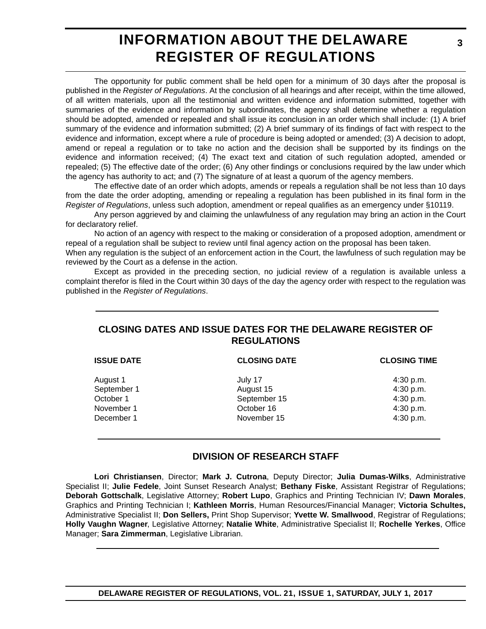# **INFORMATION ABOUT THE DELAWARE REGISTER OF REGULATIONS**

The opportunity for public comment shall be held open for a minimum of 30 days after the proposal is published in the *Register of Regulations*. At the conclusion of all hearings and after receipt, within the time allowed, of all written materials, upon all the testimonial and written evidence and information submitted, together with summaries of the evidence and information by subordinates, the agency shall determine whether a regulation should be adopted, amended or repealed and shall issue its conclusion in an order which shall include: (1) A brief summary of the evidence and information submitted; (2) A brief summary of its findings of fact with respect to the evidence and information, except where a rule of procedure is being adopted or amended; (3) A decision to adopt, amend or repeal a regulation or to take no action and the decision shall be supported by its findings on the evidence and information received; (4) The exact text and citation of such regulation adopted, amended or repealed; (5) The effective date of the order; (6) Any other findings or conclusions required by the law under which the agency has authority to act; and (7) The signature of at least a quorum of the agency members.

The effective date of an order which adopts, amends or repeals a regulation shall be not less than 10 days from the date the order adopting, amending or repealing a regulation has been published in its final form in the *Register of Regulations*, unless such adoption, amendment or repeal qualifies as an emergency under §10119.

Any person aggrieved by and claiming the unlawfulness of any regulation may bring an action in the Court for declaratory relief.

No action of an agency with respect to the making or consideration of a proposed adoption, amendment or repeal of a regulation shall be subject to review until final agency action on the proposal has been taken.

When any regulation is the subject of an enforcement action in the Court, the lawfulness of such regulation may be reviewed by the Court as a defense in the action.

Except as provided in the preceding section, no judicial review of a regulation is available unless a complaint therefor is filed in the Court within 30 days of the day the agency order with respect to the regulation was published in the *Register of Regulations*.

### **CLOSING DATES AND ISSUE DATES FOR THE DELAWARE REGISTER OF REGULATIONS**

| <b>ISSUE DATE</b> | <b>CLOSING DATE</b> | <b>CLOSING TIME</b> |
|-------------------|---------------------|---------------------|
| August 1          | July 17             | 4:30 p.m.           |
| September 1       | August 15           | 4:30 p.m.           |
| October 1         | September 15        | 4:30 p.m.           |
| November 1        | October 16          | 4:30 p.m.           |
| December 1        | November 15         | 4:30 p.m.           |
|                   |                     |                     |

### **DIVISION OF RESEARCH STAFF**

**Lori Christiansen**, Director; **Mark J. Cutrona**, Deputy Director; **Julia Dumas-Wilks**, Administrative Specialist II; **Julie Fedele**, Joint Sunset Research Analyst; **Bethany Fiske**, Assistant Registrar of Regulations; **Deborah Gottschalk**, Legislative Attorney; **Robert Lupo**, Graphics and Printing Technician IV; **Dawn Morales**, Graphics and Printing Technician I; **Kathleen Morris**, Human Resources/Financial Manager; **Victoria Schultes,** Administrative Specialist II; **Don Sellers,** Print Shop Supervisor; **Yvette W. Smallwood**, Registrar of Regulations; **Holly Vaughn Wagner**, Legislative Attorney; **Natalie White**, Administrative Specialist II; **Rochelle Yerkes**, Office Manager; **Sara Zimmerman**, Legislative Librarian.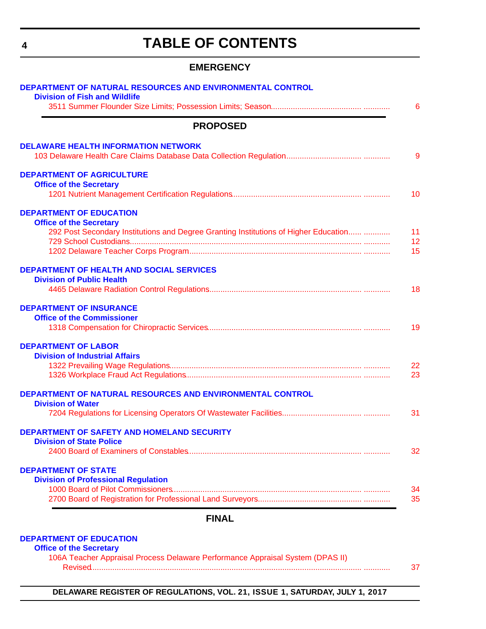# **TABLE OF CONTENTS**

### **EMERGENCY**

<span id="page-3-0"></span>

| <b>PROPOSED</b>                                                                                                        |  |
|------------------------------------------------------------------------------------------------------------------------|--|
| <b>DELAWARE HEALTH INFORMATION NETWORK</b>                                                                             |  |
| <b>DEPARTMENT OF AGRICULTURE</b>                                                                                       |  |
| <b>Office of the Secretary</b>                                                                                         |  |
|                                                                                                                        |  |
| <b>DEPARTMENT OF EDUCATION</b>                                                                                         |  |
| <b>Office of the Secretary</b><br>292 Post Secondary Institutions and Degree Granting Institutions of Higher Education |  |
|                                                                                                                        |  |
|                                                                                                                        |  |
| DEPARTMENT OF HEALTH AND SOCIAL SERVICES                                                                               |  |
| <b>Division of Public Health</b>                                                                                       |  |
|                                                                                                                        |  |
| <b>DEPARTMENT OF INSURANCE</b>                                                                                         |  |
| <b>Office of the Commissioner</b>                                                                                      |  |
|                                                                                                                        |  |
| <b>DEPARTMENT OF LABOR</b>                                                                                             |  |
| <b>Division of Industrial Affairs</b>                                                                                  |  |
|                                                                                                                        |  |
|                                                                                                                        |  |
| DEPARTMENT OF NATURAL RESOURCES AND ENVIRONMENTAL CONTROL                                                              |  |
| <b>Division of Water</b>                                                                                               |  |
|                                                                                                                        |  |
| <b>DEPARTMENT OF SAFETY AND HOMELAND SECURITY</b>                                                                      |  |
| <b>Division of State Police</b>                                                                                        |  |
|                                                                                                                        |  |
| <b>DEPARTMENT OF STATE</b>                                                                                             |  |
| <b>Division of Professional Regulation</b>                                                                             |  |
|                                                                                                                        |  |
|                                                                                                                        |  |
| <b>FINAL</b>                                                                                                           |  |

| 106A Teacher Appraisal Process Delaware Performance Appraisal System (DPAS II) |  |
|--------------------------------------------------------------------------------|--|
|                                                                                |  |

**DELAWARE REGISTER OF REGULATIONS, VOL. 21, ISSUE 1, SATURDAY, JULY 1, 2017**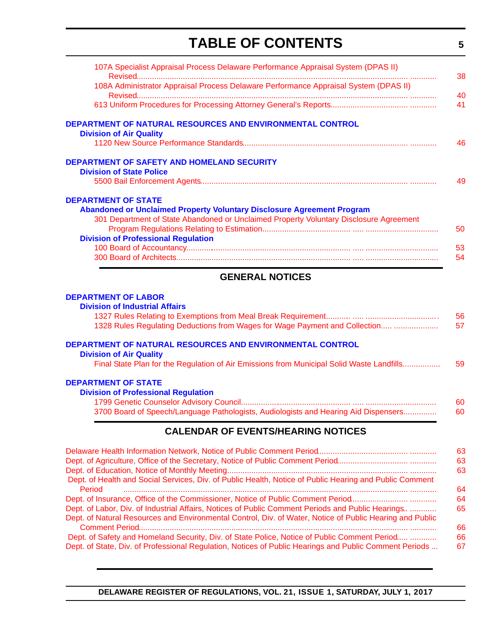# **TABLE OF CONTENTS**

**5**

<span id="page-4-0"></span>

| AFUERAL UATIAER                                                                        |  |
|----------------------------------------------------------------------------------------|--|
|                                                                                        |  |
|                                                                                        |  |
| <b>Division of Professional Regulation</b>                                             |  |
|                                                                                        |  |
| 301 Department of State Abandoned or Unclaimed Property Voluntary Disclosure Agreement |  |
| <b>Abandoned or Unclaimed Property Voluntary Disclosure Agreement Program</b>          |  |
| <b>DEPARTMENT OF STATE</b>                                                             |  |
|                                                                                        |  |
| <b>Division of State Police</b>                                                        |  |
| <b>DEPARTMENT OF SAFETY AND HOMELAND SECURITY</b>                                      |  |
|                                                                                        |  |
| <b>Division of Air Quality</b>                                                         |  |
| DEPARTMENT OF NATURAL RESOURCES AND ENVIRONMENTAL CONTROL                              |  |
|                                                                                        |  |
|                                                                                        |  |
| 108A Administrator Appraisal Process Delaware Performance Appraisal System (DPAS II)   |  |
|                                                                                        |  |
| 107A Specialist Appraisal Process Delaware Performance Appraisal System (DPAS II)      |  |

### **GENERAL NOTICES**

#### **[DEPARTMENT OF LABOR](http://dol.delaware.gov/)**

| <b>CALENDAR OF EVENTS/HEARING NOTICES</b>                                                 |    |
|-------------------------------------------------------------------------------------------|----|
| 3700 Board of Speech/Language Pathologists, Audiologists and Hearing Aid Dispensers       | 60 |
|                                                                                           | 60 |
| <b>Division of Professional Regulation</b>                                                |    |
| <b>DEPARTMENT OF STATE</b>                                                                |    |
| Final State Plan for the Regulation of Air Emissions from Municipal Solid Waste Landfills | 59 |
| <b>Division of Air Quality</b>                                                            |    |
| DEPARTMENT OF NATURAL RESOURCES AND ENVIRONMENTAL CONTROL                                 |    |
| 1328 Rules Regulating Deductions from Wages for Wage Payment and Collection               | 57 |
|                                                                                           | 56 |
| <b>Division of Industrial Affairs</b>                                                     |    |

|                                                                                                                                                                                                               | 63       |
|---------------------------------------------------------------------------------------------------------------------------------------------------------------------------------------------------------------|----------|
|                                                                                                                                                                                                               | 63       |
|                                                                                                                                                                                                               | 63       |
| Dept. of Health and Social Services, Div. of Public Health, Notice of Public Hearing and Public Comment<br>Period                                                                                             | 64       |
| Dept. of Insurance, Office of the Commissioner, Notice of Public Comment Period                                                                                                                               | 64       |
| Dept. of Labor, Div. of Industrial Affairs, Notices of Public Comment Periods and Public Hearings<br>Dept. of Natural Resources and Environmental Control, Div. of Water, Notice of Public Hearing and Public | 65       |
|                                                                                                                                                                                                               | 66       |
| Dept. of Safety and Homeland Security, Div. of State Police, Notice of Public Comment Period<br>Dept. of State, Div. of Professional Regulation, Notices of Public Hearings and Public Comment Periods        | 66<br>67 |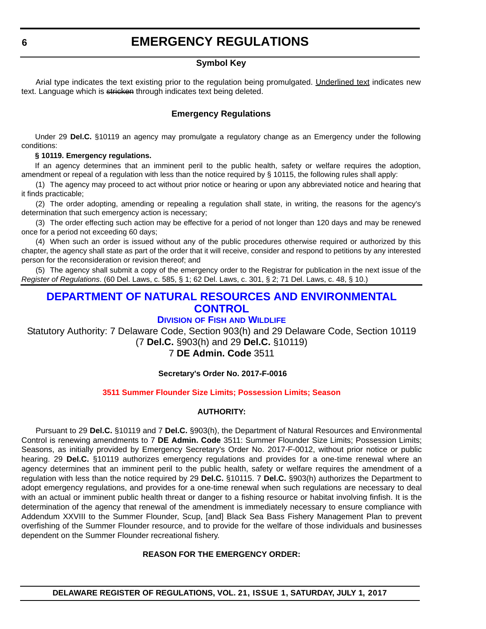### **EMERGENCY REGULATIONS**

#### **Symbol Key**

<span id="page-5-0"></span>Arial type indicates the text existing prior to the regulation being promulgated. Underlined text indicates new text. Language which is stricken through indicates text being deleted.

### **Emergency Regulations**

Under 29 **Del.C.** §10119 an agency may promulgate a regulatory change as an Emergency under the following conditions:

#### **§ 10119. Emergency regulations.**

If an agency determines that an imminent peril to the public health, safety or welfare requires the adoption, amendment or repeal of a regulation with less than the notice required by § 10115, the following rules shall apply:

(1) The agency may proceed to act without prior notice or hearing or upon any abbreviated notice and hearing that it finds practicable;

(2) The order adopting, amending or repealing a regulation shall state, in writing, the reasons for the agency's determination that such emergency action is necessary;

(3) The order effecting such action may be effective for a period of not longer than 120 days and may be renewed once for a period not exceeding 60 days;

(4) When such an order is issued without any of the public procedures otherwise required or authorized by this chapter, the agency shall state as part of the order that it will receive, consider and respond to petitions by any interested person for the reconsideration or revision thereof; and

(5) The agency shall submit a copy of the emergency order to the Registrar for publication in the next issue of the *Register of Regulations*. (60 Del. Laws, c. 585, § 1; 62 Del. Laws, c. 301, § 2; 71 Del. Laws, c. 48, § 10.)

### **[DEPARTMENT OF NATURAL RESOURCES AND ENVIRONMENTAL](http://www.dnrec.delaware.gov/Pages/Portal.aspx)  CONTROL**

#### **DIVISION OF FISH [AND WILDLIFE](http://www.dnrec.delaware.gov/fw/Pages/DFW-Portal.aspx)**

Statutory Authority: 7 Delaware Code, Section 903(h) and 29 Delaware Code, Section 10119 (7 **Del.C.** §903(h) and 29 **Del.C.** §10119)

#### 7 **DE Admin. Code** 3511

#### **Secretary's Order No. 2017-F-0016**

#### **[3511 Summer Flounder Size Limits; Possession Limits; Season](#page-3-0)**

#### **AUTHORITY:**

Pursuant to 29 **Del.C.** §10119 and 7 **Del.C.** §903(h), the Department of Natural Resources and Environmental Control is renewing amendments to 7 **DE Admin. Code** 3511: Summer Flounder Size Limits; Possession Limits; Seasons, as initially provided by Emergency Secretary's Order No. 2017-F-0012, without prior notice or public hearing. 29 **Del.C.** §10119 authorizes emergency regulations and provides for a one-time renewal where an agency determines that an imminent peril to the public health, safety or welfare requires the amendment of a regulation with less than the notice required by 29 **Del.C.** §10115. 7 **Del.C.** §903(h) authorizes the Department to adopt emergency regulations, and provides for a one-time renewal when such regulations are necessary to deal with an actual or imminent public health threat or danger to a fishing resource or habitat involving finfish. It is the determination of the agency that renewal of the amendment is immediately necessary to ensure compliance with Addendum XXVIII to the Summer Flounder, Scup, [and] Black Sea Bass Fishery Management Plan to prevent overfishing of the Summer Flounder resource, and to provide for the welfare of those individuals and businesses dependent on the Summer Flounder recreational fishery.

#### **REASON FOR THE EMERGENCY ORDER:**

**DELAWARE REGISTER OF REGULATIONS, VOL. 21, ISSUE 1, SATURDAY, JULY 1, 2017**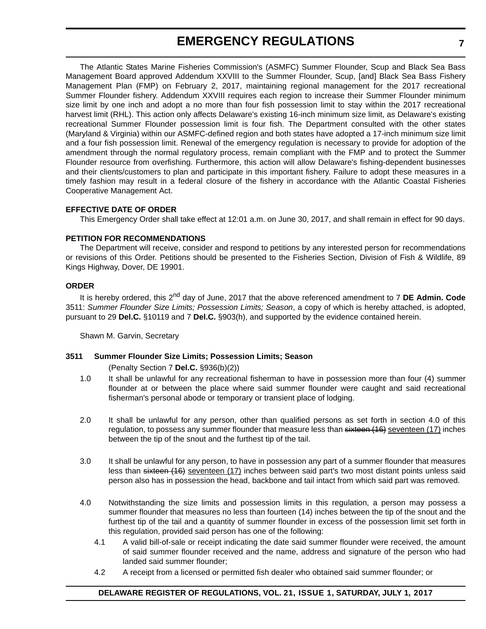### **EMERGENCY REGULATIONS**

The Atlantic States Marine Fisheries Commission's (ASMFC) Summer Flounder, Scup and Black Sea Bass Management Board approved Addendum XXVIII to the Summer Flounder, Scup, [and] Black Sea Bass Fishery Management Plan (FMP) on February 2, 2017, maintaining regional management for the 2017 recreational Summer Flounder fishery. Addendum XXVIII requires each region to increase their Summer Flounder minimum size limit by one inch and adopt a no more than four fish possession limit to stay within the 2017 recreational harvest limit (RHL). This action only affects Delaware's existing 16-inch minimum size limit, as Delaware's existing recreational Summer Flounder possession limit is four fish. The Department consulted with the other states (Maryland & Virginia) within our ASMFC-defined region and both states have adopted a 17-inch minimum size limit and a four fish possession limit. Renewal of the emergency regulation is necessary to provide for adoption of the amendment through the normal regulatory process, remain compliant with the FMP and to protect the Summer Flounder resource from overfishing. Furthermore, this action will allow Delaware's fishing-dependent businesses and their clients/customers to plan and participate in this important fishery. Failure to adopt these measures in a timely fashion may result in a federal closure of the fishery in accordance with the Atlantic Coastal Fisheries Cooperative Management Act.

#### **EFFECTIVE DATE OF ORDER**

This Emergency Order shall take effect at 12:01 a.m. on June 30, 2017, and shall remain in effect for 90 days.

#### **PETITION FOR RECOMMENDATIONS**

The Department will receive, consider and respond to petitions by any interested person for recommendations or revisions of this Order. Petitions should be presented to the Fisheries Section, Division of Fish & Wildlife, 89 Kings Highway, Dover, DE 19901.

#### **ORDER**

It is hereby ordered, this 2nd day of June, 2017 that the above referenced amendment to 7 **DE Admin. Code** 3511: *Summer Flounder Size Limits; Possession Limits; Season*, a copy of which is hereby attached, is adopted, pursuant to 29 **Del.C.** §10119 and 7 **Del.C.** §903(h), and supported by the evidence contained herein.

Shawn M. Garvin, Secretary

#### **3511 Summer Flounder Size Limits; Possession Limits; Season**

(Penalty Section 7 **Del.C.** §936(b)(2))

- 1.0 It shall be unlawful for any recreational fisherman to have in possession more than four (4) summer flounder at or between the place where said summer flounder were caught and said recreational fisherman's personal abode or temporary or transient place of lodging.
- 2.0 It shall be unlawful for any person, other than qualified persons as set forth in section 4.0 of this regulation, to possess any summer flounder that measure less than sixteen (16) seventeen (17) inches between the tip of the snout and the furthest tip of the tail.
- 3.0 It shall be unlawful for any person, to have in possession any part of a summer flounder that measures less than sixteen (16) seventeen (17) inches between said part's two most distant points unless said person also has in possession the head, backbone and tail intact from which said part was removed.
- 4.0 Notwithstanding the size limits and possession limits in this regulation, a person may possess a summer flounder that measures no less than fourteen (14) inches between the tip of the snout and the furthest tip of the tail and a quantity of summer flounder in excess of the possession limit set forth in this regulation, provided said person has one of the following:
	- 4.1 A valid bill-of-sale or receipt indicating the date said summer flounder were received, the amount of said summer flounder received and the name, address and signature of the person who had landed said summer flounder;
	- 4.2 A receipt from a licensed or permitted fish dealer who obtained said summer flounder; or

#### **DELAWARE REGISTER OF REGULATIONS, VOL. 21, ISSUE 1, SATURDAY, JULY 1, 2017**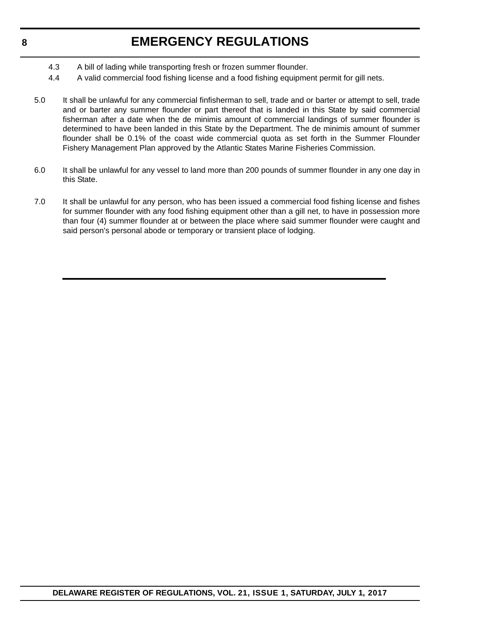### **EMERGENCY REGULATIONS**

- 4.3 A bill of lading while transporting fresh or frozen summer flounder.
- 4.4 A valid commercial food fishing license and a food fishing equipment permit for gill nets.
- 5.0 It shall be unlawful for any commercial finfisherman to sell, trade and or barter or attempt to sell, trade and or barter any summer flounder or part thereof that is landed in this State by said commercial fisherman after a date when the de minimis amount of commercial landings of summer flounder is determined to have been landed in this State by the Department. The de minimis amount of summer flounder shall be 0.1% of the coast wide commercial quota as set forth in the Summer Flounder Fishery Management Plan approved by the Atlantic States Marine Fisheries Commission.
- 6.0 It shall be unlawful for any vessel to land more than 200 pounds of summer flounder in any one day in this State.
- 7.0 It shall be unlawful for any person, who has been issued a commercial food fishing license and fishes for summer flounder with any food fishing equipment other than a gill net, to have in possession more than four (4) summer flounder at or between the place where said summer flounder were caught and said person's personal abode or temporary or transient place of lodging.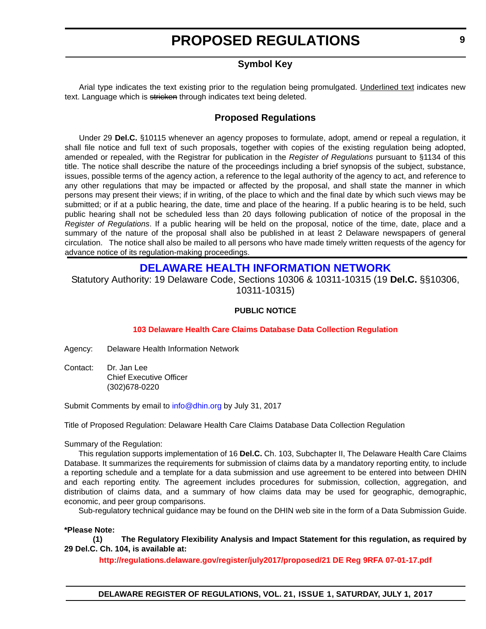### **Symbol Key**

<span id="page-8-0"></span>Arial type indicates the text existing prior to the regulation being promulgated. Underlined text indicates new text. Language which is stricken through indicates text being deleted.

### **Proposed Regulations**

Under 29 **Del.C.** §10115 whenever an agency proposes to formulate, adopt, amend or repeal a regulation, it shall file notice and full text of such proposals, together with copies of the existing regulation being adopted, amended or repealed, with the Registrar for publication in the *Register of Regulations* pursuant to §1134 of this title. The notice shall describe the nature of the proceedings including a brief synopsis of the subject, substance, issues, possible terms of the agency action, a reference to the legal authority of the agency to act, and reference to any other regulations that may be impacted or affected by the proposal, and shall state the manner in which persons may present their views; if in writing, of the place to which and the final date by which such views may be submitted; or if at a public hearing, the date, time and place of the hearing. If a public hearing is to be held, such public hearing shall not be scheduled less than 20 days following publication of notice of the proposal in the *Register of Regulations*. If a public hearing will be held on the proposal, notice of the time, date, place and a summary of the nature of the proposal shall also be published in at least 2 Delaware newspapers of general circulation. The notice shall also be mailed to all persons who have made timely written requests of the agency for advance notice of its regulation-making proceedings.

### **[DELAWARE HEALTH INFORMATION NETWORK](https://dhin.org/)**

Statutory Authority: 19 Delaware Code, Sections 10306 & 10311-10315 (19 **Del.C.** §§10306, 10311-10315)

#### **PUBLIC NOTICE**

#### **[103 Delaware Health Care Claims Database Data Collection Regulation](#page-3-0)**

Agency: Delaware Health Information Network

Contact: Dr. Jan Lee Chief Executive Officer (302)678-0220

Submit Comments by email to [info@dhin.org](mailto:info@dhin.org) by July 31, 2017

Title of Proposed Regulation: Delaware Health Care Claims Database Data Collection Regulation

Summary of the Regulation:

This regulation supports implementation of 16 **Del.C.** Ch. 103, Subchapter II, The Delaware Health Care Claims Database. It summarizes the requirements for submission of claims data by a mandatory reporting entity, to include a reporting schedule and a template for a data submission and use agreement to be entered into between DHIN and each reporting entity. The agreement includes procedures for submission, collection, aggregation, and distribution of claims data, and a summary of how claims data may be used for geographic, demographic, economic, and peer group comparisons.

Sub-regulatory technical guidance may be found on the DHIN web site in the form of a Data Submission Guide.

#### **\*Please Note:**

**(1) The Regulatory Flexibility Analysis and Impact Statement for this regulation, as required by 29 Del.C. Ch. 104, is available at:**

**<http://regulations.delaware.gov/register/july2017/proposed/21 DE Reg 9RFA 07-01-17.pdf>**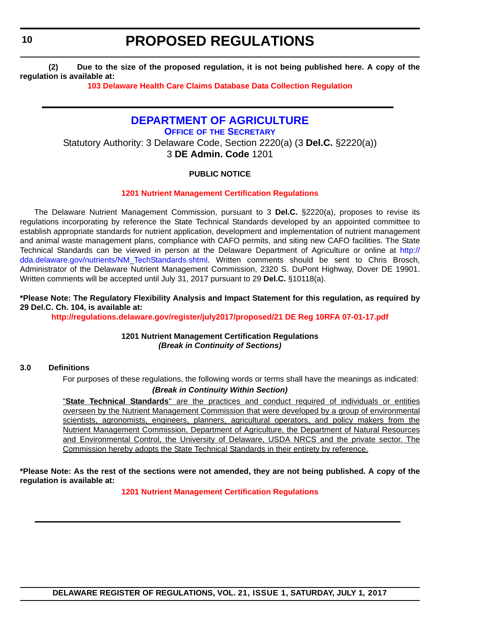**(2) Due to the size of the proposed regulation, it is not being published here. A copy of the regulation is available at:**

**[103 Delaware Health Care Claims Database Data Collection Regulation](http://regulations.delaware.gov/register/july2017/proposed/21 DE Reg 9 07-01-17.htm)** 

### **[DEPARTMENT OF AGRICULTURE](http://dda.delaware.gov/)**

**OFFICE OF [THE SECRETARY](http://dda.delaware.gov/nutrients/index.shtml)**

Statutory Authority: 3 Delaware Code, Section 2220(a) (3 **Del.C.** §2220(a)) 3 **DE Admin. Code** 1201

#### **PUBLIC NOTICE**

#### **[1201 Nutrient Management Certification Regulations](#page-3-0)**

The Delaware Nutrient Management Commission, pursuant to 3 **Del.C.** §2220(a), proposes to revise its regulations incorporating by reference the State Technical Standards developed by an appointed committee to establish appropriate standards for nutrient application, development and implementation of nutrient management and animal waste management plans, compliance with CAFO permits, and siting new CAFO facilities. The State Technical Standards can be viewed in person at the Delaware Department of Agriculture or online at [http://](http://dda.delaware.gov/nutrients/NM_TechStandards.shtml) [dda.delaware.gov/nutrients/NM\\_TechStandards.shtml.](http://dda.delaware.gov/nutrients/NM_TechStandards.shtml) Written comments should be sent to Chris Brosch, Administrator of the Delaware Nutrient Management Commission, 2320 S. DuPont Highway, Dover DE 19901. Written comments will be accepted until July 31, 2017 pursuant to 29 **Del.C.** §10118(a).

**\*Please Note: The Regulatory Flexibility Analysis and Impact Statement for this regulation, as required by 29 Del.C. Ch. 104, is available at:**

**<http://regulations.delaware.gov/register/july2017/proposed/21 DE Reg 10RFA 07-01-17.pdf>**

**1201 Nutrient Management Certification Regulations** *(Break in Continuity of Sections)*

#### **3.0 Definitions**

For purposes of these regulations, the following words or terms shall have the meanings as indicated: *(Break in Continuity Within Section)*

"**State Technical Standards**" are the practices and conduct required of individuals or entities overseen by the Nutrient Management Commission that were developed by a group of environmental scientists, agronomists, engineers, planners, agricultural operators, and policy makers from the Nutrient Management Commission, Department of Agriculture, the Department of Natural Resources and Environmental Control, the University of Delaware, USDA NRCS and the private sector. The Commission hereby adopts the State Technical Standards in their entirety by reference.

**\*Please Note: As the rest of the sections were not amended, they are not being published. A copy of the regulation is available at:**

**[1201 Nutrient Management Certification Regulations](http://regulations.delaware.gov/register/july2017/proposed/21 DE Reg 10 07-01-17.htm)** 

<span id="page-9-0"></span>**10**

**DELAWARE REGISTER OF REGULATIONS, VOL. 21, ISSUE 1, SATURDAY, JULY 1, 2017**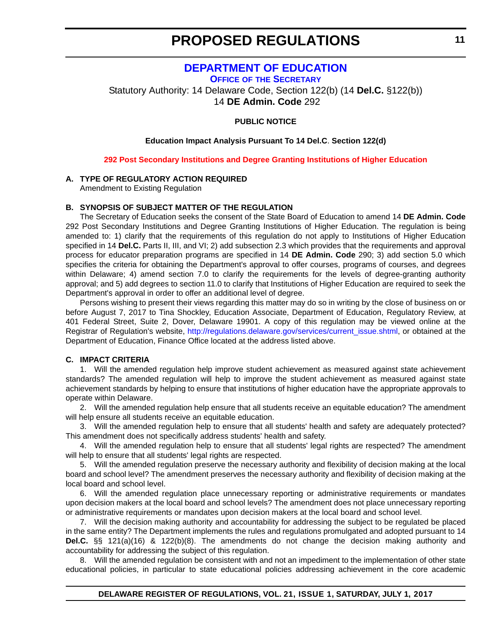### **[DEPARTMENT OF EDUCATION](https://www.doe.k12.de.us/)**

**OFFICE OF [THE SECRETARY](https://pubapps.doe.k12.de.us/EducationalDirectoryPublic/pages/DDOE/Branches.aspx?page=branches&BID=1)**

<span id="page-10-0"></span>Statutory Authority: 14 Delaware Code, Section 122(b) (14 **Del.C.** §122(b)) 14 **DE Admin. Code** 292

#### **PUBLIC NOTICE**

#### **Education Impact Analysis Pursuant To 14 Del.C**. **Section 122(d)**

#### **[292 Post Secondary Institutions and Degree Granting Institutions of Higher Education](#page-3-0)**

#### **A. TYPE OF REGULATORY ACTION REQUIRED**

Amendment to Existing Regulation

#### **B. SYNOPSIS OF SUBJECT MATTER OF THE REGULATION**

The Secretary of Education seeks the consent of the State Board of Education to amend 14 **DE Admin. Code** 292 Post Secondary Institutions and Degree Granting Institutions of Higher Education. The regulation is being amended to: 1) clarify that the requirements of this regulation do not apply to Institutions of Higher Education specified in 14 **Del.C.** Parts II, III, and VI; 2) add subsection 2.3 which provides that the requirements and approval process for educator preparation programs are specified in 14 **DE Admin. Code** 290; 3) add section 5.0 which specifies the criteria for obtaining the Department's approval to offer courses, programs of courses, and degrees within Delaware; 4) amend section 7.0 to clarify the requirements for the levels of degree-granting authority approval; and 5) add degrees to section 11.0 to clarify that Institutions of Higher Education are required to seek the Department's approval in order to offer an additional level of degree.

Persons wishing to present their views regarding this matter may do so in writing by the close of business on or before August 7, 2017 to Tina Shockley, Education Associate, Department of Education, Regulatory Review, at 401 Federal Street, Suite 2, Dover, Delaware 19901. A copy of this regulation may be viewed online at the Registrar of Regulation's website, [http://regulations.delaware.gov/services/current\\_issue.shtml](http://regulations.delaware.gov/services/current_issue.shtml), or obtained at the Department of Education, Finance Office located at the address listed above.

#### **C. IMPACT CRITERIA**

1. Will the amended regulation help improve student achievement as measured against state achievement standards? The amended regulation will help to improve the student achievement as measured against state achievement standards by helping to ensure that institutions of higher education have the appropriate approvals to operate within Delaware.

2. Will the amended regulation help ensure that all students receive an equitable education? The amendment will help ensure all students receive an equitable education.

3. Will the amended regulation help to ensure that all students' health and safety are adequately protected? This amendment does not specifically address students' health and safety.

4. Will the amended regulation help to ensure that all students' legal rights are respected? The amendment will help to ensure that all students' legal rights are respected.

5. Will the amended regulation preserve the necessary authority and flexibility of decision making at the local board and school level? The amendment preserves the necessary authority and flexibility of decision making at the local board and school level.

6. Will the amended regulation place unnecessary reporting or administrative requirements or mandates upon decision makers at the local board and school levels? The amendment does not place unnecessary reporting or administrative requirements or mandates upon decision makers at the local board and school level.

7. Will the decision making authority and accountability for addressing the subject to be regulated be placed in the same entity? The Department implements the rules and regulations promulgated and adopted pursuant to 14 **Del.C.** §§ 121(a)(16) & 122(b)(8). The amendments do not change the decision making authority and accountability for addressing the subject of this regulation.

8. Will the amended regulation be consistent with and not an impediment to the implementation of other state educational policies, in particular to state educational policies addressing achievement in the core academic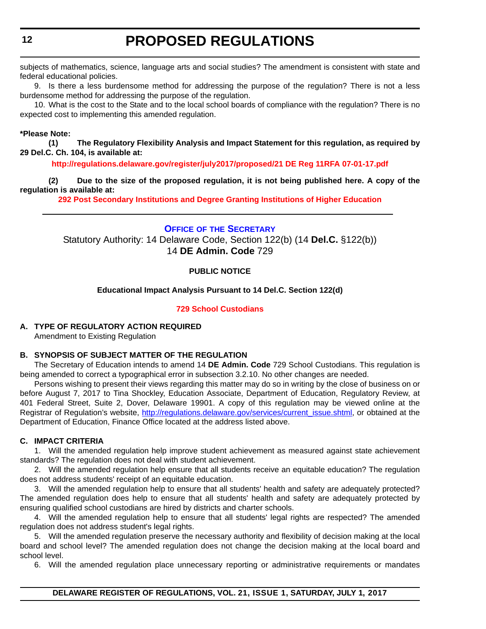<span id="page-11-0"></span>subjects of mathematics, science, language arts and social studies? The amendment is consistent with state and federal educational policies.

9. Is there a less burdensome method for addressing the purpose of the regulation? There is not a less burdensome method for addressing the purpose of the regulation.

10. What is the cost to the State and to the local school boards of compliance with the regulation? There is no expected cost to implementing this amended regulation.

#### **\*Please Note:**

**(1) The Regulatory Flexibility Analysis and Impact Statement for this regulation, as required by 29 Del.C. Ch. 104, is available at:**

**<http://regulations.delaware.gov/register/july2017/proposed/21 DE Reg 11RFA 07-01-17.pdf>**

**(2) Due to the size of the proposed regulation, it is not being published here. A copy of the regulation is available at:**

**[292 Post Secondary Institutions and Degree Granting Institutions of Higher Education](http://regulations.delaware.gov/register/july2017/proposed/21 DE Reg 11 07-01-17.htm)** 

**OFFICE OF [THE SECRETARY](https://pubapps.doe.k12.de.us/EducationalDirectoryPublic/pages/DDOE/Branches.aspx?page=branches&BID=1)** Statutory Authority: 14 Delaware Code, Section 122(b) (14 **Del.C.** §122(b)) 14 **DE Admin. Code** 729

#### **PUBLIC NOTICE**

#### **Educational Impact Analysis Pursuant to 14 Del.C. Section 122(d)**

#### **[729 School Custodians](#page-3-0)**

#### **A. TYPE OF REGULATORY ACTION REQUIRED**

Amendment to Existing Regulation

#### **B. SYNOPSIS OF SUBJECT MATTER OF THE REGULATION**

The Secretary of Education intends to amend 14 **DE Admin. Code** 729 School Custodians. This regulation is being amended to correct a typographical error in subsection 3.2.10. No other changes are needed.

Persons wishing to present their views regarding this matter may do so in writing by the close of business on or before August 7, 2017 to Tina Shockley, Education Associate, Department of Education, Regulatory Review, at 401 Federal Street, Suite 2, Dover, Delaware 19901. A copy of this regulation may be viewed online at the Registrar of Regulation's website, [http://regulations.delaware.gov/services/current\\_issue.shtml,](http://regulations.delaware.gov/services/current_issue.shtml) or obtained at the Department of Education, Finance Office located at the address listed above.

#### **C. IMPACT CRITERIA**

1. Will the amended regulation help improve student achievement as measured against state achievement standards? The regulation does not deal with student achievement.

2. Will the amended regulation help ensure that all students receive an equitable education? The regulation does not address students' receipt of an equitable education.

3. Will the amended regulation help to ensure that all students' health and safety are adequately protected? The amended regulation does help to ensure that all students' health and safety are adequately protected by ensuring qualified school custodians are hired by districts and charter schools.

4. Will the amended regulation help to ensure that all students' legal rights are respected? The amended regulation does not address student's legal rights.

5. Will the amended regulation preserve the necessary authority and flexibility of decision making at the local board and school level? The amended regulation does not change the decision making at the local board and school level.

6. Will the amended regulation place unnecessary reporting or administrative requirements or mandates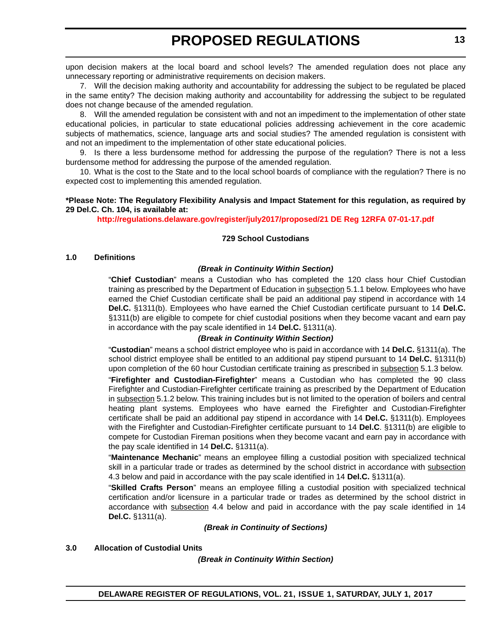upon decision makers at the local board and school levels? The amended regulation does not place any unnecessary reporting or administrative requirements on decision makers.

7. Will the decision making authority and accountability for addressing the subject to be regulated be placed in the same entity? The decision making authority and accountability for addressing the subject to be regulated does not change because of the amended regulation.

8. Will the amended regulation be consistent with and not an impediment to the implementation of other state educational policies, in particular to state educational policies addressing achievement in the core academic subjects of mathematics, science, language arts and social studies? The amended regulation is consistent with and not an impediment to the implementation of other state educational policies.

9. Is there a less burdensome method for addressing the purpose of the regulation? There is not a less burdensome method for addressing the purpose of the amended regulation.

10. What is the cost to the State and to the local school boards of compliance with the regulation? There is no expected cost to implementing this amended regulation.

#### **\*Please Note: The Regulatory Flexibility Analysis and Impact Statement for this regulation, as required by 29 Del.C. Ch. 104, is available at:**

**<http://regulations.delaware.gov/register/july2017/proposed/21 DE Reg 12RFA 07-01-17.pdf>**

#### **729 School Custodians**

#### **1.0 Definitions**

#### *(Break in Continuity Within Section)*

"**Chief Custodian**" means a Custodian who has completed the 120 class hour Chief Custodian training as prescribed by the Department of Education in subsection 5.1.1 below. Employees who have earned the Chief Custodian certificate shall be paid an additional pay stipend in accordance with 14 **Del.C.** §1311(b). Employees who have earned the Chief Custodian certificate pursuant to 14 **Del.C.** §1311(b) are eligible to compete for chief custodial positions when they become vacant and earn pay in accordance with the pay scale identified in 14 **Del.C.** §1311(a).

#### *(Break in Continuity Within Section)*

"**Custodian**" means a school district employee who is paid in accordance with 14 **Del.C.** §1311(a). The school district employee shall be entitled to an additional pay stipend pursuant to 14 **Del.C.** §1311(b) upon completion of the 60 hour Custodian certificate training as prescribed in subsection 5.1.3 below.

"**Firefighter and Custodian-Firefighter**" means a Custodian who has completed the 90 class Firefighter and Custodian-Firefighter certificate training as prescribed by the Department of Education in subsection 5.1.2 below. This training includes but is not limited to the operation of boilers and central heating plant systems. Employees who have earned the Firefighter and Custodian-Firefighter certificate shall be paid an additional pay stipend in accordance with 14 **Del.C.** §1311(b). Employees with the Firefighter and Custodian-Firefighter certificate pursuant to 14 **Del.C**. §1311(b) are eligible to compete for Custodian Fireman positions when they become vacant and earn pay in accordance with the pay scale identified in 14 **Del.C.** §1311(a).

"**Maintenance Mechanic**" means an employee filling a custodial position with specialized technical skill in a particular trade or trades as determined by the school district in accordance with subsection 4.3 below and paid in accordance with the pay scale identified in 14 **Del.C.** §1311(a).

"**Skilled Crafts Person**" means an employee filling a custodial position with specialized technical certification and/or licensure in a particular trade or trades as determined by the school district in accordance with subsection 4.4 below and paid in accordance with the pay scale identified in 14 **Del.C.** §1311(a).

*(Break in Continuity of Sections)*

#### **3.0 Allocation of Custodial Units**

*(Break in Continuity Within Section)*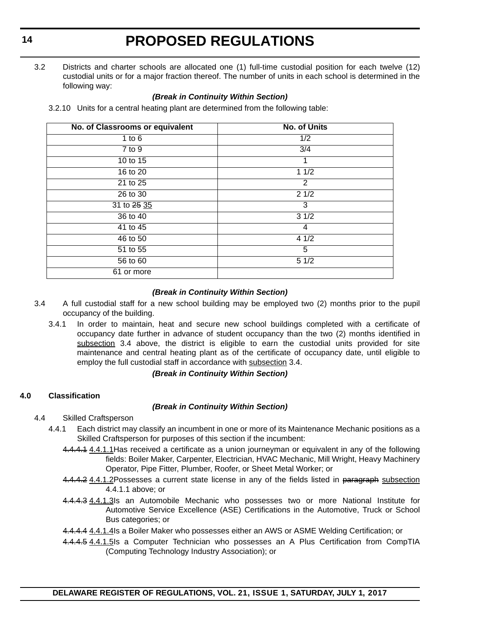3.2 Districts and charter schools are allocated one (1) full-time custodial position for each twelve (12) custodial units or for a major fraction thereof. The number of units in each school is determined in the following way:

#### *(Break in Continuity Within Section)*

3.2.10 Units for a central heating plant are determined from the following table:

| No. of Classrooms or equivalent | <b>No. of Units</b> |  |
|---------------------------------|---------------------|--|
| 1 to $6$                        | 1/2                 |  |
| 7 to 9                          | $\overline{3/4}$    |  |
| 10 to 15                        |                     |  |
| 16 to 20                        | 11/2                |  |
| 21 to 25                        | 2                   |  |
| 26 to 30                        | 21/2                |  |
| 31 to 25 35                     | 3                   |  |
| 36 to 40                        | 31/2                |  |
| 41 to 45                        | 4                   |  |
| 46 to 50                        | 41/2                |  |
| 51 to 55                        | 5                   |  |
| 56 to 60                        | 51/2                |  |
| 61 or more                      |                     |  |

#### *(Break in Continuity Within Section)*

- 3.4 A full custodial staff for a new school building may be employed two (2) months prior to the pupil occupancy of the building.
	- 3.4.1 In order to maintain, heat and secure new school buildings completed with a certificate of occupancy date further in advance of student occupancy than the two (2) months identified in subsection 3.4 above, the district is eligible to earn the custodial units provided for site maintenance and central heating plant as of the certificate of occupancy date, until eligible to employ the full custodial staff in accordance with subsection 3.4.

#### *(Break in Continuity Within Section)*

#### **4.0 Classification**

#### *(Break in Continuity Within Section)*

- 4.4 Skilled Craftsperson
	- 4.4.1 Each district may classify an incumbent in one or more of its Maintenance Mechanic positions as a Skilled Craftsperson for purposes of this section if the incumbent:
		- 4.4.4.1 4.4.1.1 Has received a certificate as a union journeyman or equivalent in any of the following fields: Boiler Maker, Carpenter, Electrician, HVAC Mechanic, Mill Wright, Heavy Machinery Operator, Pipe Fitter, Plumber, Roofer, or Sheet Metal Worker; or
		- 4.4.4.2 4.4.1.2Possesses a current state license in any of the fields listed in paragraph subsection 4.4.1.1 above; or
		- 4.4.4.3 4.4.1.3Is an Automobile Mechanic who possesses two or more National Institute for Automotive Service Excellence (ASE) Certifications in the Automotive, Truck or School Bus categories; or
		- 4.4.4.4 4.4.1.4 Is a Boiler Maker who possesses either an AWS or ASME Welding Certification; or
		- 4.4.4.5 4.4.1.5 Is a Computer Technician who possesses an A Plus Certification from CompTIA (Computing Technology Industry Association); or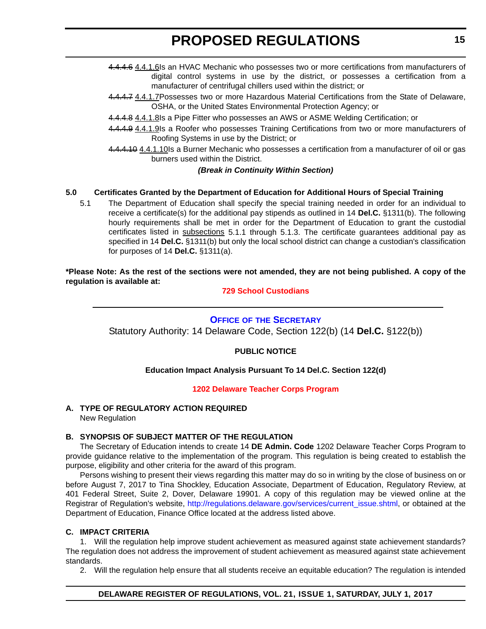- <span id="page-14-0"></span>4.4.4.6 4.4.1.6Is an HVAC Mechanic who possesses two or more certifications from manufacturers of digital control systems in use by the district, or possesses a certification from a manufacturer of centrifugal chillers used within the district; or
- 4.4.4.7 4.4.1.7 Possesses two or more Hazardous Material Certifications from the State of Delaware, OSHA, or the United States Environmental Protection Agency; or
- 4.4.4.8 4.4.1.8Is a Pipe Fitter who possesses an AWS or ASME Welding Certification; or
- 4.4.4.9 4.4.1.9Is a Roofer who possesses Training Certifications from two or more manufacturers of Roofing Systems in use by the District; or
- 4.4.4.10 4.4.1.10 Is a Burner Mechanic who possesses a certification from a manufacturer of oil or gas burners used within the District.

#### *(Break in Continuity Within Section)*

#### **5.0 Certificates Granted by the Department of Education for Additional Hours of Special Training**

5.1 The Department of Education shall specify the special training needed in order for an individual to receive a certificate(s) for the additional pay stipends as outlined in 14 **Del.C.** §1311(b). The following hourly requirements shall be met in order for the Department of Education to grant the custodial certificates listed in subsections 5.1.1 through 5.1.3. The certificate guarantees additional pay as specified in 14 **Del.C.** §1311(b) but only the local school district can change a custodian's classification for purposes of 14 **Del.C.** §1311(a).

#### **\*Please Note: As the rest of the sections were not amended, they are not being published. A copy of the regulation is available at:**

#### **[729 School Custodians](http://regulations.delaware.gov/register/july2017/proposed/21 DE Reg 12 07-01-17.htm)**

#### **OFFICE OF [THE SECRETARY](https://pubapps.doe.k12.de.us/EducationalDirectoryPublic/pages/DDOE/Branches.aspx?page=branches&BID=1)**

Statutory Authority: 14 Delaware Code, Section 122(b) (14 **Del.C.** §122(b))

#### **PUBLIC NOTICE**

#### **Education Impact Analysis Pursuant To 14 Del.C. Section 122(d)**

#### **[1202 Delaware Teacher Corps Program](#page-3-0)**

### **A. TYPE OF REGULATORY ACTION REQUIRED**

New Regulation

#### **B. SYNOPSIS OF SUBJECT MATTER OF THE REGULATION**

The Secretary of Education intends to create 14 **DE Admin. Code** 1202 Delaware Teacher Corps Program to provide guidance relative to the implementation of the program. This regulation is being created to establish the purpose, eligibility and other criteria for the award of this program.

Persons wishing to present their views regarding this matter may do so in writing by the close of business on or before August 7, 2017 to Tina Shockley, Education Associate, Department of Education, Regulatory Review, at 401 Federal Street, Suite 2, Dover, Delaware 19901. A copy of this regulation may be viewed online at the Registrar of Regulation's website, [http://regulations.delaware.gov/services/current\\_issue.shtml](http://regulations.delaware.gov/services/current_issue.shtml), or obtained at the Department of Education, Finance Office located at the address listed above.

#### **C. IMPACT CRITERIA**

1. Will the regulation help improve student achievement as measured against state achievement standards? The regulation does not address the improvement of student achievement as measured against state achievement standards.

2. Will the regulation help ensure that all students receive an equitable education? The regulation is intended

#### **DELAWARE REGISTER OF REGULATIONS, VOL. 21, ISSUE 1, SATURDAY, JULY 1, 2017**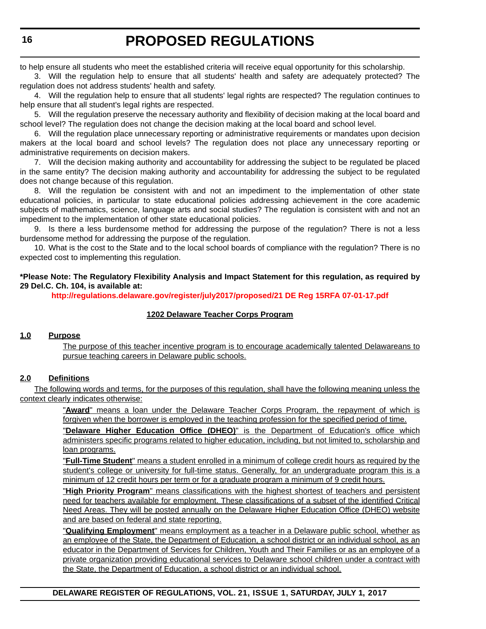to help ensure all students who meet the established criteria will receive equal opportunity for this scholarship.

3. Will the regulation help to ensure that all students' health and safety are adequately protected? The regulation does not address students' health and safety.

4. Will the regulation help to ensure that all students' legal rights are respected? The regulation continues to help ensure that all student's legal rights are respected.

5. Will the regulation preserve the necessary authority and flexibility of decision making at the local board and school level? The regulation does not change the decision making at the local board and school level.

6. Will the regulation place unnecessary reporting or administrative requirements or mandates upon decision makers at the local board and school levels? The regulation does not place any unnecessary reporting or administrative requirements on decision makers.

7. Will the decision making authority and accountability for addressing the subject to be regulated be placed in the same entity? The decision making authority and accountability for addressing the subject to be regulated does not change because of this regulation.

8. Will the regulation be consistent with and not an impediment to the implementation of other state educational policies, in particular to state educational policies addressing achievement in the core academic subjects of mathematics, science, language arts and social studies? The regulation is consistent with and not an impediment to the implementation of other state educational policies.

9. Is there a less burdensome method for addressing the purpose of the regulation? There is not a less burdensome method for addressing the purpose of the regulation.

10. What is the cost to the State and to the local school boards of compliance with the regulation? There is no expected cost to implementing this regulation.

#### **\*Please Note: The Regulatory Flexibility Analysis and Impact Statement for this regulation, as required by 29 Del.C. Ch. 104, is available at:**

**<http://regulations.delaware.gov/register/july2017/proposed/21 DE Reg 15RFA 07-01-17.pdf>**

#### **1202 Delaware Teacher Corps Program**

#### **1.0 Purpose**

The purpose of this teacher incentive program is to encourage academically talented Delawareans to pursue teaching careers in Delaware public schools.

#### **2.0 Definitions**

The following words and terms, for the purposes of this regulation, shall have the following meaning unless the context clearly indicates otherwise:

> "**Award**" means a loan under the Delaware Teacher Corps Program, the repayment of which is forgiven when the borrower is employed in the teaching profession for the specified period of time.

> "**Delaware Higher Education Office (DHEO)**" is the Department of Education's office which administers specific programs related to higher education, including, but not limited to, scholarship and loan programs.

> "**Full-Time Student**" means a student enrolled in a minimum of college credit hours as required by the student's college or university for full-time status. Generally, for an undergraduate program this is a minimum of 12 credit hours per term or for a graduate program a minimum of 9 credit hours.

> "**High Priority Program**" means classifications with the highest shortest of teachers and persistent need for teachers available for employment. These classifications of a subset of the identified Critical Need Areas. They will be posted annually on the Delaware Higher Education Office (DHEO) website and are based on federal and state reporting.

> "**Qualifying Employment**" means employment as a teacher in a Delaware public school, whether as an employee of the State, the Department of Education, a school district or an individual school, as an educator in the Department of Services for Children, Youth and Their Families or as an employee of a private organization providing educational services to Delaware school children under a contract with the State, the Department of Education, a school district or an individual school.

**DELAWARE REGISTER OF REGULATIONS, VOL. 21, ISSUE 1, SATURDAY, JULY 1, 2017**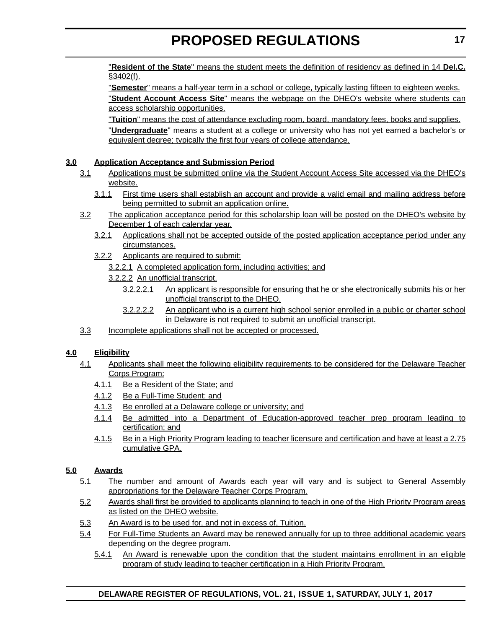"**Resident of the State**" means the student meets the definition of residency as defined in 14 **Del.C.** §3402(f).

"**Semester**" means a half-year term in a school or college, typically lasting fifteen to eighteen weeks. "**Student Account Access Site**" means the webpage on the DHEO's website where students can access scholarship opportunities.

"**Tuition**" means the cost of attendance excluding room, board, mandatory fees, books and supplies. "**Undergraduate**" means a student at a college or university who has not yet earned a bachelor's or equivalent degree; typically the first four years of college attendance.

#### **3.0 Application Acceptance and Submission Period**

- 3.1 Applications must be submitted online via the Student Account Access Site accessed via the DHEO's website.
	- 3.1.1 First time users shall establish an account and provide a valid email and mailing address before being permitted to submit an application online.
- 3.2 The application acceptance period for this scholarship loan will be posted on the DHEO's website by December 1 of each calendar year.
	- 3.2.1 Applications shall not be accepted outside of the posted application acceptance period under any circumstances.
	- 3.2.2 Applicants are required to submit:
		- 3.2.2.1 A completed application form, including activities; and
		- 3.2.2.2 An unofficial transcript.
			- 3.2.2.2.1 An applicant is responsible for ensuring that he or she electronically submits his or her unofficial transcript to the DHEO.
			- 3.2.2.2.2 An applicant who is a current high school senior enrolled in a public or charter school in Delaware is not required to submit an unofficial transcript.
- 3.3 Incomplete applications shall not be accepted or processed.

#### **4.0 Eligibility**

- 4.1 Applicants shall meet the following eligibility requirements to be considered for the Delaware Teacher Corps Program:
	- 4.1.1 Be a Resident of the State; and
	- 4.1.2 Be a Full-Time Student; and
	- 4.1.3 Be enrolled at a Delaware college or university; and
	- 4.1.4 Be admitted into a Department of Education-approved teacher prep program leading to certification; and
	- 4.1.5 Be in a High Priority Program leading to teacher licensure and certification and have at least a 2.75 cumulative GPA.

#### **5.0 Awards**

- 5.1 The number and amount of Awards each year will vary and is subject to General Assembly appropriations for the Delaware Teacher Corps Program.
- 5.2 Awards shall first be provided to applicants planning to teach in one of the High Priority Program areas as listed on the DHEO website.
- 5.3 An Award is to be used for, and not in excess of, Tuition.
- 5.4 For Full-Time Students an Award may be renewed annually for up to three additional academic years depending on the degree program.
	- 5.4.1 An Award is renewable upon the condition that the student maintains enrollment in an eligible program of study leading to teacher certification in a High Priority Program.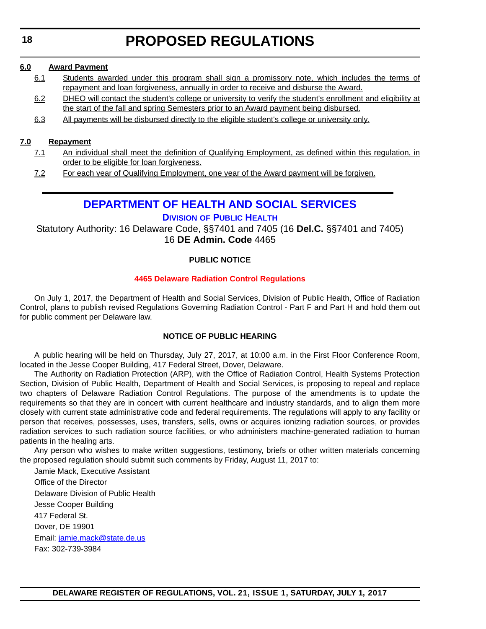#### <span id="page-17-0"></span>**6.0 Award Payment**

- 6.1 Students awarded under this program shall sign a promissory note, which includes the terms of repayment and loan forgiveness, annually in order to receive and disburse the Award.
- 6.2 DHEO will contact the student's college or university to verify the student's enrollment and eligibility at the start of the fall and spring Semesters prior to an Award payment being disbursed.
- 6.3 All payments will be disbursed directly to the eligible student's college or university only.

#### **7.0 Repayment**

- 7.1 An individual shall meet the definition of Qualifying Employment, as defined within this regulation, in order to be eligible for loan forgiveness.
- 7.2 For each year of Qualifying Employment, one year of the Award payment will be forgiven.

### **[DEPARTMENT OF HEALTH AND SOCIAL SERVICES](http://www.dhss.delaware.gov/dhss/index.html)**

#### **DIVISION [OF PUBLIC HEALTH](http://www.dhss.delaware.gov/dhss/dph/index.html)**

Statutory Authority: 16 Delaware Code, §§7401 and 7405 (16 **Del.C.** §§7401 and 7405) 16 **DE Admin. Code** 4465

#### **PUBLIC NOTICE**

#### **[4465 Delaware Radiation Control Regulations](#page-3-0)**

On July 1, 2017, the Department of Health and Social Services, Division of Public Health, Office of Radiation Control, plans to publish revised Regulations Governing Radiation Control - Part F and Part H and hold them out for public comment per Delaware law.

#### **NOTICE OF PUBLIC HEARING**

A public hearing will be held on Thursday, July 27, 2017, at 10:00 a.m. in the First Floor Conference Room, located in the Jesse Cooper Building, 417 Federal Street, Dover, Delaware.

The Authority on Radiation Protection (ARP), with the Office of Radiation Control, Health Systems Protection Section, Division of Public Health, Department of Health and Social Services, is proposing to repeal and replace two chapters of Delaware Radiation Control Regulations. The purpose of the amendments is to update the requirements so that they are in concert with current healthcare and industry standards, and to align them more closely with current state administrative code and federal requirements. The regulations will apply to any facility or person that receives, possesses, uses, transfers, sells, owns or acquires ionizing radiation sources, or provides radiation services to such radiation source facilities, or who administers machine-generated radiation to human patients in the healing arts.

Any person who wishes to make written suggestions, testimony, briefs or other written materials concerning the proposed regulation should submit such comments by Friday, August 11, 2017 to:

Jamie Mack, Executive Assistant Office of the Director Delaware Division of Public Health Jesse Cooper Building 417 Federal St. Dover, DE 19901 Email: [jamie.mack@state.de.us](mailto:jamie.mack@state.de.us) Fax: 302-739-3984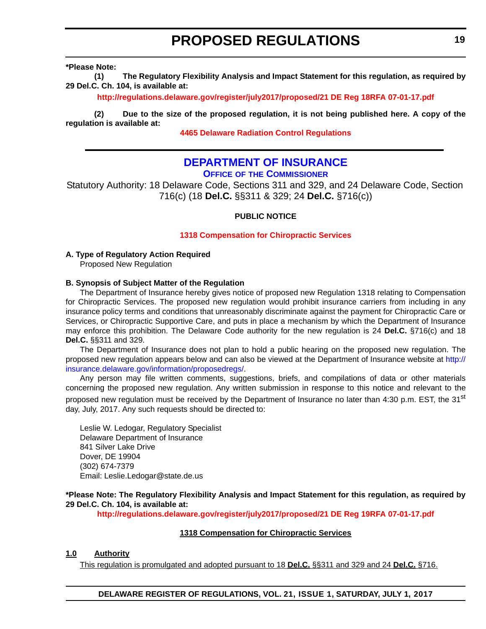<span id="page-18-0"></span>**\*Please Note:** 

**(1) The Regulatory Flexibility Analysis and Impact Statement for this regulation, as required by 29 Del.C. Ch. 104, is available at:**

**<http://regulations.delaware.gov/register/july2017/proposed/21 DE Reg 18RFA 07-01-17.pdf>**

**(2) Due to the size of the proposed regulation, it is not being published here. A copy of the regulation is available at:**

**[4465 Delaware Radiation Control Regulations](http://regulations.delaware.gov/register/july2017/proposed/21 DE Reg 18 07-01-17.htm)** 

### **[DEPARTMENT OF INSURANCE](http://insurance.delaware.gov/)**

**OFFICE OF [THE COMMISSIONER](http://insurance.delaware.gov/divisions/)**

Statutory Authority: 18 Delaware Code, Sections 311 and 329, and 24 Delaware Code, Section 716(c) (18 **Del.C.** §§311 & 329; 24 **Del.C.** §716(c))

#### **PUBLIC NOTICE**

#### **[1318 Compensation for Chiropractic Services](#page-3-0)**

**A. Type of Regulatory Action Required**

Proposed New Regulation

#### **B. Synopsis of Subject Matter of the Regulation**

The Department of Insurance hereby gives notice of proposed new Regulation 1318 relating to Compensation for Chiropractic Services. The proposed new regulation would prohibit insurance carriers from including in any insurance policy terms and conditions that unreasonably discriminate against the payment for Chiropractic Care or Services, or Chiropractic Supportive Care, and puts in place a mechanism by which the Department of Insurance may enforce this prohibition. The Delaware Code authority for the new regulation is 24 **Del.C.** §716(c) and 18 **Del.C.** §§311 and 329.

The Department of Insurance does not plan to hold a public hearing on the proposed new regulation. The proposed new regulation appears below and can also be viewed at the Department of Insurance website at [http://](http://insurance.delaware.gov/information/proposedregs/) [insurance.delaware.gov/information/proposedregs/](http://insurance.delaware.gov/information/proposedregs/).

Any person may file written comments, suggestions, briefs, and compilations of data or other materials concerning the proposed new regulation. Any written submission in response to this notice and relevant to the proposed new regulation must be received by the Department of Insurance no later than 4:30 p.m. EST, the 31<sup>st</sup> day, July, 2017. Any such requests should be directed to:

Leslie W. Ledogar, Regulatory Specialist Delaware Department of Insurance 841 Silver Lake Drive Dover, DE 19904 (302) 674-7379 Email: Leslie.Ledogar@state.de.us

**\*Please Note: The Regulatory Flexibility Analysis and Impact Statement for this regulation, as required by 29 Del.C. Ch. 104, is available at:**

**<http://regulations.delaware.gov/register/july2017/proposed/21 DE Reg 19RFA 07-01-17.pdf>**

#### **1318 Compensation for Chiropractic Services**

#### **1.0 Authority**

This regulation is promulgated and adopted pursuant to 18 **Del.C.** §§311 and 329 and 24 **Del.C.** §716.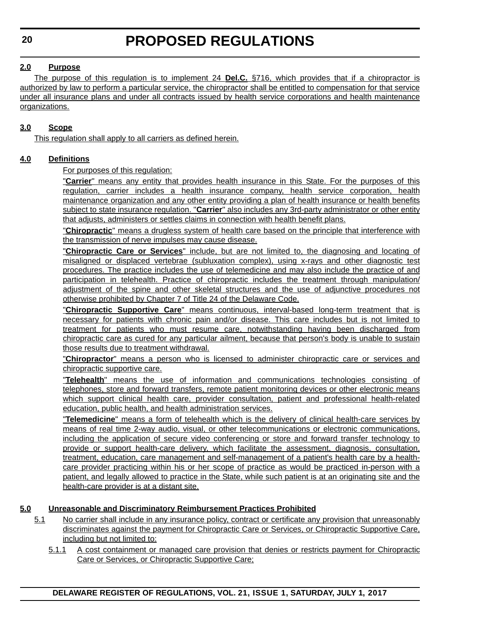**DELAWARE REGISTER OF REGULATIONS, VOL. 21, ISSUE 1, SATURDAY, JULY 1, 2017**

### **2.0 Purpose**

The purpose of this regulation is to implement 24 **Del.C.** §716, which provides that if a chiropractor is authorized by law to perform a particular service, the chiropractor shall be entitled to compensation for that service under all insurance plans and under all contracts issued by health service corporations and health maintenance organizations.

### **3.0 Scope**

This regulation shall apply to all carriers as defined herein.

### **4.0 Definitions**

For purposes of this regulation:

"**Carrier**" means any entity that provides health insurance in this State. For the purposes of this regulation, carrier includes a health insurance company, health service corporation, health maintenance organization and any other entity providing a plan of health insurance or health benefits subject to state insurance regulation. "**Carrier**" also includes any 3rd-party administrator or other entity that adjusts, administers or settles claims in connection with health benefit plans.

"**Chiropractic**" means a drugless system of health care based on the principle that interference with the transmission of nerve impulses may cause disease.

"**Chiropractic Care or Services**" include, but are not limited to, the diagnosing and locating of misaligned or displaced vertebrae (subluxation complex), using x-rays and other diagnostic test procedures. The practice includes the use of telemedicine and may also include the practice of and participation in telehealth. Practice of chiropractic includes the treatment through manipulation/ adjustment of the spine and other skeletal structures and the use of adjunctive procedures not otherwise prohibited by Chapter 7 of Title 24 of the Delaware Code.

"**Chiropractic Supportive Care**" means continuous, interval-based long-term treatment that is necessary for patients with chronic pain and/or disease. This care includes but is not limited to treatment for patients who must resume care, notwithstanding having been discharged from chiropractic care as cured for any particular ailment, because that person's body is unable to sustain those results due to treatment withdrawal.

"**Chiropractor**" means a person who is licensed to administer chiropractic care or services and chiropractic supportive care.

"**Telehealth**" means the use of information and communications technologies consisting of telephones, store and forward transfers, remote patient monitoring devices or other electronic means which support clinical health care, provider consultation, patient and professional health-related education, public health, and health administration services.

"**Telemedicine**" means a form of telehealth which is the delivery of clinical health-care services by means of real time 2-way audio, visual, or other telecommunications or electronic communications, including the application of secure video conferencing or store and forward transfer technology to provide or support health-care delivery, which facilitate the assessment, diagnosis, consultation, treatment, education, care management and self-management of a patient's health care by a healthcare provider practicing within his or her scope of practice as would be practiced in-person with a patient, and legally allowed to practice in the State, while such patient is at an originating site and the health-care provider is at a distant site.

### **5.0 Unreasonable and Discriminatory Reimbursement Practices Prohibited**

- 5.1 No carrier shall include in any insurance policy, contract or certificate any provision that unreasonably discriminates against the payment for Chiropractic Care or Services, or Chiropractic Supportive Care, including but not limited to:
	- 5.1.1 A cost containment or managed care provision that denies or restricts payment for Chiropractic Care or Services, or Chiropractic Supportive Care;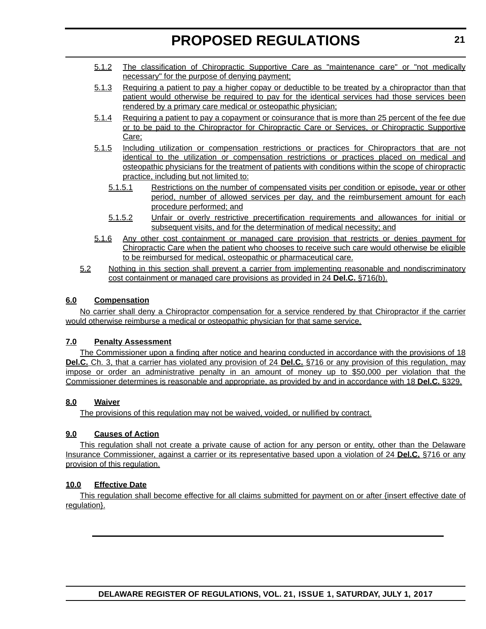- 5.1.2 The classification of Chiropractic Supportive Care as "maintenance care" or "not medically necessary" for the purpose of denying payment;
- 5.1.3 Requiring a patient to pay a higher copay or deductible to be treated by a chiropractor than that patient would otherwise be required to pay for the identical services had those services been rendered by a primary care medical or osteopathic physician;
- 5.1.4 Requiring a patient to pay a copayment or coinsurance that is more than 25 percent of the fee due or to be paid to the Chiropractor for Chiropractic Care or Services, or Chiropractic Supportive Care;
- 5.1.5 Including utilization or compensation restrictions or practices for Chiropractors that are not identical to the utilization or compensation restrictions or practices placed on medical and osteopathic physicians for the treatment of patients with conditions within the scope of chiropractic practice, including but not limited to:
	- 5.1.5.1 Restrictions on the number of compensated visits per condition or episode, year or other period, number of allowed services per day, and the reimbursement amount for each procedure performed; and
	- 5.1.5.2 Unfair or overly restrictive precertification requirements and allowances for initial or subsequent visits, and for the determination of medical necessity; and
- 5.1.6 Any other cost containment or managed care provision that restricts or denies payment for Chiropractic Care when the patient who chooses to receive such care would otherwise be eligible to be reimbursed for medical, osteopathic or pharmaceutical care.
- 5.2 Nothing in this section shall prevent a carrier from implementing reasonable and nondiscriminatory cost containment or managed care provisions as provided in 24 **Del.C.** §716(b).

#### **6.0 Compensation**

No carrier shall deny a Chiropractor compensation for a service rendered by that Chiropractor if the carrier would otherwise reimburse a medical or osteopathic physician for that same service.

#### **7.0 Penalty Assessment**

The Commissioner upon a finding after notice and hearing conducted in accordance with the provisions of 18 **Del.C.** Ch. 3, that a carrier has violated any provision of 24 **Del.C.** §716 or any provision of this regulation, may impose or order an administrative penalty in an amount of money up to \$50,000 per violation that the Commissioner determines is reasonable and appropriate, as provided by and in accordance with 18 **Del.C.** §329.

#### **8.0 Waiver**

The provisions of this regulation may not be waived, voided, or nullified by contract.

### **9.0 Causes of Action**

This regulation shall not create a private cause of action for any person or entity, other than the Delaware Insurance Commissioner, against a carrier or its representative based upon a violation of 24 **Del.C.** §716 or any provision of this regulation.

### **10.0 Effective Date**

This regulation shall become effective for all claims submitted for payment on or after {insert effective date of regulation}.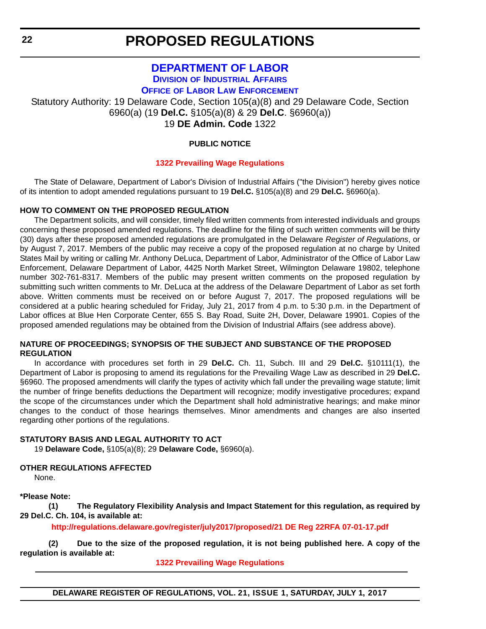### **[DEPARTMENT OF LABOR](http://dol.delaware.gov/) DIVISION [OF INDUSTRIAL AFFAIRS](https://dia.delawareworks.com/)**

**OFFICE [OF LABOR LAW ENFORCEMENT](https://dia.delawareworks.com/labor-law/)**

<span id="page-21-0"></span>Statutory Authority: 19 Delaware Code, Section 105(a)(8) and 29 Delaware Code, Section 6960(a) (19 **Del.C.** §105(a)(8) & 29 **Del.C**. §6960(a)) 19 **DE Admin. Code** 1322

### **PUBLIC NOTICE**

#### **[1322 Prevailing Wage Regulations](#page-3-0)**

The State of Delaware, Department of Labor's Division of Industrial Affairs ("the Division") hereby gives notice of its intention to adopt amended regulations pursuant to 19 **Del.C.** §105(a)(8) and 29 **Del.C.** §6960(a).

#### **HOW TO COMMENT ON THE PROPOSED REGULATION**

The Department solicits, and will consider, timely filed written comments from interested individuals and groups concerning these proposed amended regulations. The deadline for the filing of such written comments will be thirty (30) days after these proposed amended regulations are promulgated in the Delaware *Register of Regulations*, or by August 7, 2017. Members of the public may receive a copy of the proposed regulation at no charge by United States Mail by writing or calling Mr. Anthony DeLuca, Department of Labor, Administrator of the Office of Labor Law Enforcement, Delaware Department of Labor, 4425 North Market Street, Wilmington Delaware 19802, telephone number 302-761-8317. Members of the public may present written comments on the proposed regulation by submitting such written comments to Mr. DeLuca at the address of the Delaware Department of Labor as set forth above. Written comments must be received on or before August 7, 2017. The proposed regulations will be considered at a public hearing scheduled for Friday, July 21, 2017 from 4 p.m. to 5:30 p.m. in the Department of Labor offices at Blue Hen Corporate Center, 655 S. Bay Road, Suite 2H, Dover, Delaware 19901. Copies of the proposed amended regulations may be obtained from the Division of Industrial Affairs (see address above).

#### **NATURE OF PROCEEDINGS; SYNOPSIS OF THE SUBJECT AND SUBSTANCE OF THE PROPOSED REGULATION**

In accordance with procedures set forth in 29 **Del.C.** Ch. 11, Subch. III and 29 **Del.C.** §10111(1), the Department of Labor is proposing to amend its regulations for the Prevailing Wage Law as described in 29 **Del.C.** §6960. The proposed amendments will clarify the types of activity which fall under the prevailing wage statute; limit the number of fringe benefits deductions the Department will recognize; modify investigative procedures; expand the scope of the circumstances under which the Department shall hold administrative hearings; and make minor changes to the conduct of those hearings themselves. Minor amendments and changes are also inserted regarding other portions of the regulations.

#### **STATUTORY BASIS AND LEGAL AUTHORITY TO ACT**

19 **Delaware Code,** §105(a)(8); 29 **Delaware Code,** §6960(a).

**OTHER REGULATIONS AFFECTED**

None.

**\*Please Note:** 

**(1) The Regulatory Flexibility Analysis and Impact Statement for this regulation, as required by 29 Del.C. Ch. 104, is available at:**

**<http://regulations.delaware.gov/register/july2017/proposed/21 DE Reg 22RFA 07-01-17.pdf>**

**(2) Due to the size of the proposed regulation, it is not being published here. A copy of the regulation is available at:**

**[1322 Prevailing Wage Regulations](http://regulations.delaware.gov/register/july2017/proposed/21 DE Reg 22 07-01-17.htm)**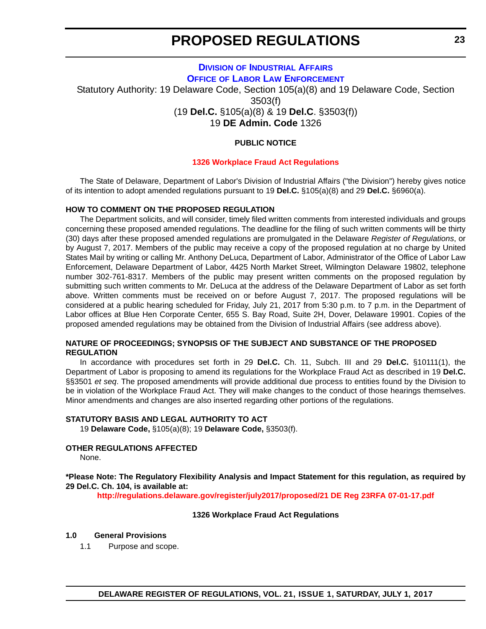#### **DIVISION [OF INDUSTRIAL AFFAIRS](https://dia.delawareworks.com/) OFFICE [OF LABOR LAW ENFORCEMENT](https://dia.delawareworks.com/labor-law/)**

<span id="page-22-0"></span>Statutory Authority: 19 Delaware Code, Section 105(a)(8) and 19 Delaware Code, Section 3503(f) (19 **Del.C.** §105(a)(8) & 19 **Del.C**. §3503(f))

19 **DE Admin. Code** 1326

#### **PUBLIC NOTICE**

#### **[1326 Workplace Fraud Act Regulations](#page-3-0)**

The State of Delaware, Department of Labor's Division of Industrial Affairs ("the Division") hereby gives notice of its intention to adopt amended regulations pursuant to 19 **Del.C.** §105(a)(8) and 29 **Del.C.** §6960(a).

#### **HOW TO COMMENT ON THE PROPOSED REGULATION**

The Department solicits, and will consider, timely filed written comments from interested individuals and groups concerning these proposed amended regulations. The deadline for the filing of such written comments will be thirty (30) days after these proposed amended regulations are promulgated in the Delaware *Register of Regulations*, or by August 7, 2017. Members of the public may receive a copy of the proposed regulation at no charge by United States Mail by writing or calling Mr. Anthony DeLuca, Department of Labor, Administrator of the Office of Labor Law Enforcement, Delaware Department of Labor, 4425 North Market Street, Wilmington Delaware 19802, telephone number 302-761-8317. Members of the public may present written comments on the proposed regulation by submitting such written comments to Mr. DeLuca at the address of the Delaware Department of Labor as set forth above. Written comments must be received on or before August 7, 2017. The proposed regulations will be considered at a public hearing scheduled for Friday, July 21, 2017 from 5:30 p.m. to 7 p.m. in the Department of Labor offices at Blue Hen Corporate Center, 655 S. Bay Road, Suite 2H, Dover, Delaware 19901. Copies of the proposed amended regulations may be obtained from the Division of Industrial Affairs (see address above).

#### **NATURE OF PROCEEDINGS; SYNOPSIS OF THE SUBJECT AND SUBSTANCE OF THE PROPOSED REGULATION**

In accordance with procedures set forth in 29 **Del.C.** Ch. 11, Subch. III and 29 **Del.C.** §10111(1), the Department of Labor is proposing to amend its regulations for the Workplace Fraud Act as described in 19 **Del.C.** §§3501 *et seq*. The proposed amendments will provide additional due process to entities found by the Division to be in violation of the Workplace Fraud Act. They will make changes to the conduct of those hearings themselves. Minor amendments and changes are also inserted regarding other portions of the regulations.

#### **STATUTORY BASIS AND LEGAL AUTHORITY TO ACT**

19 **Delaware Code,** §105(a)(8); 19 **Delaware Code,** §3503(f).

#### **OTHER REGULATIONS AFFECTED**

None.

#### **\*Please Note: The Regulatory Flexibility Analysis and Impact Statement for this regulation, as required by 29 Del.C. Ch. 104, is available at:**

**<http://regulations.delaware.gov/register/july2017/proposed/21 DE Reg 23RFA 07-01-17.pdf>**

#### **1326 Workplace Fraud Act Regulations**

#### **1.0 General Provisions**

1.1 Purpose and scope.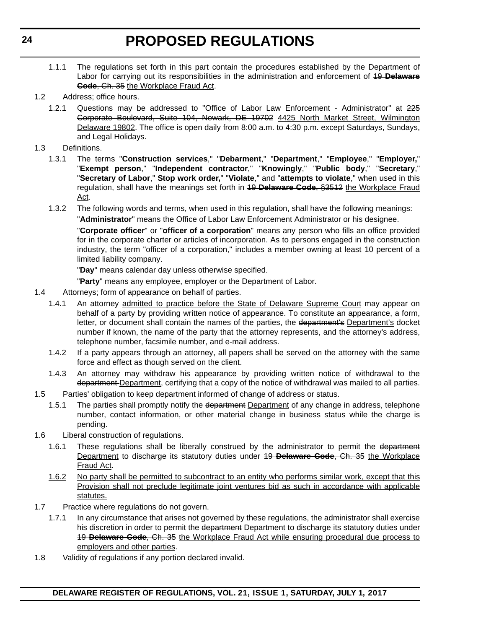- 1.1.1 The regulations set forth in this part contain the procedures established by the Department of Labor for carrying out its responsibilities in the administration and enforcement of 19 **Delaware Code**, Ch. 35 the Workplace Fraud Act.
- 1.2 Address; office hours.
	- 1.2.1 Questions may be addressed to "Office of Labor Law Enforcement Administrator" at 225 Corporate Boulevard, Suite 104, Newark, DE 19702 4425 North Market Street, Wilmington Delaware 19802. The office is open daily from 8:00 a.m. to 4:30 p.m. except Saturdays, Sundays, and Legal Holidays.
- 1.3 Definitions.
	- 1.3.1 The terms "**Construction services**," "**Debarment**," "**Department**," "**Employee**," "**Employer,**" "**Exempt person**," "**Independent contractor**," "**Knowingly**," "**Public body**," "**Secretary**," "**Secretary of Labor**," **Stop work order,**" "**Violate**," and "**attempts to violate**," when used in this regulation, shall have the meanings set forth in 19 **Delaware Code**, §3512 the Workplace Fraud Act.
	- 1.3.2 The following words and terms, when used in this regulation, shall have the following meanings:

"**Administrator**" means the Office of Labor Law Enforcement Administrator or his designee.

"**Corporate officer**" or "**officer of a corporation**" means any person who fills an office provided for in the corporate charter or articles of incorporation. As to persons engaged in the construction industry, the term "officer of a corporation," includes a member owning at least 10 percent of a limited liability company.

"**Day**" means calendar day unless otherwise specified.

"**Party**" means any employee, employer or the Department of Labor.

- 1.4 Attorneys; form of appearance on behalf of parties.
	- 1.4.1 An attorney admitted to practice before the State of Delaware Supreme Court may appear on behalf of a party by providing written notice of appearance. To constitute an appearance, a form, letter, or document shall contain the names of the parties, the department's Department's docket number if known, the name of the party that the attorney represents, and the attorney's address, telephone number, facsimile number, and e-mail address.
	- 1.4.2 If a party appears through an attorney, all papers shall be served on the attorney with the same force and effect as though served on the client.
	- 1.4.3 An attorney may withdraw his appearance by providing written notice of withdrawal to the department Department, certifying that a copy of the notice of withdrawal was mailed to all parties.
- 1.5 Parties' obligation to keep department informed of change of address or status.
	- 1.5.1 The parties shall promptly notify the department Department of any change in address, telephone number, contact information, or other material change in business status while the charge is pending.
- 1.6 Liberal construction of regulations.
	- 1.6.1 These regulations shall be liberally construed by the administrator to permit the department Department to discharge its statutory duties under 19 **Delaware Code**, Ch. 35 the Workplace Fraud Act.
	- 1.6.2 No party shall be permitted to subcontract to an entity who performs similar work, except that this Provision shall not preclude legitimate joint ventures bid as such in accordance with applicable statutes.
- 1.7 Practice where regulations do not govern.
	- 1.7.1 In any circumstance that arises not governed by these regulations, the administrator shall exercise his discretion in order to permit the department Department to discharge its statutory duties under 19 **Delaware Code**, Ch. 35 the Workplace Fraud Act while ensuring procedural due process to employers and other parties.
- 1.8 Validity of regulations if any portion declared invalid.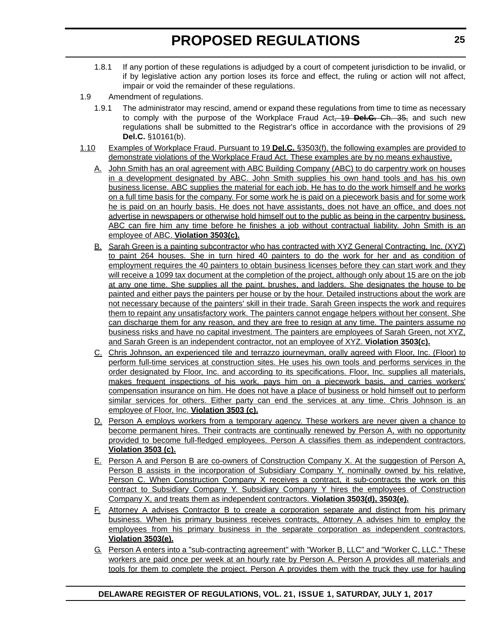- 1.8.1 If any portion of these regulations is adjudged by a court of competent jurisdiction to be invalid, or if by legislative action any portion loses its force and effect, the ruling or action will not affect, impair or void the remainder of these regulations.
- 1.9 Amendment of regulations.
	- 1.9.1 The administrator may rescind, amend or expand these regulations from time to time as necessary to comply with the purpose of the Workplace Fraud Act, 19 **Del.C.** Ch. 35, and such new regulations shall be submitted to the Registrar's office in accordance with the provisions of 29 **Del.C.** §10161(b).
- 1.10 Examples of Workplace Fraud. Pursuant to 19 **Del.C.** §3503(f), the following examples are provided to demonstrate violations of the Workplace Fraud Act. These examples are by no means exhaustive.
	- A. John Smith has an oral agreement with ABC Building Company (ABC) to do carpentry work on houses in a development designated by ABC. John Smith supplies his own hand tools and has his own business license. ABC supplies the material for each job. He has to do the work himself and he works on a full time basis for the company. For some work he is paid on a piecework basis and for some work he is paid on an hourly basis. He does not have assistants, does not have an office, and does not advertise in newspapers or otherwise hold himself out to the public as being in the carpentry business. ABC can fire him any time before he finishes a job without contractual liability. John Smith is an employee of ABC. **Violation 3503(c).**
	- B. Sarah Green is a painting subcontractor who has contracted with XYZ General Contracting, Inc. (XYZ) to paint 264 houses. She in turn hired 40 painters to do the work for her and as condition of employment requires the 40 painters to obtain business licenses before they can start work and they will receive a 1099 tax document at the completion of the project, although only about 15 are on the job at any one time. She supplies all the paint, brushes, and ladders. She designates the house to be painted and either pays the painters per house or by the hour. Detailed instructions about the work are not necessary because of the painters' skill in their trade. Sarah Green inspects the work and requires them to repaint any unsatisfactory work. The painters cannot engage helpers without her consent. She can discharge them for any reason, and they are free to resign at any time. The painters assume no business risks and have no capital investment. The painters are employees of Sarah Green, not XYZ, and Sarah Green is an independent contractor, not an employee of XYZ. **Violation 3503(c).**
	- C. Chris Johnson, an experienced tile and terrazzo journeyman, orally agreed with Floor, Inc. (Floor) to perform full-time services at construction sites. He uses his own tools and performs services in the order designated by Floor, Inc. and according to its specifications. Floor, Inc. supplies all materials, makes frequent inspections of his work, pays him on a piecework basis, and carries workers' compensation insurance on him. He does not have a place of business or hold himself out to perform similar services for others. Either party can end the services at any time. Chris Johnson is an employee of Floor, Inc. **Violation 3503 (c).**
	- D. Person A employs workers from a temporary agency. These workers are never given a chance to become permanent hires. Their contracts are continually renewed by Person A, with no opportunity provided to become full-fledged employees. Person A classifies them as independent contractors. **Violation 3503 (c).**
	- E. Person A and Person B are co-owners of Construction Company X. At the suggestion of Person A, Person B assists in the incorporation of Subsidiary Company Y, nominally owned by his relative, Person C. When Construction Company X receives a contract, it sub-contracts the work on this contract to Subsidiary Company Y. Subsidiary Company Y hires the employees of Construction Company X, and treats them as independent contractors. **Violation 3503(d), 3503(e).**
	- F. Attorney A advises Contractor B to create a corporation separate and distinct from his primary business. When his primary business receives contracts, Attorney A advises him to employ the employees from his primary business in the separate corporation as independent contractors. **Violation 3503(e).**
	- G. Person A enters into a "sub-contracting agreement" with "Worker B, LLC" and "Worker C, LLC." These workers are paid once per week at an hourly rate by Person A. Person A provides all materials and tools for them to complete the project. Person A provides them with the truck they use for hauling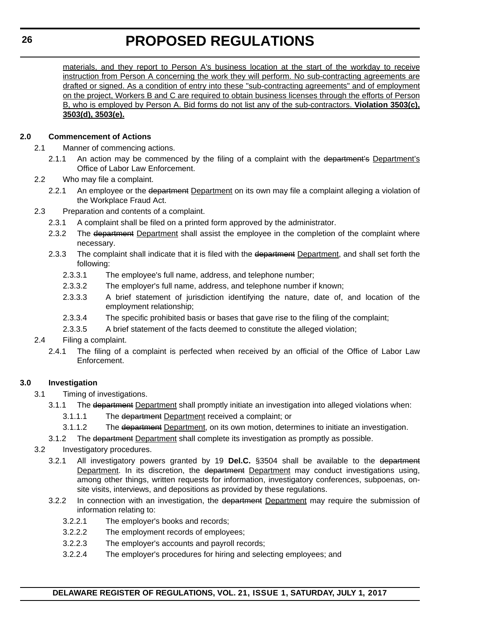materials, and they report to Person A's business location at the start of the workday to receive instruction from Person A concerning the work they will perform. No sub-contracting agreements are drafted or signed. As a condition of entry into these "sub-contracting agreements" and of employment on the project, Workers B and C are required to obtain business licenses through the efforts of Person B, who is employed by Person A. Bid forms do not list any of the sub-contractors. **Violation 3503(c), 3503(d), 3503(e).**

#### **2.0 Commencement of Actions**

- 2.1 Manner of commencing actions.
	- 2.1.1 An action may be commenced by the filing of a complaint with the department's Department's Office of Labor Law Enforcement.
- 2.2 Who may file a complaint.
	- 2.2.1 An employee or the department Department on its own may file a complaint alleging a violation of the Workplace Fraud Act.
- 2.3 Preparation and contents of a complaint.
	- 2.3.1 A complaint shall be filed on a printed form approved by the administrator.
	- 2.3.2 The department Department shall assist the employee in the completion of the complaint where necessary.
	- 2.3.3 The complaint shall indicate that it is filed with the department Department, and shall set forth the following:
		- 2.3.3.1 The employee's full name, address, and telephone number;
		- 2.3.3.2 The employer's full name, address, and telephone number if known;
		- 2.3.3.3 A brief statement of jurisdiction identifying the nature, date of, and location of the employment relationship;
		- 2.3.3.4 The specific prohibited basis or bases that gave rise to the filing of the complaint;
		- 2.3.3.5 A brief statement of the facts deemed to constitute the alleged violation;

#### 2.4 Filing a complaint.

2.4.1 The filing of a complaint is perfected when received by an official of the Office of Labor Law Enforcement.

#### **3.0 Investigation**

- 3.1 Timing of investigations.
	- 3.1.1 The department Department shall promptly initiate an investigation into alleged violations when:
		- 3.1.1.1 The department Department received a complaint; or
		- 3.1.1.2 The department Department, on its own motion, determines to initiate an investigation.
		- 3.1.2 The department Department shall complete its investigation as promptly as possible.
- 3.2 Investigatory procedures.
	- 3.2.1 All investigatory powers granted by 19 **Del.C.** §3504 shall be available to the department Department. In its discretion, the department Department may conduct investigations using, among other things, written requests for information, investigatory conferences, subpoenas, onsite visits, interviews, and depositions as provided by these regulations.
	- 3.2.2 In connection with an investigation, the department Department may require the submission of information relating to:
		- 3.2.2.1 The employer's books and records;
		- 3.2.2.2 The employment records of employees;
		- 3.2.2.3 The employer's accounts and payroll records;
		- 3.2.2.4 The employer's procedures for hiring and selecting employees; and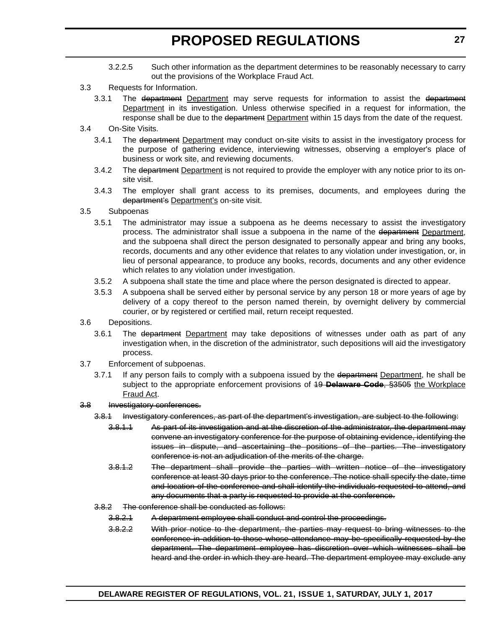- 3.2.2.5 Such other information as the department determines to be reasonably necessary to carry out the provisions of the Workplace Fraud Act.
- 3.3 Requests for Information.
	- 3.3.1 The department Department may serve requests for information to assist the department **Department** in its investigation. Unless otherwise specified in a request for information, the response shall be due to the department Department within 15 days from the date of the request.
- 3.4 On-Site Visits.
	- 3.4.1 The department Department may conduct on-site visits to assist in the investigatory process for the purpose of gathering evidence, interviewing witnesses, observing a employer's place of business or work site, and reviewing documents.
	- 3.4.2 The department Department is not required to provide the employer with any notice prior to its onsite visit.
	- 3.4.3 The employer shall grant access to its premises, documents, and employees during the department's Department's on-site visit.
- 3.5 Subpoenas
	- 3.5.1 The administrator may issue a subpoena as he deems necessary to assist the investigatory process. The administrator shall issue a subpoena in the name of the department Department, and the subpoena shall direct the person designated to personally appear and bring any books, records, documents and any other evidence that relates to any violation under investigation, or, in lieu of personal appearance, to produce any books, records, documents and any other evidence which relates to any violation under investigation.
	- 3.5.2 A subpoena shall state the time and place where the person designated is directed to appear.
	- 3.5.3 A subpoena shall be served either by personal service by any person 18 or more years of age by delivery of a copy thereof to the person named therein, by overnight delivery by commercial courier, or by registered or certified mail, return receipt requested.
- 3.6 Depositions.
	- 3.6.1 The department Department may take depositions of witnesses under oath as part of any investigation when, in the discretion of the administrator, such depositions will aid the investigatory process.
- 3.7 Enforcement of subpoenas.
	- 3.7.1 If any person fails to comply with a subpoena issued by the department Department, he shall be subject to the appropriate enforcement provisions of 19 **Delaware Code**, §3505 the Workplace Fraud Act.
- 3.8 Investigatory conferences.
	- 3.8.1 Investigatory conferences, as part of the department's investigation, are subject to the following:
		- 3.8.1.1 As part of its investigation and at the discretion of the administrator, the department may convene an investigatory conference for the purpose of obtaining evidence, identifying the issues in dispute, and ascertaining the positions of the parties. The investigatory conference is not an adjudication of the merits of the charge.
		- 3.8.1.2 The department shall provide the parties with written notice of the investigatory conference at least 30 days prior to the conference. The notice shall specify the date, time and location of the conference and shall identify the individuals requested to attend, and any documents that a party is requested to provide at the conference.
	- 3.8.2 The conference shall be conducted as follows:
		- 3.8.2.1 A department employee shall conduct and control the proceedings.
		- 3.8.2.2 With prior notice to the department, the parties may request to bring witnesses to the conference in addition to those whose attendance may be specifically requested by the department. The department employee has discretion over which witnesses shall be heard and the order in which they are heard. The department employee may exclude any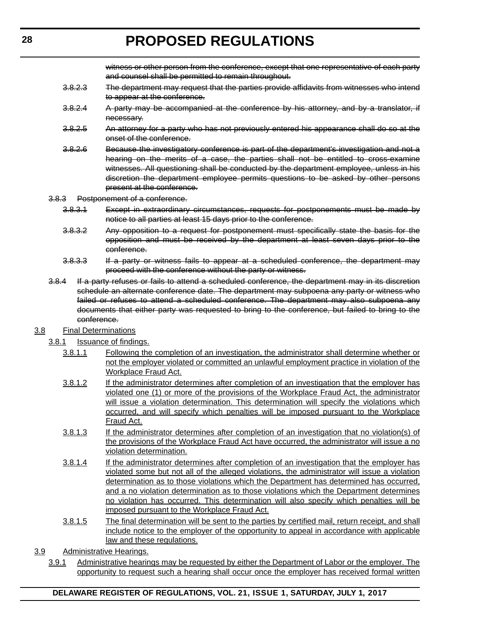witness or other person from the conference, except that one representative of each party and counsel shall be permitted to remain throughout.

- 3.8.2.3 The department may request that the parties provide affidavits from witnesses who intend to appear at the conference.
- 3.8.2.4 A party may be accompanied at the conference by his attorney, and by a translator, if necessary.
- 3.8.2.5 An attorney for a party who has not previously entered his appearance shall do so at the onset of the conference.
- 3.8.2.6 Because the investigatory conference is part of the department's investigation and not a hearing on the merits of a case, the parties shall not be entitled to cross-examine witnesses. All questioning shall be conducted by the department employee, unless in his discretion the department employee permits questions to be asked by other persons present at the conference.
- 3.8.3 Postponement of a conference.
	- 3.8.3.1 Except in extraordinary circumstances, requests for postponements must be made by notice to all parties at least 15 days prior to the conference.
	- 3.8.3.2 Any opposition to a request for postponement must specifically state the basis for the opposition and must be received by the department at least seven days prior to the conference.
	- 3.8.3.3 If a party or witness fails to appear at a scheduled conference, the department may proceed with the conference without the party or witness.
- 3.8.4 If a party refuses or fails to attend a scheduled conference, the department may in its discretion schedule an alternate conference date. The department may subpoena any party or witness who failed or refuses to attend a scheduled conference. The department may also subpoena any documents that either party was requested to bring to the conference, but failed to bring to the conference.

#### 3.8 Final Determinations

- 3.8.1 Issuance of findings.
	- 3.8.1.1 Following the completion of an investigation, the administrator shall determine whether or not the employer violated or committed an unlawful employment practice in violation of the Workplace Fraud Act.
	- 3.8.1.2 If the administrator determines after completion of an investigation that the employer has violated one (1) or more of the provisions of the Workplace Fraud Act, the administrator will issue a violation determination. This determination will specify the violations which occurred, and will specify which penalties will be imposed pursuant to the Workplace Fraud Act.
	- 3.8.1.3 If the administrator determines after completion of an investigation that no violation(s) of the provisions of the Workplace Fraud Act have occurred, the administrator will issue a no violation determination.
	- 3.8.1.4 If the administrator determines after completion of an investigation that the employer has violated some but not all of the alleged violations, the administrator will issue a violation determination as to those violations which the Department has determined has occurred, and a no violation determination as to those violations which the Department determines no violation has occurred. This determination will also specify which penalties will be imposed pursuant to the Workplace Fraud Act.
	- 3.8.1.5 The final determination will be sent to the parties by certified mail, return receipt, and shall include notice to the employer of the opportunity to appeal in accordance with applicable law and these regulations.
- 3.9 Administrative Hearings.
	- 3.9.1 Administrative hearings may be requested by either the Department of Labor or the employer. The opportunity to request such a hearing shall occur once the employer has received formal written

#### **DELAWARE REGISTER OF REGULATIONS, VOL. 21, ISSUE 1, SATURDAY, JULY 1, 2017**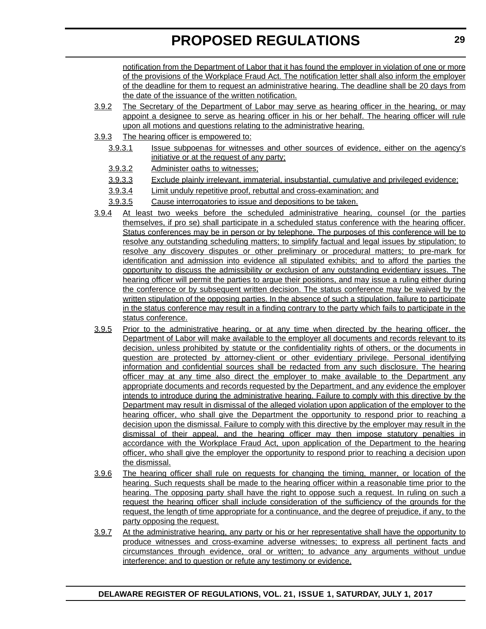notification from the Department of Labor that it has found the employer in violation of one or more of the provisions of the Workplace Fraud Act. The notification letter shall also inform the employer of the deadline for them to request an administrative hearing. The deadline shall be 20 days from the date of the issuance of the written notification.

- 3.9.2 The Secretary of the Department of Labor may serve as hearing officer in the hearing, or may appoint a designee to serve as hearing officer in his or her behalf. The hearing officer will rule upon all motions and questions relating to the administrative hearing.
- 3.9.3 The hearing officer is empowered to:
	- 3.9.3.1 Issue subpoenas for witnesses and other sources of evidence, either on the agency's initiative or at the request of any party;
	- 3.9.3.2 Administer oaths to witnesses;
	- 3.9.3.3 Exclude plainly irrelevant, immaterial, insubstantial, cumulative and privileged evidence;
	- 3.9.3.4 Limit unduly repetitive proof, rebuttal and cross-examination; and
	- 3.9.3.5 Cause interrogatories to issue and depositions to be taken.
- 3.9.4 At least two weeks before the scheduled administrative hearing, counsel (or the parties themselves, if pro se) shall participate in a scheduled status conference with the hearing officer. Status conferences may be in person or by telephone. The purposes of this conference will be to resolve any outstanding scheduling matters; to simplify factual and legal issues by stipulation; to resolve any discovery disputes or other preliminary or procedural matters; to pre-mark for identification and admission into evidence all stipulated exhibits; and to afford the parties the opportunity to discuss the admissibility or exclusion of any outstanding evidentiary issues. The hearing officer will permit the parties to argue their positions, and may issue a ruling either during the conference or by subsequent written decision. The status conference may be waived by the written stipulation of the opposing parties. In the absence of such a stipulation, failure to participate in the status conference may result in a finding contrary to the party which fails to participate in the status conference.
- 3.9.5 Prior to the administrative hearing, or at any time when directed by the hearing officer, the Department of Labor will make available to the employer all documents and records relevant to its decision, unless prohibited by statute or the confidentiality rights of others, or the documents in question are protected by attorney-client or other evidentiary privilege. Personal identifying information and confidential sources shall be redacted from any such disclosure. The hearing officer may at any time also direct the employer to make available to the Department any appropriate documents and records requested by the Department, and any evidence the employer intends to introduce during the administrative hearing. Failure to comply with this directive by the Department may result in dismissal of the alleged violation upon application of the employer to the hearing officer, who shall give the Department the opportunity to respond prior to reaching a decision upon the dismissal. Failure to comply with this directive by the employer may result in the dismissal of their appeal, and the hearing officer may then impose statutory penalties in accordance with the Workplace Fraud Act, upon application of the Department to the hearing officer, who shall give the employer the opportunity to respond prior to reaching a decision upon the dismissal.
- 3.9.6 The hearing officer shall rule on requests for changing the timing, manner, or location of the hearing. Such requests shall be made to the hearing officer within a reasonable time prior to the hearing. The opposing party shall have the right to oppose such a request. In ruling on such a request the hearing officer shall include consideration of the sufficiency of the grounds for the request, the length of time appropriate for a continuance, and the degree of prejudice, if any, to the party opposing the request.
- 3.9.7 At the administrative hearing, any party or his or her representative shall have the opportunity to produce witnesses and cross-examine adverse witnesses; to express all pertinent facts and circumstances through evidence, oral or written; to advance any arguments without undue interference; and to question or refute any testimony or evidence.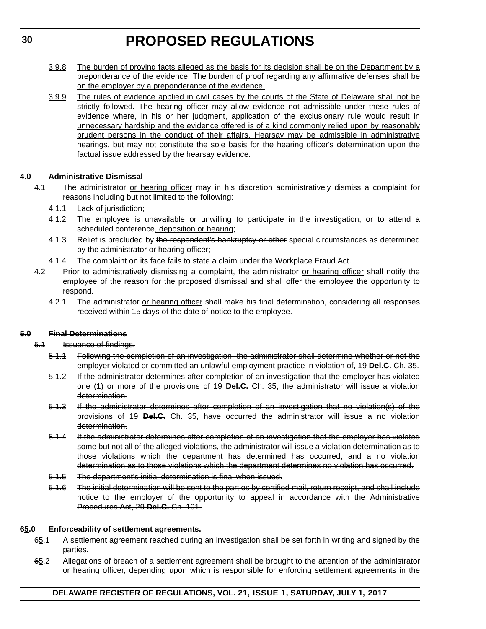- 3.9.8 The burden of proving facts alleged as the basis for its decision shall be on the Department by a preponderance of the evidence. The burden of proof regarding any affirmative defenses shall be on the employer by a preponderance of the evidence.
- 3.9.9 The rules of evidence applied in civil cases by the courts of the State of Delaware shall not be strictly followed. The hearing officer may allow evidence not admissible under these rules of evidence where, in his or her judgment, application of the exclusionary rule would result in unnecessary hardship and the evidence offered is of a kind commonly relied upon by reasonably prudent persons in the conduct of their affairs. Hearsay may be admissible in administrative hearings, but may not constitute the sole basis for the hearing officer's determination upon the factual issue addressed by the hearsay evidence.

#### **4.0 Administrative Dismissal**

- 4.1 The administrator or hearing officer may in his discretion administratively dismiss a complaint for reasons including but not limited to the following:
	- 4.1.1 Lack of jurisdiction;
	- 4.1.2 The employee is unavailable or unwilling to participate in the investigation, or to attend a scheduled conference, deposition or hearing;
	- 4.1.3 Relief is precluded by the respondent's bankruptcy or other special circumstances as determined by the administrator or hearing officer;
	- 4.1.4 The complaint on its face fails to state a claim under the Workplace Fraud Act.
- 4.2 Prior to administratively dismissing a complaint, the administrator or hearing officer shall notify the employee of the reason for the proposed dismissal and shall offer the employee the opportunity to respond.
	- 4.2.1 The administrator or hearing officer shall make his final determination, considering all responses received within 15 days of the date of notice to the employee.

#### **5.0 Final Determinations**

- 5.1 Issuance of findings.
	- 5.1.1 Following the completion of an investigation, the administrator shall determine whether or not the employer violated or committed an unlawful employment practice in violation of, 19 **Del.C.** Ch. 35.
	- 5.1.2 If the administrator determines after completion of an investigation that the employer has violated one (1) or more of the provisions of 19 **Del.C.** Ch. 35, the administrator will issue a violation determination.
	- 5.1.3 If the administrator determines after completion of an investigation that no violation(s) of the provisions of 19 **Del.C.** Ch. 35, have occurred the administrator will issue a no violation determination.
	- 5.1.4 If the administrator determines after completion of an investigation that the employer has violated some but not all of the alleged violations, the administrator will issue a violation determination as to those violations which the department has determined has occurred, and a no violation determination as to those violations which the department determines no violation has occurred.
	- 5.1.5 The department's initial determination is final when issued.
	- 5.1.6 The initial determination will be sent to the parties by certified mail, return receipt, and shall include notice to the employer of the opportunity to appeal in accordance with the Administrative Procedures Act, 29 **Del.C.** Ch. 101.

#### **65.0 Enforceability of settlement agreements.**

- 65.1 A settlement agreement reached during an investigation shall be set forth in writing and signed by the parties.
- 65.2 Allegations of breach of a settlement agreement shall be brought to the attention of the administrator or hearing officer, depending upon which is responsible for enforcing settlement agreements in the

#### **DELAWARE REGISTER OF REGULATIONS, VOL. 21, ISSUE 1, SATURDAY, JULY 1, 2017**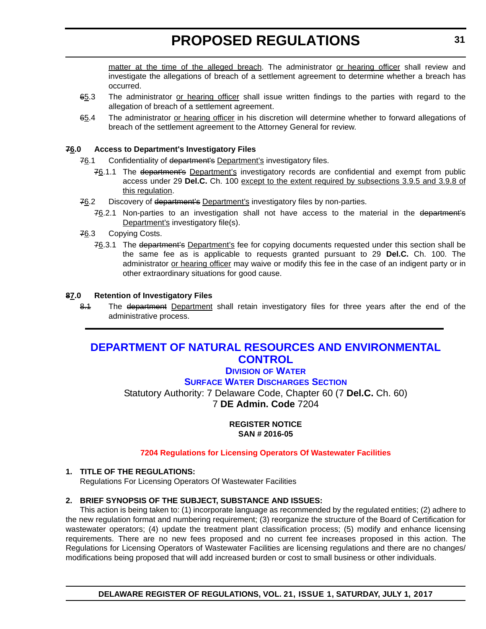<span id="page-30-0"></span>matter at the time of the alleged breach. The administrator or hearing officer shall review and investigate the allegations of breach of a settlement agreement to determine whether a breach has occurred.

- 65.3 The administrator or hearing officer shall issue written findings to the parties with regard to the allegation of breach of a settlement agreement.
- 65.4 The administrator or hearing officer in his discretion will determine whether to forward allegations of breach of the settlement agreement to the Attorney General for review.

#### **76.0 Access to Department's Investigatory Files**

- 76.1 Confidentiality of department's Department's investigatory files.
	- 76.1.1 The department's Department's investigatory records are confidential and exempt from public access under 29 **Del.C.** Ch. 100 except to the extent required by subsections 3.9.5 and 3.9.8 of this regulation.
- 76.2 Discovery of department's Department's investigatory files by non-parties.
	- 76.2.1 Non-parties to an investigation shall not have access to the material in the department's Department's investigatory file(s).
- 76.3 Copying Costs.
	- 76.3.1 The department's Department's fee for copying documents requested under this section shall be the same fee as is applicable to requests granted pursuant to 29 **Del.C.** Ch. 100. The administrator or hearing officer may waive or modify this fee in the case of an indigent party or in other extraordinary situations for good cause.

#### **87.0 Retention of Investigatory Files**

8.1 The department Department shall retain investigatory files for three years after the end of the administrative process.

### **[DEPARTMENT OF NATURAL RESOURCES AND ENVIRONMENTAL](http://www.dnrec.delaware.gov/Pages/Portal.aspx)  CONTROL**

#### **DIVISION [OF WATER](http://www.dnrec.delaware.gov/wr/Pages/Default.aspx)**

**[SURFACE WATER DISCHARGES SECTION](http://www.dnrec.delaware.gov/wr/Services/Pages/SurfaceWaterDischarges.aspx)**

Statutory Authority: 7 Delaware Code, Chapter 60 (7 **Del.C.** Ch. 60) 7 **DE Admin. Code** 7204

> **REGISTER NOTICE SAN # 2016-05**

#### **[7204 Regulations for Licensing Operators Of Wastewater Facilities](#page-3-0)**

#### **1. TITLE OF THE REGULATIONS:**

Regulations For Licensing Operators Of Wastewater Facilities

#### **2. BRIEF SYNOPSIS OF THE SUBJECT, SUBSTANCE AND ISSUES:**

This action is being taken to: (1) incorporate language as recommended by the regulated entities; (2) adhere to the new regulation format and numbering requirement; (3) reorganize the structure of the Board of Certification for wastewater operators; (4) update the treatment plant classification process; (5) modify and enhance licensing requirements. There are no new fees proposed and no current fee increases proposed in this action. The Regulations for Licensing Operators of Wastewater Facilities are licensing regulations and there are no changes/ modifications being proposed that will add increased burden or cost to small business or other individuals.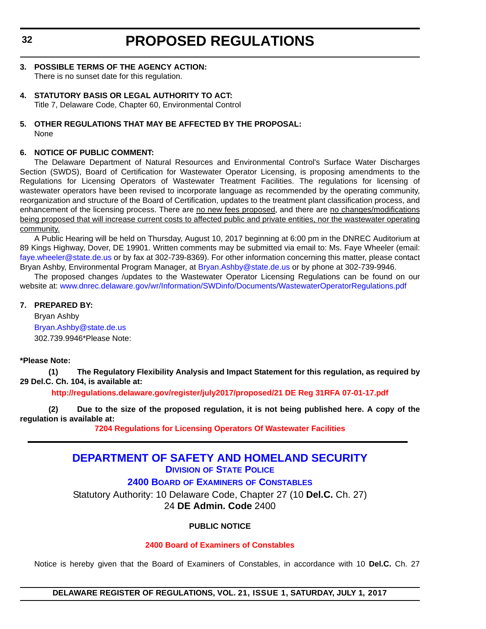#### <span id="page-31-0"></span>**3. POSSIBLE TERMS OF THE AGENCY ACTION:** There is no sunset date for this regulation.

#### **4. STATUTORY BASIS OR LEGAL AUTHORITY TO ACT:**

Title 7, Delaware Code, Chapter 60, Environmental Control

#### **5. OTHER REGULATIONS THAT MAY BE AFFECTED BY THE PROPOSAL:** None

#### **6. NOTICE OF PUBLIC COMMENT:**

The Delaware Department of Natural Resources and Environmental Control's Surface Water Discharges Section (SWDS), Board of Certification for Wastewater Operator Licensing, is proposing amendments to the Regulations for Licensing Operators of Wastewater Treatment Facilities. The regulations for licensing of wastewater operators have been revised to incorporate language as recommended by the operating community, reorganization and structure of the Board of Certification, updates to the treatment plant classification process, and enhancement of the licensing process. There are no new fees proposed, and there are no changes/modifications being proposed that will increase current costs to affected public and private entities, nor the wastewater operating community.

A Public Hearing will be held on Thursday, August 10, 2017 beginning at 6:00 pm in the DNREC Auditorium at 89 Kings Highway, Dover, DE 19901. Written comments may be submitted via email to: Ms. Faye Wheeler (email: [faye.wheeler@state.de.us](mailto:fayewheeler@state.de.us) or by fax at 302-739-8369). For other information concerning this matter, please contact Bryan Ashby, Environmental Program Manager, at [Bryan.Ashby@state.de.us](mailto:Bryan.Ashby@state.de.us) or by phone at 302-739-9946.

The proposed changes /updates to the Wastewater Operator Licensing Regulations can be found on our website at: [www.dnrec.delaware.gov/wr/Information/SWDinfo/Documents/WastewaterOperatorRegulations.pdf](http://www.dnrec.delaware.gov/wr/Information/SWDinfo/Documents/WastewaterOperatorRegulations.pdf)

#### **7. PREPARED BY:**

Bryan Ashby [Bryan.Ashby@state.de.us](mailto:Bryan.Ashby@state.de.us) 302.739.9946\*Please Note:

#### **\*Please Note:**

**(1) The Regulatory Flexibility Analysis and Impact Statement for this regulation, as required by 29 Del.C. Ch. 104, is available at:**

**<http://regulations.delaware.gov/register/july2017/proposed/21 DE Reg 31RFA 07-01-17.pdf>**

**(2) Due to the size of the proposed regulation, it is not being published here. A copy of the regulation is available at:**

**[7204 Regulations for Licensing Operators Of Wastewater Facilities](http://regulations.delaware.gov/register/july2017/proposed/21 DE Reg 31 07-01-17.htm)** 

#### **[DEPARTMENT OF SAFETY AND HOMELAND SECURITY](http://dshs.delaware.gov/) DIVISION [OF STATE POLICE](http://dsp.delaware.gov/)**

**2400 BOARD OF EXAMINERS [OF CONSTABLES](http://dsp.delaware.gov/)**

Statutory Authority: 10 Delaware Code, Chapter 27 (10 **Del.C.** Ch. 27) 24 **DE Admin. Code** 2400

#### **PUBLIC NOTICE**

#### **[2400 Board of Examiners of Constables](#page-3-0)**

Notice is hereby given that the Board of Examiners of Constables, in accordance with 10 **Del.C.** Ch. 27

#### **DELAWARE REGISTER OF REGULATIONS, VOL. 21, ISSUE 1, SATURDAY, JULY 1, 2017**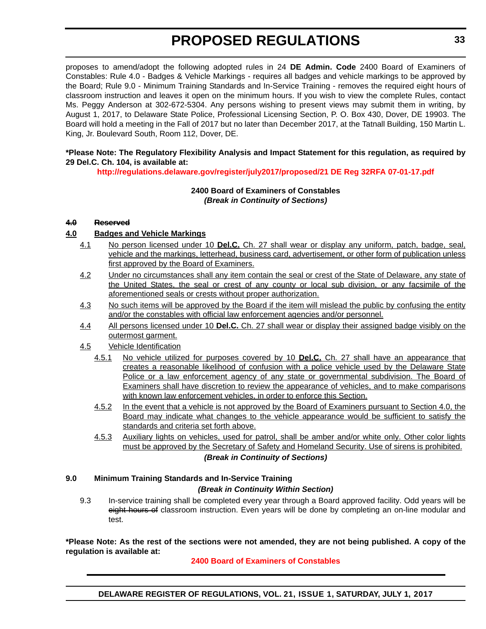proposes to amend/adopt the following adopted rules in 24 **DE Admin. Code** 2400 Board of Examiners of Constables: Rule 4.0 - Badges & Vehicle Markings - requires all badges and vehicle markings to be approved by the Board; Rule 9.0 - Minimum Training Standards and In-Service Training - removes the required eight hours of classroom instruction and leaves it open on the minimum hours. If you wish to view the complete Rules, contact Ms. Peggy Anderson at 302-672-5304. Any persons wishing to present views may submit them in writing, by August 1, 2017, to Delaware State Police, Professional Licensing Section, P. O. Box 430, Dover, DE 19903. The Board will hold a meeting in the Fall of 2017 but no later than December 2017, at the Tatnall Building, 150 Martin L. King, Jr. Boulevard South, Room 112, Dover, DE.

#### **\*Please Note: The Regulatory Flexibility Analysis and Impact Statement for this regulation, as required by 29 Del.C. Ch. 104, is available at:**

**<http://regulations.delaware.gov/register/july2017/proposed/21 DE Reg 32RFA 07-01-17.pdf>**

#### **2400 Board of Examiners of Constables** *(Break in Continuity of Sections)*

#### **4.0 Reserved**

#### **4.0 Badges and Vehicle Markings**

- 4.1 No person licensed under 10 **Del.C.** Ch. 27 shall wear or display any uniform, patch, badge, seal, vehicle and the markings, letterhead, business card, advertisement, or other form of publication unless first approved by the Board of Examiners.
- 4.2 Under no circumstances shall any item contain the seal or crest of the State of Delaware, any state of the United States, the seal or crest of any county or local sub division, or any facsimile of the aforementioned seals or crests without proper authorization.
- 4.3 No such items will be approved by the Board if the item will mislead the public by confusing the entity and/or the constables with official law enforcement agencies and/or personnel.
- 4.4 All persons licensed under 10 **Del.C.** Ch. 27 shall wear or display their assigned badge visibly on the outermost garment.
- 4.5 Vehicle Identification
	- 4.5.1 No vehicle utilized for purposes covered by 10 **Del.C.** Ch. 27 shall have an appearance that creates a reasonable likelihood of confusion with a police vehicle used by the Delaware State Police or a law enforcement agency of any state or governmental subdivision. The Board of Examiners shall have discretion to review the appearance of vehicles, and to make comparisons with known law enforcement vehicles, in order to enforce this Section.
	- 4.5.2 In the event that a vehicle is not approved by the Board of Examiners pursuant to Section 4.0, the Board may indicate what changes to the vehicle appearance would be sufficient to satisfy the standards and criteria set forth above.
	- 4.5.3 Auxiliary lights on vehicles, used for patrol, shall be amber and/or white only. Other color lights must be approved by the Secretary of Safety and Homeland Security. Use of sirens is prohibited.

#### *(Break in Continuity of Sections)*

#### **9.0 Minimum Training Standards and In-Service Training** *(Break in Continuity Within Section)*

9.3 In-service training shall be completed every year through a Board approved facility. Odd years will be eight hours of classroom instruction. Even years will be done by completing an on-line modular and test.

#### **\*Please Note: As the rest of the sections were not amended, they are not being published. A copy of the regulation is available at:**

#### **[2400 Board of Examiners of Constables](http://regulations.delaware.gov/register/july2017/proposed/21 DE Reg 32 07-01-17.htm)**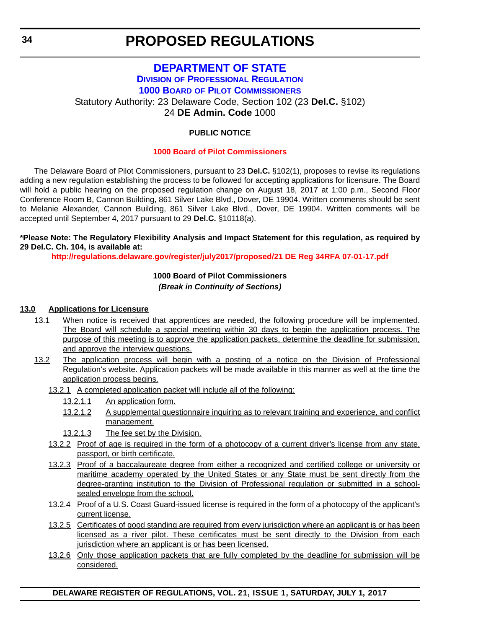### <span id="page-33-0"></span>**[DEPARTMENT OF STATE](http://sos.delaware.gov/) DIVISION [OF PROFESSIONAL REGULATION](http://dpr.delaware.gov/) 1000 BOARD [OF PILOT COMMISSIONERS](http://dpr.delaware.gov/boards/riverpilots/)** Statutory Authority: 23 Delaware Code, Section 102 (23 **Del.C.** §102) 24 **DE Admin. Code** 1000

#### **PUBLIC NOTICE**

#### **[1000 Board of Pilot Commissioners](#page-3-0)**

The Delaware Board of Pilot Commissioners, pursuant to 23 **Del.C.** §102(1), proposes to revise its regulations adding a new regulation establishing the process to be followed for accepting applications for licensure. The Board will hold a public hearing on the proposed regulation change on August 18, 2017 at 1:00 p.m., Second Floor Conference Room B, Cannon Building, 861 Silver Lake Blvd., Dover, DE 19904. Written comments should be sent to Melanie Alexander, Cannon Building, 861 Silver Lake Blvd., Dover, DE 19904. Written comments will be accepted until September 4, 2017 pursuant to 29 **Del.C.** §10118(a).

#### **\*Please Note: The Regulatory Flexibility Analysis and Impact Statement for this regulation, as required by 29 Del.C. Ch. 104, is available at:**

**<http://regulations.delaware.gov/register/july2017/proposed/21 DE Reg 34RFA 07-01-17.pdf>**

#### **1000 Board of Pilot Commissioners** *(Break in Continuity of Sections)*

#### **13.0 Applications for Licensure**

- 13.1 When notice is received that apprentices are needed, the following procedure will be implemented. The Board will schedule a special meeting within 30 days to begin the application process. The purpose of this meeting is to approve the application packets, determine the deadline for submission, and approve the interview questions.
- 13.2 The application process will begin with a posting of a notice on the Division of Professional Regulation's website. Application packets will be made available in this manner as well at the time the application process begins.
	- 13.2.1 A completed application packet will include all of the following:
		- 13.2.1.1 An application form.
		- 13.2.1.2 A supplemental questionnaire inquiring as to relevant training and experience, and conflict management.
		- 13.2.1.3 The fee set by the Division.
	- 13.2.2 Proof of age is required in the form of a photocopy of a current driver's license from any state, passport, or birth certificate.
	- 13.2.3 Proof of a baccalaureate degree from either a recognized and certified college or university or maritime academy operated by the United States or any State must be sent directly from the degree-granting institution to the Division of Professional regulation or submitted in a schoolsealed envelope from the school.
	- 13.2.4 Proof of a U.S. Coast Guard-issued license is required in the form of a photocopy of the applicant's current license.
	- 13.2.5 Certificates of good standing are required from every jurisdiction where an applicant is or has been licensed as a river pilot. These certificates must be sent directly to the Division from each jurisdiction where an applicant is or has been licensed.
	- 13.2.6 Only those application packets that are fully completed by the deadline for submission will be considered.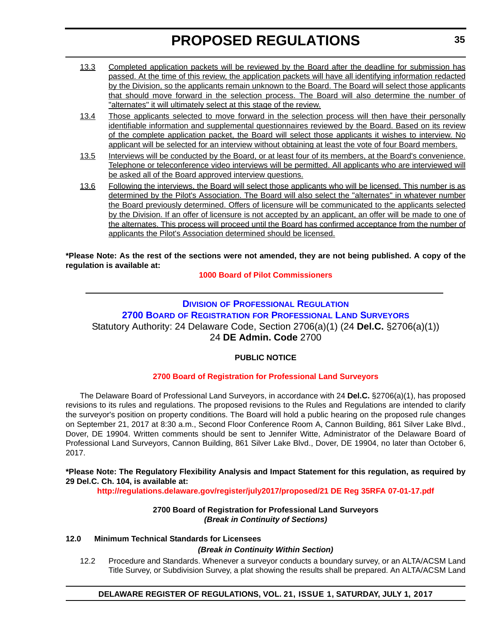- <span id="page-34-0"></span>13.3 Completed application packets will be reviewed by the Board after the deadline for submission has passed. At the time of this review, the application packets will have all identifying information redacted by the Division, so the applicants remain unknown to the Board. The Board will select those applicants that should move forward in the selection process. The Board will also determine the number of "alternates" it will ultimately select at this stage of the review.
- 13.4 Those applicants selected to move forward in the selection process will then have their personally identifiable information and supplemental questionnaires reviewed by the Board. Based on its review of the complete application packet, the Board will select those applicants it wishes to interview. No applicant will be selected for an interview without obtaining at least the vote of four Board members.
- 13.5 Interviews will be conducted by the Board, or at least four of its members, at the Board's convenience. Telephone or teleconference video interviews will be permitted. All applicants who are interviewed will be asked all of the Board approved interview questions.
- 13.6 Following the interviews, the Board will select those applicants who will be licensed. This number is as determined by the Pilot's Association. The Board will also select the "alternates" in whatever number the Board previously determined. Offers of licensure will be communicated to the applicants selected by the Division. If an offer of licensure is not accepted by an applicant, an offer will be made to one of the alternates. This process will proceed until the Board has confirmed acceptance from the number of applicants the Pilot's Association determined should be licensed.

**\*Please Note: As the rest of the sections were not amended, they are not being published. A copy of the regulation is available at:**

**[1000 Board of Pilot Commissioners](http://regulations.delaware.gov/register/july2017/proposed/21 DE Reg 34 07-01-17.htm)** 

### **DIVISION [OF PROFESSIONAL REGULATION](http://dpr.delaware.gov/) 2700 BOARD OF REGISTRATION [FOR PROFESSIONAL LAND SURVEYORS](http://dpr.delaware.gov/boards/landsurveyors/)** Statutory Authority: 24 Delaware Code, Section 2706(a)(1) (24 **Del.C.** §2706(a)(1)) 24 **DE Admin. Code** 2700

#### **PUBLIC NOTICE**

#### **[2700 Board of Registration for Professional Land Surveyors](#page-3-0)**

The Delaware Board of Professional Land Surveyors, in accordance with 24 **Del.C.** §2706(a)(1), has proposed revisions to its rules and regulations. The proposed revisions to the Rules and Regulations are intended to clarify the surveyor's position on property conditions. The Board will hold a public hearing on the proposed rule changes on September 21, 2017 at 8:30 a.m., Second Floor Conference Room A, Cannon Building, 861 Silver Lake Blvd., Dover, DE 19904. Written comments should be sent to Jennifer Witte, Administrator of the Delaware Board of Professional Land Surveyors, Cannon Building, 861 Silver Lake Blvd., Dover, DE 19904, no later than October 6, 2017.

#### **\*Please Note: The Regulatory Flexibility Analysis and Impact Statement for this regulation, as required by 29 Del.C. Ch. 104, is available at:**

**<http://regulations.delaware.gov/register/july2017/proposed/21 DE Reg 35RFA 07-01-17.pdf>**

#### **2700 Board of Registration for Professional Land Surveyors** *(Break in Continuity of Sections)*

#### **12.0 Minimum Technical Standards for Licensees**

#### *(Break in Continuity Within Section)*

12.2 Procedure and Standards. Whenever a surveyor conducts a boundary survey, or an ALTA/ACSM Land Title Survey, or Subdivision Survey, a plat showing the results shall be prepared. An ALTA/ACSM Land

#### **DELAWARE REGISTER OF REGULATIONS, VOL. 21, ISSUE 1, SATURDAY, JULY 1, 2017**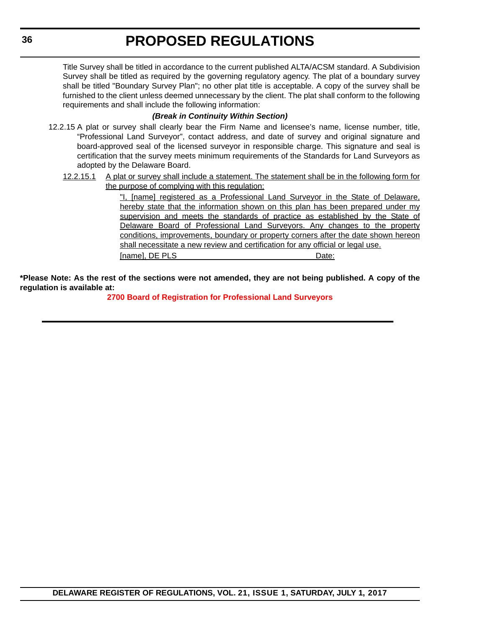Title Survey shall be titled in accordance to the current published ALTA/ACSM standard. A Subdivision Survey shall be titled as required by the governing regulatory agency. The plat of a boundary survey shall be titled "Boundary Survey Plan"; no other plat title is acceptable. A copy of the survey shall be furnished to the client unless deemed unnecessary by the client. The plat shall conform to the following requirements and shall include the following information:

#### *(Break in Continuity Within Section)*

- 12.2.15 A plat or survey shall clearly bear the Firm Name and licensee's name, license number, title, "Professional Land Surveyor", contact address, and date of survey and original signature and board-approved seal of the licensed surveyor in responsible charge. This signature and seal is certification that the survey meets minimum requirements of the Standards for Land Surveyors as adopted by the Delaware Board.
	- 12.2.15.1 A plat or survey shall include a statement. The statement shall be in the following form for the purpose of complying with this regulation:

"I, [name] registered as a Professional Land Surveyor in the State of Delaware, hereby state that the information shown on this plan has been prepared under my supervision and meets the standards of practice as established by the State of Delaware Board of Professional Land Surveyors. Any changes to the property conditions, improvements, boundary or property corners after the date shown hereon shall necessitate a new review and certification for any official or legal use. [name], DE PLS **Date:** 

**\*Please Note: As the rest of the sections were not amended, they are not being published. A copy of the regulation is available at:**

**[2700 Board of Registration for Professional Land Surveyors](http://regulations.delaware.gov/register/july2017/proposed/21 DE Reg 35 07-01-17.htm)**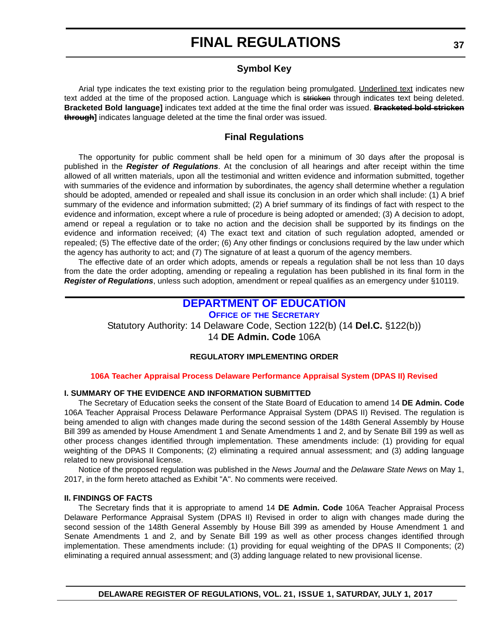### **Symbol Key**

<span id="page-36-0"></span>Arial type indicates the text existing prior to the regulation being promulgated. Underlined text indicates new text added at the time of the proposed action. Language which is stricken through indicates text being deleted. **Bracketed Bold language]** indicates text added at the time the final order was issued. **Bracketed bold stricken through]** indicates language deleted at the time the final order was issued.

#### **Final Regulations**

The opportunity for public comment shall be held open for a minimum of 30 days after the proposal is published in the *Register of Regulations*. At the conclusion of all hearings and after receipt within the time allowed of all written materials, upon all the testimonial and written evidence and information submitted, together with summaries of the evidence and information by subordinates, the agency shall determine whether a regulation should be adopted, amended or repealed and shall issue its conclusion in an order which shall include: (1) A brief summary of the evidence and information submitted; (2) A brief summary of its findings of fact with respect to the evidence and information, except where a rule of procedure is being adopted or amended; (3) A decision to adopt, amend or repeal a regulation or to take no action and the decision shall be supported by its findings on the evidence and information received; (4) The exact text and citation of such regulation adopted, amended or repealed; (5) The effective date of the order; (6) Any other findings or conclusions required by the law under which the agency has authority to act; and (7) The signature of at least a quorum of the agency members.

The effective date of an order which adopts, amends or repeals a regulation shall be not less than 10 days from the date the order adopting, amending or repealing a regulation has been published in its final form in the *Register of Regulations*, unless such adoption, amendment or repeal qualifies as an emergency under §10119.

### **[DEPARTMENT OF EDUCATION](https://www.doe.k12.de.us/)**

**OFFICE OF [THE SECRETARY](https://pubapps.doe.k12.de.us/EducationalDirectoryPublic/pages/DDOE/Branches.aspx?page=branches&BID=1)**

Statutory Authority: 14 Delaware Code, Section 122(b) (14 **Del.C.** §122(b)) 14 **DE Admin. Code** 106A

#### **REGULATORY IMPLEMENTING ORDER**

#### **[106A Teacher Appraisal Process Delaware Performance Appraisal System \(DPAS II\) Revised](#page-3-0)**

#### **I. SUMMARY OF THE EVIDENCE AND INFORMATION SUBMITTED**

The Secretary of Education seeks the consent of the State Board of Education to amend 14 **DE Admin. Code** 106A Teacher Appraisal Process Delaware Performance Appraisal System (DPAS II) Revised. The regulation is being amended to align with changes made during the second session of the 148th General Assembly by House Bill 399 as amended by House Amendment 1 and Senate Amendments 1 and 2, and by Senate Bill 199 as well as other process changes identified through implementation. These amendments include: (1) providing for equal weighting of the DPAS II Components; (2) eliminating a required annual assessment; and (3) adding language related to new provisional license.

Notice of the proposed regulation was published in the *News Journal* and the *Delaware State News* on May 1, 2017, in the form hereto attached as Exhibit "A". No comments were received.

#### **II. FINDINGS OF FACTS**

The Secretary finds that it is appropriate to amend 14 **DE Admin. Code** 106A Teacher Appraisal Process Delaware Performance Appraisal System (DPAS II) Revised in order to align with changes made during the second session of the 148th General Assembly by House Bill 399 as amended by House Amendment 1 and Senate Amendments 1 and 2, and by Senate Bill 199 as well as other process changes identified through implementation. These amendments include: (1) providing for equal weighting of the DPAS II Components; (2) eliminating a required annual assessment; and (3) adding language related to new provisional license.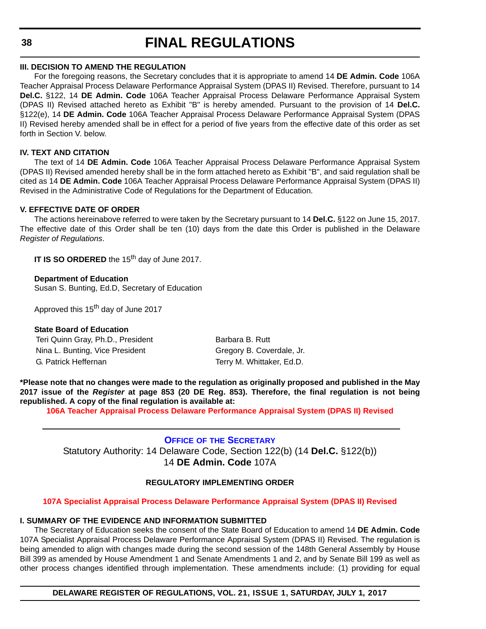<span id="page-37-0"></span>**38**

# **FINAL REGULATIONS**

#### **III. DECISION TO AMEND THE REGULATION**

For the foregoing reasons, the Secretary concludes that it is appropriate to amend 14 **DE Admin. Code** 106A Teacher Appraisal Process Delaware Performance Appraisal System (DPAS II) Revised. Therefore, pursuant to 14 **Del.C.** §122, 14 **DE Admin. Code** 106A Teacher Appraisal Process Delaware Performance Appraisal System (DPAS II) Revised attached hereto as Exhibit "B" is hereby amended. Pursuant to the provision of 14 **Del.C.** §122(e), 14 **DE Admin. Code** 106A Teacher Appraisal Process Delaware Performance Appraisal System (DPAS II) Revised hereby amended shall be in effect for a period of five years from the effective date of this order as set forth in Section V. below.

#### **IV. TEXT AND CITATION**

The text of 14 **DE Admin. Code** 106A Teacher Appraisal Process Delaware Performance Appraisal System (DPAS II) Revised amended hereby shall be in the form attached hereto as Exhibit "B", and said regulation shall be cited as 14 **DE Admin. Code** 106A Teacher Appraisal Process Delaware Performance Appraisal System (DPAS II) Revised in the Administrative Code of Regulations for the Department of Education.

#### **V. EFFECTIVE DATE OF ORDER**

The actions hereinabove referred to were taken by the Secretary pursuant to 14 **Del.C.** §122 on June 15, 2017. The effective date of this Order shall be ten (10) days from the date this Order is published in the Delaware *Register of Regulations*.

**IT IS SO ORDERED** the 15<sup>th</sup> day of June 2017.

**Department of Education** Susan S. Bunting, Ed.D, Secretary of Education

Approved this 15<sup>th</sup> day of June 2017

#### **State Board of Education**

Teri Quinn Gray, Ph.D., President Barbara B. Rutt Nina L. Bunting, Vice President Gregory B. Coverdale, Jr. G. Patrick Heffernan Terry M. Whittaker, Ed.D.

**\*Please note that no changes were made to the regulation as originally proposed and published in the May 2017 issue of the** *Register* **at page 853 (20 DE Reg. 853). Therefore, the final regulation is not being republished. A copy of the final regulation is available at:**

**[106A Teacher Appraisal Process Delaware Performance Appraisal System \(DPAS II\) Revised](http://regulations.delaware.gov/register/july2017/final/21 DE Reg 37 07-01-17.htm)** 

**OFFICE OF [THE SECRETARY](https://pubapps.doe.k12.de.us/EducationalDirectoryPublic/pages/DDOE/Branches.aspx?page=branches&BID=1)** Statutory Authority: 14 Delaware Code, Section 122(b) (14 **Del.C.** §122(b)) 14 **DE Admin. Code** 107A

#### **REGULATORY IMPLEMENTING ORDER**

#### **[107A Specialist Appraisal Process Delaware Performance Appraisal System \(DPAS II\) Revised](#page-4-0)**

#### **I. SUMMARY OF THE EVIDENCE AND INFORMATION SUBMITTED**

The Secretary of Education seeks the consent of the State Board of Education to amend 14 **DE Admin. Code** 107A Specialist Appraisal Process Delaware Performance Appraisal System (DPAS II) Revised. The regulation is being amended to align with changes made during the second session of the 148th General Assembly by House Bill 399 as amended by House Amendment 1 and Senate Amendments 1 and 2, and by Senate Bill 199 as well as other process changes identified through implementation. These amendments include: (1) providing for equal

**DELAWARE REGISTER OF REGULATIONS, VOL. 21, ISSUE 1, SATURDAY, JULY 1, 2017**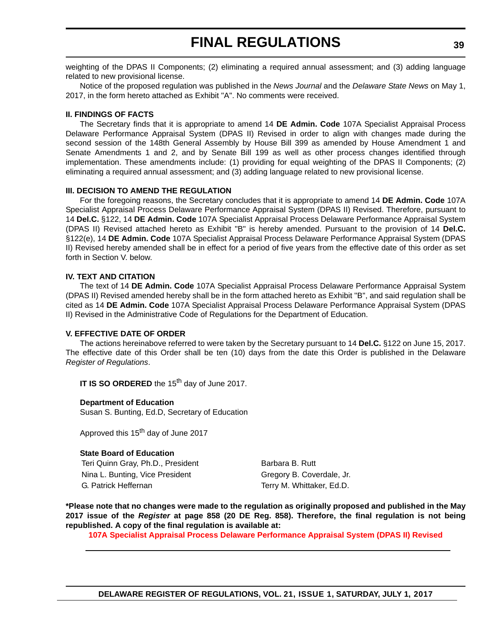weighting of the DPAS II Components; (2) eliminating a required annual assessment; and (3) adding language related to new provisional license.

Notice of the proposed regulation was published in the *News Journal* and the *Delaware State News* on May 1, 2017, in the form hereto attached as Exhibit "A". No comments were received.

#### **II. FINDINGS OF FACTS**

The Secretary finds that it is appropriate to amend 14 **DE Admin. Code** 107A Specialist Appraisal Process Delaware Performance Appraisal System (DPAS II) Revised in order to align with changes made during the second session of the 148th General Assembly by House Bill 399 as amended by House Amendment 1 and Senate Amendments 1 and 2, and by Senate Bill 199 as well as other process changes identified through implementation. These amendments include: (1) providing for equal weighting of the DPAS II Components; (2) eliminating a required annual assessment; and (3) adding language related to new provisional license.

#### **III. DECISION TO AMEND THE REGULATION**

For the foregoing reasons, the Secretary concludes that it is appropriate to amend 14 **DE Admin. Code** 107A Specialist Appraisal Process Delaware Performance Appraisal System (DPAS II) Revised. Therefore, pursuant to 14 **Del.C.** §122, 14 **DE Admin. Code** 107A Specialist Appraisal Process Delaware Performance Appraisal System (DPAS II) Revised attached hereto as Exhibit "B" is hereby amended. Pursuant to the provision of 14 **Del.C.** §122(e), 14 **DE Admin. Code** 107A Specialist Appraisal Process Delaware Performance Appraisal System (DPAS II) Revised hereby amended shall be in effect for a period of five years from the effective date of this order as set forth in Section V. below.

#### **IV. TEXT AND CITATION**

The text of 14 **DE Admin. Code** 107A Specialist Appraisal Process Delaware Performance Appraisal System (DPAS II) Revised amended hereby shall be in the form attached hereto as Exhibit "B", and said regulation shall be cited as 14 **DE Admin. Code** 107A Specialist Appraisal Process Delaware Performance Appraisal System (DPAS II) Revised in the Administrative Code of Regulations for the Department of Education.

#### **V. EFFECTIVE DATE OF ORDER**

The actions hereinabove referred to were taken by the Secretary pursuant to 14 **Del.C.** §122 on June 15, 2017. The effective date of this Order shall be ten (10) days from the date this Order is published in the Delaware *Register of Regulations*.

**IT IS SO ORDERED** the 15<sup>th</sup> day of June 2017.

#### **Department of Education**

Susan S. Bunting, Ed.D, Secretary of Education

Approved this 15<sup>th</sup> day of June 2017

#### **State Board of Education**

Teri Quinn Gray, Ph.D., President Barbara B. Rutt Nina L. Bunting, Vice President Gregory B. Coverdale, Jr. G. Patrick Heffernan Terry M. Whittaker, Ed.D.

**\*Please note that no changes were made to the regulation as originally proposed and published in the May 2017 issue of the** *Register* **at page 858 (20 DE Reg. 858). Therefore, the final regulation is not being republished. A copy of the final regulation is available at:**

**[107A Specialist Appraisal Process Delaware Performance Appraisal System \(DPAS II\) Revised](http://regulations.delaware.gov/register/july2017/final/21 DE Reg 38 07-01-17.htm)**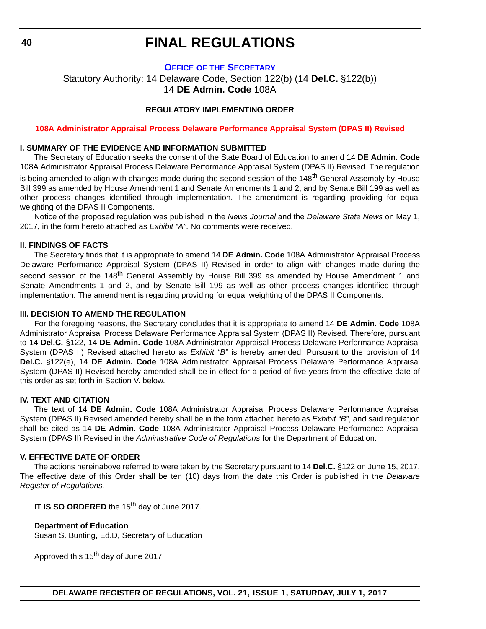#### **OFFICE OF [THE SECRETARY](https://pubapps.doe.k12.de.us/EducationalDirectoryPublic/pages/DDOE/Branches.aspx?page=branches&BID=1)**

<span id="page-39-0"></span>Statutory Authority: 14 Delaware Code, Section 122(b) (14 **Del.C.** §122(b)) 14 **DE Admin. Code** 108A

#### **REGULATORY IMPLEMENTING ORDER**

#### **[108A Administrator Appraisal Process Delaware Performance Appraisal System \(DPAS II\) Revised](#page-4-0)**

#### **I. SUMMARY OF THE EVIDENCE AND INFORMATION SUBMITTED**

The Secretary of Education seeks the consent of the State Board of Education to amend 14 **DE Admin. Code** 108A Administrator Appraisal Process Delaware Performance Appraisal System (DPAS II) Revised. The regulation is being amended to align with changes made during the second session of the 148<sup>th</sup> General Assembly by House Bill 399 as amended by House Amendment 1 and Senate Amendments 1 and 2, and by Senate Bill 199 as well as other process changes identified through implementation. The amendment is regarding providing for equal weighting of the DPAS II Components.

Notice of the proposed regulation was published in the *News Journal* and the *Delaware State News* on May 1, 2017**,** in the form hereto attached as *Exhibit "A"*. No comments were received.

#### **II. FINDINGS OF FACTS**

The Secretary finds that it is appropriate to amend 14 **DE Admin. Code** 108A Administrator Appraisal Process Delaware Performance Appraisal System (DPAS II) Revised in order to align with changes made during the second session of the 148<sup>th</sup> General Assembly by House Bill 399 as amended by House Amendment 1 and Senate Amendments 1 and 2, and by Senate Bill 199 as well as other process changes identified through implementation. The amendment is regarding providing for equal weighting of the DPAS II Components.

#### **III. DECISION TO AMEND THE REGULATION**

For the foregoing reasons, the Secretary concludes that it is appropriate to amend 14 **DE Admin. Code** 108A Administrator Appraisal Process Delaware Performance Appraisal System (DPAS II) Revised. Therefore, pursuant to 14 **Del.C.** §122, 14 **DE Admin. Code** 108A Administrator Appraisal Process Delaware Performance Appraisal System (DPAS II) Revised attached hereto as *Exhibit "B"* is hereby amended. Pursuant to the provision of 14 **Del.C.** §122(e), 14 **DE Admin. Code** 108A Administrator Appraisal Process Delaware Performance Appraisal System (DPAS II) Revised hereby amended shall be in effect for a period of five years from the effective date of this order as set forth in Section V. below.

#### **IV. TEXT AND CITATION**

The text of 14 **DE Admin. Code** 108A Administrator Appraisal Process Delaware Performance Appraisal System (DPAS II) Revised amended hereby shall be in the form attached hereto as *Exhibit "B"*, and said regulation shall be cited as 14 **DE Admin. Code** 108A Administrator Appraisal Process Delaware Performance Appraisal System (DPAS II) Revised in the *Administrative Code of Regulations* for the Department of Education.

#### **V. EFFECTIVE DATE OF ORDER**

The actions hereinabove referred to were taken by the Secretary pursuant to 14 **Del.C.** §122 on June 15, 2017. The effective date of this Order shall be ten (10) days from the date this Order is published in the *Delaware Register of Regulations.*

**IT IS SO ORDERED** the 15<sup>th</sup> day of June 2017.

#### **Department of Education**

Susan S. Bunting, Ed.D, Secretary of Education

Approved this 15<sup>th</sup> day of June 2017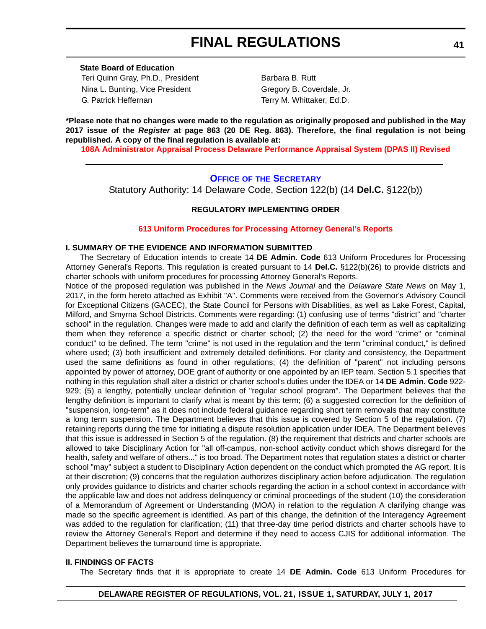<span id="page-40-0"></span>**State Board of Education** Teri Quinn Gray, Ph.D., President Barbara B. Rutt Nina L. Bunting, Vice President Gregory B. Coverdale, Jr. G. Patrick Heffernan Terry M. Whittaker, Ed.D.

**\*Please note that no changes were made to the regulation as originally proposed and published in the May 2017 issue of the** *Register* **at page 863 (20 DE Reg. 863). Therefore, the final regulation is not being republished. A copy of the final regulation is available at:**

**[108A Administrator Appraisal Process Delaware Performance Appraisal System \(DPAS II\) Revised](http://regulations.delaware.gov/register/july2017/final/21 DE Reg 40 07-01-17.htm)** 

#### **OFFICE OF [THE SECRETARY](https://pubapps.doe.k12.de.us/EducationalDirectoryPublic/pages/DDOE/Branches.aspx?page=branches&BID=1)**

Statutory Authority: 14 Delaware Code, Section 122(b) (14 **Del.C.** §122(b))

#### **REGULATORY IMPLEMENTING ORDER**

#### **[613 Uniform Procedures for Processing Attorney General's Reports](#page-4-0)**

#### **I. SUMMARY OF THE EVIDENCE AND INFORMATION SUBMITTED**

The Secretary of Education intends to create 14 **DE Admin. Code** 613 Uniform Procedures for Processing Attorney General's Reports. This regulation is created pursuant to 14 **Del.C.** §122(b)(26) to provide districts and charter schools with uniform procedures for processing Attorney General's Reports.

Notice of the proposed regulation was published in the *News Journal* and the *Delaware State News* on May 1, 2017, in the form hereto attached as Exhibit "A". Comments were received from the Governor's Advisory Council for Exceptional Citizens (GACEC), the State Council for Persons with Disabilities, as well as Lake Forest, Capital, Milford, and Smyrna School Districts. Comments were regarding: (1) confusing use of terms "district" and "charter school" in the regulation. Changes were made to add and clarify the definition of each term as well as capitalizing them when they reference a specific district or charter school; (2) the need for the word "crime" or "criminal conduct" to be defined. The term "crime" is not used in the regulation and the term "criminal conduct," is defined where used; (3) both insufficient and extremely detailed definitions. For clarity and consistency, the Department used the same definitions as found in other regulations; (4) the definition of "parent" not including persons appointed by power of attorney, DOE grant of authority or one appointed by an IEP team. Section 5.1 specifies that nothing in this regulation shall alter a district or charter school's duties under the IDEA or 14 **DE Admin. Code** 922- 929; (5) a lengthy, potentially unclear definition of "regular school program". The Department believes that the lengthy definition is important to clarify what is meant by this term; (6) a suggested correction for the definition of "suspension, long-term" as it does not include federal guidance regarding short term removals that may constitute a long term suspension. The Department believes that this issue is covered by Section 5 of the regulation. (7) retaining reports during the time for initiating a dispute resolution application under IDEA. The Department believes that this issue is addressed in Section 5 of the regulation. (8) the requirement that districts and charter schools are allowed to take Disciplinary Action for "all off-campus, non-school activity conduct which shows disregard for the health, safety and welfare of others..." is too broad. The Department notes that regulation states a district or charter school "may" subject a student to Disciplinary Action dependent on the conduct which prompted the AG report. It is at their discretion; (9) concerns that the regulation authorizes disciplinary action before adjudication. The regulation only provides guidance to districts and charter schools regarding the action in a school context in accordance with the applicable law and does not address delinquency or criminal proceedings of the student (10) the consideration of a Memorandum of Agreement or Understanding (MOA) in relation to the regulation A clarifying change was made so the specific agreement is identified. As part of this change, the definition of the Interagency Agreement was added to the regulation for clarification; (11) that three-day time period districts and charter schools have to review the Attorney General's Report and determine if they need to access CJIS for additional information. The Department believes the turnaround time is appropriate.

#### **II. FINDINGS OF FACTS**

The Secretary finds that it is appropriate to create 14 **DE Admin. Code** 613 Uniform Procedures for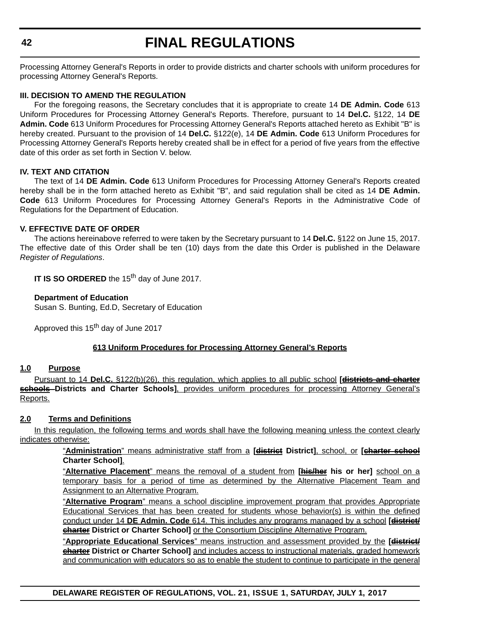Processing Attorney General's Reports in order to provide districts and charter schools with uniform procedures for processing Attorney General's Reports.

#### **III. DECISION TO AMEND THE REGULATION**

For the foregoing reasons, the Secretary concludes that it is appropriate to create 14 **DE Admin. Code** 613 Uniform Procedures for Processing Attorney General's Reports. Therefore, pursuant to 14 **Del.C.** §122, 14 **DE Admin. Code** 613 Uniform Procedures for Processing Attorney General's Reports attached hereto as Exhibit "B" is hereby created. Pursuant to the provision of 14 **Del.C.** §122(e), 14 **DE Admin. Code** 613 Uniform Procedures for Processing Attorney General's Reports hereby created shall be in effect for a period of five years from the effective date of this order as set forth in Section V. below.

#### **IV. TEXT AND CITATION**

The text of 14 **DE Admin. Code** 613 Uniform Procedures for Processing Attorney General's Reports created hereby shall be in the form attached hereto as Exhibit "B", and said regulation shall be cited as 14 **DE Admin. Code** 613 Uniform Procedures for Processing Attorney General's Reports in the Administrative Code of Regulations for the Department of Education.

#### **V. EFFECTIVE DATE OF ORDER**

The actions hereinabove referred to were taken by the Secretary pursuant to 14 **Del.C.** §122 on June 15, 2017. The effective date of this Order shall be ten (10) days from the date this Order is published in the Delaware *Register of Regulations*.

**IT IS SO ORDERED** the 15<sup>th</sup> day of June 2017.

#### **Department of Education**

Susan S. Bunting, Ed.D, Secretary of Education

Approved this 15<sup>th</sup> day of June 2017

#### **613 Uniform Procedures for Processing Attorney General's Reports**

#### **1.0 Purpose**

Pursuant to 14 **Del.C.** §122(b)(26), this regulation, which applies to all public school **[districts and charter schools Districts and Charter Schools]**, provides uniform procedures for processing Attorney General's Reports.

#### **2.0 Terms and Definitions**

In this regulation, the following terms and words shall have the following meaning unless the context clearly indicates otherwise:

> "**Administration**" means administrative staff from a **[district District]**, school, or **[charter school Charter School]**.

> "**Alternative Placement**" means the removal of a student from **[his/her his or her]** school on a temporary basis for a period of time as determined by the Alternative Placement Team and Assignment to an Alternative Program.

> "**Alternative Program**" means a school discipline improvement program that provides Appropriate Educational Services that has been created for students whose behavior(s) is within the defined conduct under 14 **DE Admin. Code** 614. This includes any programs managed by a school **[district/ charter District or Charter School]** or the Consortium Discipline Alternative Program.

> "**Appropriate Educational Services**" means instruction and assessment provided by the **[district/ charter District or Charter School]** and includes access to instructional materials, graded homework and communication with educators so as to enable the student to continue to participate in the general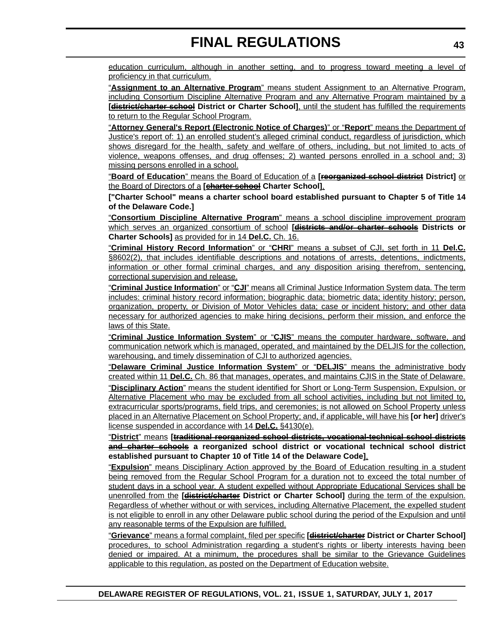education curriculum, although in another setting, and to progress toward meeting a level of proficiency in that curriculum.

"**Assignment to an Alternative Program**" means student Assignment to an Alternative Program, including Consortium Discipline Alternative Program and any Alternative Program maintained by a **[district/charter school District or Charter School]**, until the student has fulfilled the requirements to return to the Regular School Program.

"**Attorney General's Report (Electronic Notice of Charges)**" or "**Report**" means the Department of Justice's report of: 1) an enrolled student's alleged criminal conduct, regardless of jurisdiction, which shows disregard for the health, safety and welfare of others, including, but not limited to acts of violence, weapons offenses, and drug offenses; 2) wanted persons enrolled in a school and; 3) missing persons enrolled in a school.

"**Board of Education**" means the Board of Education of a **[reorganized school district District]** or the Board of Directors of a **[charter school Charter School]**.

**["Charter School" means a charter school board established pursuant to Chapter 5 of Title 14 of the Delaware Code.]**

"**Consortium Discipline Alternative Program**" means a school discipline improvement program which serves an organized consortium of school **[districts and/or charter schools Districts or Charter Schools]** as provided for in 14 **Del.C.** Ch. 16.

"**Criminal History Record Information**" or "**CHRI**" means a subset of CJI, set forth in 11 **Del.C.** §8602(2), that includes identifiable descriptions and notations of arrests, detentions, indictments, information or other formal criminal charges, and any disposition arising therefrom, sentencing, correctional supervision and release.

"**Criminal Justice Information**" or "**CJI**" means all Criminal Justice Information System data. The term includes: criminal history record information; biographic data; biometric data; identity history; person, organization, property, or Division of Motor Vehicles data; case or incident history; and other data necessary for authorized agencies to make hiring decisions, perform their mission, and enforce the laws of this State.

"**Criminal Justice Information System**" or "**CJIS**" means the computer hardware, software, and communication network which is managed, operated, and maintained by the DELJIS for the collection, warehousing, and timely dissemination of CJI to authorized agencies.

"**Delaware Criminal Justice Information System**" or "**DELJIS**" means the administrative body created within 11 **Del.C.** Ch. 86 that manages, operates, and maintains CJIS in the State of Delaware.

"**Disciplinary Action**" means the student identified for Short or Long-Term Suspension, Expulsion, or Alternative Placement who may be excluded from all school activities, including but not limited to, extracurricular sports/programs, field trips, and ceremonies; is not allowed on School Property unless placed in an Alternative Placement on School Property; and, if applicable, will have his **[or her]** driver's license suspended in accordance with 14 **Del.C.** §4130(e).

"**District**" means **[traditional reorganized school districts, vocational-technical school districts and charter schools a reorganized school district or vocational technical school district established pursuant to Chapter 10 of Title 14 of the Delaware Code]**.

"**Expulsion**" means Disciplinary Action approved by the Board of Education resulting in a student being removed from the Regular School Program for a duration not to exceed the total number of student days in a school year. A student expelled without Appropriate Educational Services shall be unenrolled from the **[district/charter District or Charter School]** during the term of the expulsion. Regardless of whether without or with services, including Alternative Placement, the expelled student is not eligible to enroll in any other Delaware public school during the period of the Expulsion and until any reasonable terms of the Expulsion are fulfilled.

"**Grievance**" means a formal complaint, filed per specific **[district/charter District or Charter School]** procedures, to school Administration regarding a student's rights or liberty interests having been denied or impaired. At a minimum, the procedures shall be similar to the Grievance Guidelines applicable to this regulation, as posted on the Department of Education website.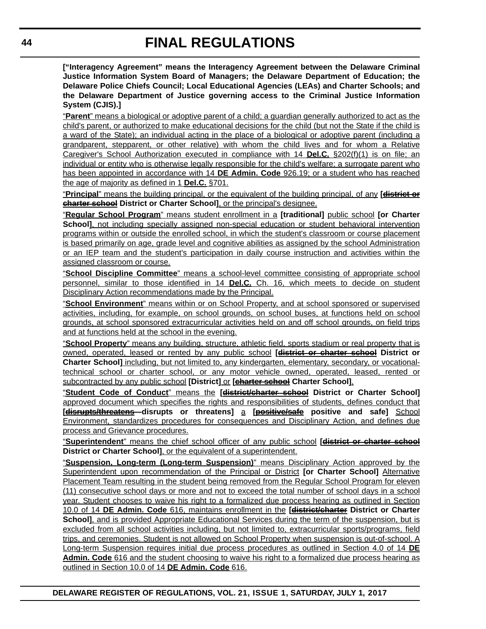**["Interagency Agreement" means the Interagency Agreement between the Delaware Criminal Justice Information System Board of Managers; the Delaware Department of Education; the Delaware Police Chiefs Council; Local Educational Agencies (LEAs) and Charter Schools; and the Delaware Department of Justice governing access to the Criminal Justice Information System (CJIS).]**

"**Parent**" means a biological or adoptive parent of a child; a guardian generally authorized to act as the child's parent, or authorized to make educational decisions for the child (but not the State if the child is a ward of the State); an individual acting in the place of a biological or adoptive parent (including a grandparent, stepparent, or other relative) with whom the child lives and for whom a Relative Caregiver's School Authorization executed in compliance with 14 **Del.C.** §202(f)(1) is on file; an individual or entity who is otherwise legally responsible for the child's welfare; a surrogate parent who has been appointed in accordance with 14 **DE Admin. Code** 926.19; or a student who has reached the age of majority as defined in 1 **Del.C.** §701.

"**Principal**" means the building principal, or the equivalent of the building principal, of any **[district or charter school District or Charter School]**, or the principal's designee.

"**Regular School Program**" means student enrollment in a **[traditional]** public school **[or Charter School**, not including specially assigned non-special education or student behavioral intervention programs within or outside the enrolled school, in which the student's classroom or course placement is based primarily on age, grade level and cognitive abilities as assigned by the school Administration or an IEP team and the student's participation in daily course instruction and activities within the assigned classroom or course.

"**School Discipline Committee**" means a school-level committee consisting of appropriate school personnel, similar to those identified in 14 **Del.C.** Ch. 16, which meets to decide on student Disciplinary Action recommendations made by the Principal.

"**School Environment**" means within or on School Property, and at school sponsored or supervised activities, including, for example, on school grounds, on school buses, at functions held on school grounds, at school sponsored extracurricular activities held on and off school grounds, on field trips and at functions held at the school in the evening.

"**School Property**" means any building, structure, athletic field, sports stadium or real property that is owned, operated, leased or rented by any public school **[district or charter school District or Charter School]** including, but not limited to, any kindergarten, elementary, secondary, or vocationaltechnical school or charter school, or any motor vehicle owned, operated, leased, rented or subcontracted by any public school [District] or [**charter school** Charter School].

"**Student Code of Conduct**" means the **[district/charter school District or Charter School]** approved document which specifies the rights and responsibilities of students, defines conduct that **[disrupts/threatens disrupts or threatens]** a **[positive/safe positive and safe]** School Environment, standardizes procedures for consequences and Disciplinary Action, and defines due process and Grievance procedures.

"**Superintendent**" means the chief school officer of any public school **[district or charter school District or Charter School]**, or the equivalent of a superintendent.

"**Suspension, Long-term (Long-term Suspension)**" means Disciplinary Action approved by the Superintendent upon recommendation of the Principal or District **[or Charter School]** Alternative Placement Team resulting in the student being removed from the Regular School Program for eleven (11) consecutive school days or more and not to exceed the total number of school days in a school year. Student chooses to waive his right to a formalized due process hearing as outlined in Section 10.0 of 14 **DE Admin. Code** 616, maintains enrollment in the **[district/charter District or Charter School], and is provided Appropriate Educational Services during the term of the suspension, but is** excluded from all school activities including, but not limited to, extracurricular sports/programs, field trips, and ceremonies. Student is not allowed on School Property when suspension is out-of-school. A Long-term Suspension requires initial due process procedures as outlined in Section 4.0 of 14 **DE Admin. Code** 616 and the student choosing to waive his right to a formalized due process hearing as outlined in Section 10.0 of 14 **DE Admin. Code** 616.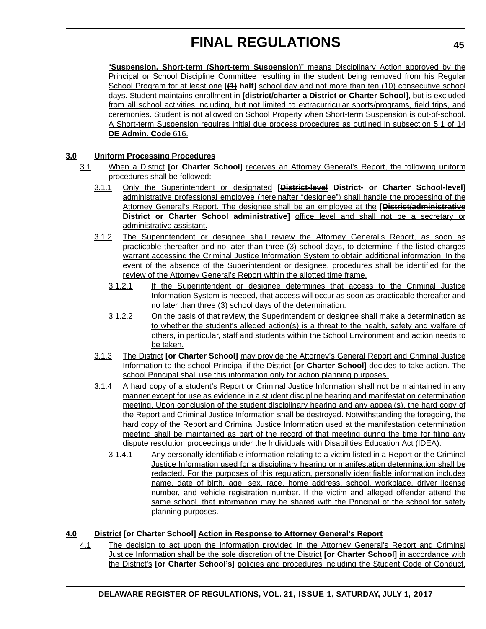"**Suspension, Short-term (Short-term Suspension)**" means Disciplinary Action approved by the Principal or School Discipline Committee resulting in the student being removed from his Regular School Program for at least one **[(1) half]** school day and not more than ten (10) consecutive school days. Student maintains enrollment in **[district/charter a District or Charter School]**, but is excluded from all school activities including, but not limited to extracurricular sports/programs, field trips, and ceremonies. Student is not allowed on School Property when Short-term Suspension is out-of-school. A Short-term Suspension requires initial due process procedures as outlined in subsection 5.1 of 14 **DE Admin. Code** 616.

#### **3.0 Uniform Processing Procedures**

- 3.1 When a District **[or Charter School]** receives an Attorney General's Report, the following uniform procedures shall be followed:
	- 3.1.1 Only the Superintendent or designated **[District-level District- or Charter School-level]** administrative professional employee (hereinafter "designee") shall handle the processing of the Attorney General's Report. The designee shall be an employee at the **[District/administrative District or Charter School administrative]** office level and shall not be a secretary or administrative assistant.
	- 3.1.2 The Superintendent or designee shall review the Attorney General's Report, as soon as practicable thereafter and no later than three (3) school days, to determine if the listed charges warrant accessing the Criminal Justice Information System to obtain additional information. In the event of the absence of the Superintendent or designee, procedures shall be identified for the review of the Attorney General's Report within the allotted time frame.
		- 3.1.2.1 If the Superintendent or designee determines that access to the Criminal Justice Information System is needed, that access will occur as soon as practicable thereafter and no later than three (3) school days of the determination.
		- 3.1.2.2 On the basis of that review, the Superintendent or designee shall make a determination as to whether the student's alleged action(s) is a threat to the health, safety and welfare of others, in particular, staff and students within the School Environment and action needs to be taken.
	- 3.1.3 The District **[or Charter School]** may provide the Attorney's General Report and Criminal Justice Information to the school Principal if the District **[or Charter School]** decides to take action. The school Principal shall use this information only for action planning purposes.
	- 3.1.4 A hard copy of a student's Report or Criminal Justice Information shall not be maintained in any manner except for use as evidence in a student discipline hearing and manifestation determination meeting. Upon conclusion of the student disciplinary hearing and any appeal(s), the hard copy of the Report and Criminal Justice Information shall be destroyed. Notwithstanding the foregoing, the hard copy of the Report and Criminal Justice Information used at the manifestation determination meeting shall be maintained as part of the record of that meeting during the time for filing any dispute resolution proceedings under the Individuals with Disabilities Education Act (IDEA).
		- 3.1.4.1 Any personally identifiable information relating to a victim listed in a Report or the Criminal Justice Information used for a disciplinary hearing or manifestation determination shall be redacted. For the purposes of this regulation, personally identifiable information includes name, date of birth, age, sex, race, home address, school, workplace, driver license number, and vehicle registration number. If the victim and alleged offender attend the same school, that information may be shared with the Principal of the school for safety planning purposes.

#### **4.0 District [or Charter School] Action in Response to Attorney General's Report**

4.1 The decision to act upon the information provided in the Attorney General's Report and Criminal Justice Information shall be the sole discretion of the District **[or Charter School]** in accordance with the District's **[or Charter School's]** policies and procedures including the Student Code of Conduct.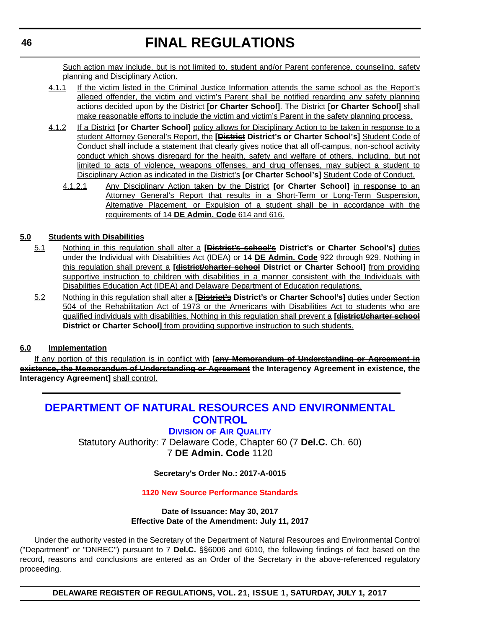<span id="page-45-0"></span>Such action may include, but is not limited to, student and/or Parent conference, counseling, safety planning and Disciplinary Action.

- 4.1.1 If the victim listed in the Criminal Justice Information attends the same school as the Report's alleged offender, the victim and victim's Parent shall be notified regarding any safety planning actions decided upon by the District **[or Charter School]**. The District **[or Charter School]** shall make reasonable efforts to include the victim and victim's Parent in the safety planning process.
- 4.1.2 If a District **[or Charter School]** policy allows for Disciplinary Action to be taken in response to a student Attorney General's Report, the **[District District's or Charter School's]** Student Code of Conduct shall include a statement that clearly gives notice that all off-campus, non-school activity conduct which shows disregard for the health, safety and welfare of others, including, but not limited to acts of violence, weapons offenses, and drug offenses, may subject a student to Disciplinary Action as indicated in the District's **[or Charter School's]** Student Code of Conduct.
	- 4.1.2.1 Any Disciplinary Action taken by the District **[or Charter School]** in response to an Attorney General's Report that results in a Short-Term or Long-Term Suspension, Alternative Placement, or Expulsion of a student shall be in accordance with the requirements of 14 **DE Admin. Code** 614 and 616.

#### **5.0 Students with Disabilities**

- 5.1 Nothing in this regulation shall alter a **[District's school's District's or Charter School's]** duties under the Individual with Disabilities Act (IDEA) or 14 **DE Admin. Code** 922 through 929. Nothing in this regulation shall prevent a **[district/charter school District or Charter School]** from providing supportive instruction to children with disabilities in a manner consistent with the Individuals with Disabilities Education Act (IDEA) and Delaware Department of Education regulations.
- 5.2 Nothing in this regulation shall alter a **[District's District's or Charter School's]** duties under Section 504 of the Rehabilitation Act of 1973 or the Americans with Disabilities Act to students who are qualified individuals with disabilities. Nothing in this regulation shall prevent a **[district/charter school District or Charter School]** from providing supportive instruction to such students.

#### **6.0 Implementation**

If any portion of this regulation is in conflict with **[any Memorandum of Understanding or Agreement in existence, the Memorandum of Understanding or Agreement the Interagency Agreement in existence, the Interagency Agreement]** shall control.

### **[DEPARTMENT OF NATURAL RESOURCES AND ENVIRONMENTAL](http://www.dnrec.delaware.gov/Pages/Portal.aspx)  CONTROL**

#### **DIVISION [OF AIR QUALITY](http://www.dnrec.delaware.gov/air/Pages/Default.aspx)**

Statutory Authority: 7 Delaware Code, Chapter 60 (7 **Del.C.** Ch. 60) 7 **DE Admin. Code** 1120

#### **Secretary's Order No.: 2017-A-0015**

#### **[1120 New Source Performance Standards](#page-4-0)**

#### **Date of Issuance: May 30, 2017 Effective Date of the Amendment: July 11, 2017**

Under the authority vested in the Secretary of the Department of Natural Resources and Environmental Control ("Department" or "DNREC") pursuant to 7 **Del.C.** §§6006 and 6010, the following findings of fact based on the record, reasons and conclusions are entered as an Order of the Secretary in the above-referenced regulatory proceeding.

**DELAWARE REGISTER OF REGULATIONS, VOL. 21, ISSUE 1, SATURDAY, JULY 1, 2017**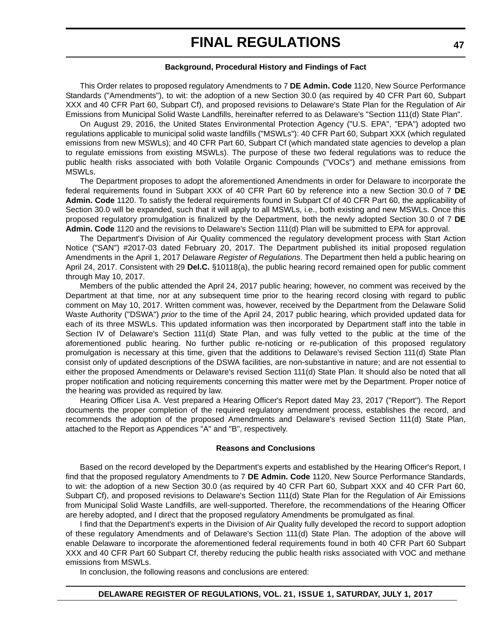#### **Background, Procedural History and Findings of Fact**

This Order relates to proposed regulatory Amendments to 7 **DE Admin. Code** 1120, New Source Performance Standards ("Amendments"), to wit: the adoption of a new Section 30.0 (as required by 40 CFR Part 60, Subpart XXX and 40 CFR Part 60, Subpart Cf), and proposed revisions to Delaware's State Plan for the Regulation of Air Emissions from Municipal Solid Waste Landfills, hereinafter referred to as Delaware's "Section 111(d) State Plan".

On August 29, 2016, the United States Environmental Protection Agency ("U.S. EPA", "EPA") adopted two regulations applicable to municipal solid waste landfills ("MSWLs"): 40 CFR Part 60, Subpart XXX (which regulated emissions from new MSWLs); and 40 CFR Part 60, Subpart Cf (which mandated state agencies to develop a plan to regulate emissions from existing MSWLs). The purpose of these two federal regulations was to reduce the public health risks associated with both Volatile Organic Compounds ("VOCs") and methane emissions from MSWLs.

The Department proposes to adopt the aforementioned Amendments in order for Delaware to incorporate the federal requirements found in Subpart XXX of 40 CFR Part 60 by reference into a new Section 30.0 of 7 **DE Admin. Code** 1120. To satisfy the federal requirements found in Subpart Cf of 40 CFR Part 60, the applicability of Section 30.0 will be expanded, such that it will apply to all MSWLs, i.e., both existing and new MSWLs. Once this proposed regulatory promulgation is finalized by the Department, both the newly adopted Section 30.0 of 7 **DE Admin. Code** 1120 and the revisions to Delaware's Section 111(d) Plan will be submitted to EPA for approval.

The Department's Division of Air Quality commenced the regulatory development process with Start Action Notice ("SAN") #2017-03 dated February 20, 2017. The Department published its initial proposed regulation Amendments in the April 1, 2017 Delaware *Register of Regulations*. The Department then held a public hearing on April 24, 2017. Consistent with 29 **Del.C.** §10118(a), the public hearing record remained open for public comment through May 10, 2017.

Members of the public attended the April 24, 2017 public hearing; however, no comment was received by the Department at that time, nor at any subsequent time prior to the hearing record closing with regard to public comment on May 10, 2017. Written comment was, however, received by the Department from the Delaware Solid Waste Authority ("DSWA") *prior* to the time of the April 24, 2017 public hearing, which provided updated data for each of its three MSWLs. This updated information was then incorporated by Department staff into the table in Section IV of Delaware's Section 111(d) State Plan, and was fully vetted to the public at the time of the aforementioned public hearing. No further public re-noticing or re-publication of this proposed regulatory promulgation is necessary at this time, given that the additions to Delaware's revised Section 111(d) State Plan consist only of updated descriptions of the DSWA facilities, are non-substantive in nature; and are not essential to either the proposed Amendments or Delaware's revised Section 111(d) State Plan. It should also be noted that all proper notification and noticing requirements concerning this matter were met by the Department. Proper notice of the hearing was provided as required by law.

Hearing Officer Lisa A. Vest prepared a Hearing Officer's Report dated May 23, 2017 ("Report"). The Report documents the proper completion of the required regulatory amendment process, establishes the record, and recommends the adoption of the proposed Amendments and Delaware's revised Section 111(d) State Plan, attached to the Report as Appendices "A" and "B", respectively.

#### **Reasons and Conclusions**

Based on the record developed by the Department's experts and established by the Hearing Officer's Report, I find that the proposed regulatory Amendments to 7 **DE Admin. Code** 1120, New Source Performance Standards, to wit: the adoption of a new Section 30.0 (as required by 40 CFR Part 60, Subpart XXX and 40 CFR Part 60, Subpart Cf), and proposed revisions to Delaware's Section 111(d) State Plan for the Regulation of Air Emissions from Municipal Solid Waste Landfills, are well-supported. Therefore, the recommendations of the Hearing Officer are hereby adopted, and I direct that the proposed regulatory Amendments be promulgated as final.

I find that the Department's experts in the Division of Air Quality fully developed the record to support adoption of these regulatory Amendments and of Delaware's Section 111(d) State Plan. The adoption of the above will enable Delaware to incorporate the aforementioned federal requirements found in both 40 CFR Part 60 Subpart XXX and 40 CFR Part 60 Subpart Cf, thereby reducing the public health risks associated with VOC and methane emissions from MSWLs.

In conclusion, the following reasons and conclusions are entered: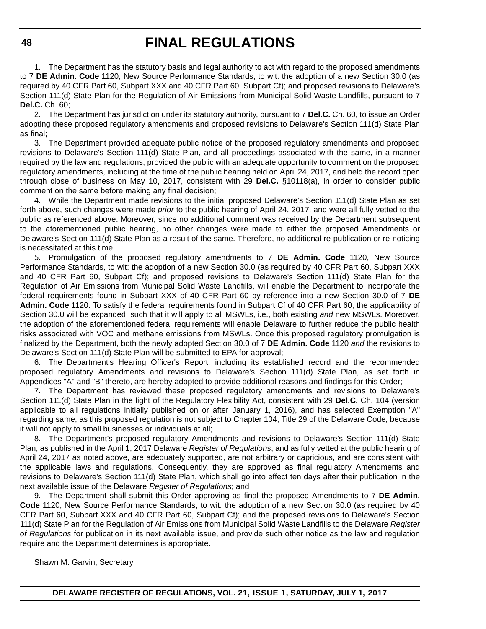1. The Department has the statutory basis and legal authority to act with regard to the proposed amendments to 7 **DE Admin. Code** 1120, New Source Performance Standards, to wit: the adoption of a new Section 30.0 (as required by 40 CFR Part 60, Subpart XXX and 40 CFR Part 60, Subpart Cf); and proposed revisions to Delaware's Section 111(d) State Plan for the Regulation of Air Emissions from Municipal Solid Waste Landfills, pursuant to 7 **Del.C.** Ch. 60;

2. The Department has jurisdiction under its statutory authority, pursuant to 7 **Del.C.** Ch. 60, to issue an Order adopting these proposed regulatory amendments and proposed revisions to Delaware's Section 111(d) State Plan as final;

3. The Department provided adequate public notice of the proposed regulatory amendments and proposed revisions to Delaware's Section 111(d) State Plan, and all proceedings associated with the same, in a manner required by the law and regulations, provided the public with an adequate opportunity to comment on the proposed regulatory amendments, including at the time of the public hearing held on April 24, 2017, and held the record open through close of business on May 10, 2017, consistent with 29 **Del.C.** §10118(a), in order to consider public comment on the same before making any final decision;

4. While the Department made revisions to the initial proposed Delaware's Section 111(d) State Plan as set forth above, such changes were made *prior* to the public hearing of April 24, 2017, and were all fully vetted to the public as referenced above. Moreover, since no additional comment was received by the Department subsequent to the aforementioned public hearing, no other changes were made to either the proposed Amendments or Delaware's Section 111(d) State Plan as a result of the same. Therefore, no additional re-publication or re-noticing is necessitated at this time;

5. Promulgation of the proposed regulatory amendments to 7 **DE Admin. Code** 1120, New Source Performance Standards, to wit: the adoption of a new Section 30.0 (as required by 40 CFR Part 60, Subpart XXX and 40 CFR Part 60, Subpart Cf); and proposed revisions to Delaware's Section 111(d) State Plan for the Regulation of Air Emissions from Municipal Solid Waste Landfills, will enable the Department to incorporate the federal requirements found in Subpart XXX of 40 CFR Part 60 by reference into a new Section 30.0 of 7 **DE Admin. Code** 1120. To satisfy the federal requirements found in Subpart Cf of 40 CFR Part 60, the applicability of Section 30.0 will be expanded, such that it will apply to all MSWLs, i.e., both existing *and* new MSWLs. Moreover, the adoption of the aforementioned federal requirements will enable Delaware to further reduce the public health risks associated with VOC and methane emissions from MSWLs. Once this proposed regulatory promulgation is finalized by the Department, both the newly adopted Section 30.0 of 7 **DE Admin. Code** 1120 *and* the revisions to Delaware's Section 111(d) State Plan will be submitted to EPA for approval;

6. The Department's Hearing Officer's Report, including its established record and the recommended proposed regulatory Amendments and revisions to Delaware's Section 111(d) State Plan, as set forth in Appendices "A" and "B" thereto, are hereby adopted to provide additional reasons and findings for this Order;

7. The Department has reviewed these proposed regulatory amendments and revisions to Delaware's Section 111(d) State Plan in the light of the Regulatory Flexibility Act, consistent with 29 **Del.C.** Ch. 104 (version applicable to all regulations initially published on or after January 1, 2016), and has selected Exemption "A" regarding same, as this proposed regulation is not subject to Chapter 104, Title 29 of the Delaware Code, because it will not apply to small businesses or individuals at all;

8. The Department's proposed regulatory Amendments and revisions to Delaware's Section 111(d) State Plan, as published in the April 1, 2017 Delaware *Register of Regulations*, and as fully vetted at the public hearing of April 24, 2017 as noted above, are adequately supported, are not arbitrary or capricious, and are consistent with the applicable laws and regulations. Consequently, they are approved as final regulatory Amendments and revisions to Delaware's Section 111(d) State Plan, which shall go into effect ten days after their publication in the next available issue of the Delaware *Register of Regulations*; and

9. The Department shall submit this Order approving as final the proposed Amendments to 7 **DE Admin. Code** 1120, New Source Performance Standards, to wit: the adoption of a new Section 30.0 (as required by 40 CFR Part 60, Subpart XXX and 40 CFR Part 60, Subpart Cf); and the proposed revisions to Delaware's Section 111(d) State Plan for the Regulation of Air Emissions from Municipal Solid Waste Landfills to the Delaware *Register of Regulations* for publication in its next available issue, and provide such other notice as the law and regulation require and the Department determines is appropriate.

Shawn M. Garvin, Secretary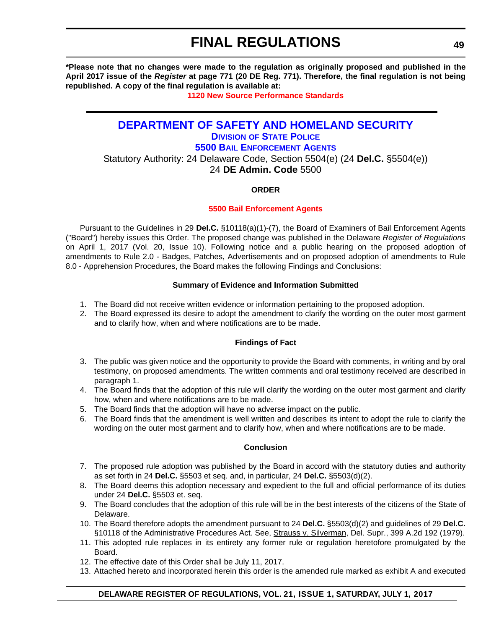<span id="page-48-0"></span>**\*Please note that no changes were made to the regulation as originally proposed and published in the April 2017 issue of the** *Register* **at page 771 (20 DE Reg. 771). Therefore, the final regulation is not being republished. A copy of the final regulation is available at:**

**[1120 New Source Performance Standards](http://regulations.delaware.gov/register/july2017/final/21 DE Reg 46 07-01-17.htm)** 

### **[DEPARTMENT OF SAFETY AND HOMELAND SECURITY](http://dshs.delaware.gov/) DIVISION [OF STATE POLICE](http://dsp.delaware.gov/) [5500 BAIL ENFORCEMENT AGENTS](http://dsp.delaware.gov/)**

Statutory Authority: 24 Delaware Code, Section 5504(e) (24 **Del.C.** §5504(e)) 24 **DE Admin. Code** 5500

#### **ORDER**

#### **[5500 Bail Enforcement Agents](#page-4-0)**

Pursuant to the Guidelines in 29 **Del.C.** §10118(a)(1)-(7), the Board of Examiners of Bail Enforcement Agents ("Board") hereby issues this Order. The proposed change was published in the Delaware *Register of Regulations* on April 1, 2017 (Vol. 20, Issue 10). Following notice and a public hearing on the proposed adoption of amendments to Rule 2.0 - Badges, Patches, Advertisements and on proposed adoption of amendments to Rule 8.0 - Apprehension Procedures, the Board makes the following Findings and Conclusions:

#### **Summary of Evidence and Information Submitted**

- 1. The Board did not receive written evidence or information pertaining to the proposed adoption.
- 2. The Board expressed its desire to adopt the amendment to clarify the wording on the outer most garment and to clarify how, when and where notifications are to be made.

#### **Findings of Fact**

- 3. The public was given notice and the opportunity to provide the Board with comments, in writing and by oral testimony, on proposed amendments. The written comments and oral testimony received are described in paragraph 1.
- 4. The Board finds that the adoption of this rule will clarify the wording on the outer most garment and clarify how, when and where notifications are to be made.
- 5. The Board finds that the adoption will have no adverse impact on the public.
- 6. The Board finds that the amendment is well written and describes its intent to adopt the rule to clarify the wording on the outer most garment and to clarify how, when and where notifications are to be made.

#### **Conclusion**

- 7. The proposed rule adoption was published by the Board in accord with the statutory duties and authority as set forth in 24 **Del.C.** §5503 et seq. and, in particular, 24 **Del.C.** §5503(d)(2).
- 8. The Board deems this adoption necessary and expedient to the full and official performance of its duties under 24 **Del.C.** §5503 et. seq.
- 9. The Board concludes that the adoption of this rule will be in the best interests of the citizens of the State of Delaware.
- 10. The Board therefore adopts the amendment pursuant to 24 **Del.C.** §5503(d)(2) and guidelines of 29 **Del.C.** §10118 of the Administrative Procedures Act. See, Strauss v. Silverman, Del. Supr., 399 A.2d 192 (1979).
- 11. This adopted rule replaces in its entirety any former rule or regulation heretofore promulgated by the Board.
- 12. The effective date of this Order shall be July 11, 2017.
- 13. Attached hereto and incorporated herein this order is the amended rule marked as exhibit A and executed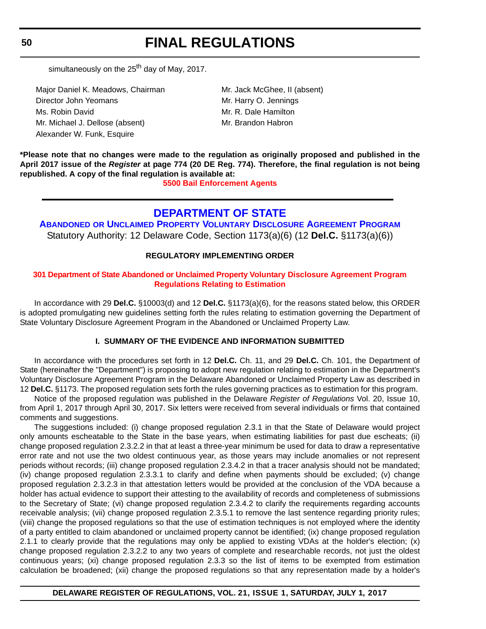<span id="page-49-0"></span>**50**

# **FINAL REGULATIONS**

simultaneously on the  $25<sup>th</sup>$  day of May, 2017.

Major Daniel K. Meadows, Chairman Mr. Jack McGhee, II (absent) Director John Yeomans Mr. Harry O. Jennings Ms. Robin David **Mr. R. Dale Hamilton** Mr. Michael J. Dellose (absent) Mr. Brandon Habron Alexander W. Funk, Esquire

**\*Please note that no changes were made to the regulation as originally proposed and published in the April 2017 issue of the** *Register* **at page 774 (20 DE Reg. 774). Therefore, the final regulation is not being republished. A copy of the final regulation is available at:**

**[5500 Bail Enforcement Agents](http://regulations.delaware.gov/register/july2017/final/21 DE Reg 49 07-01-17.htm)** 

### **[DEPARTMENT OF STATE](http://sos.delaware.gov/)**

**ABANDONED [OR UNCLAIMED PROPERTY VOLUNTARY DISCLOSURE AGREEMENT PROGRAM](http://sos.delaware.gov/)** Statutory Authority: 12 Delaware Code, Section 1173(a)(6) (12 **Del.C.** §1173(a)(6))

#### **REGULATORY IMPLEMENTING ORDER**

#### **[301 Department of State Abandoned or Unclaimed Property Voluntary Disclosure Agreement Program](#page-4-0)  Regulations Relating to Estimation**

In accordance with 29 **Del.C.** §10003(d) and 12 **Del.C.** §1173(a)(6), for the reasons stated below, this ORDER is adopted promulgating new guidelines setting forth the rules relating to estimation governing the Department of State Voluntary Disclosure Agreement Program in the Abandoned or Unclaimed Property Law.

#### **I. SUMMARY OF THE EVIDENCE AND INFORMATION SUBMITTED**

In accordance with the procedures set forth in 12 **Del.C.** Ch. 11, and 29 **Del.C.** Ch. 101, the Department of State (hereinafter the "Department") is proposing to adopt new regulation relating to estimation in the Department's Voluntary Disclosure Agreement Program in the Delaware Abandoned or Unclaimed Property Law as described in 12 **Del.C.** §1173. The proposed regulation sets forth the rules governing practices as to estimation for this program.

Notice of the proposed regulation was published in the Delaware *Register of Regulations* Vol. 20, Issue 10, from April 1, 2017 through April 30, 2017. Six letters were received from several individuals or firms that contained comments and suggestions.

The suggestions included: (i) change proposed regulation 2.3.1 in that the State of Delaware would project only amounts escheatable to the State in the base years, when estimating liabilities for past due escheats; (ii) change proposed regulation 2.3.2.2 in that at least a three-year minimum be used for data to draw a representative error rate and not use the two oldest continuous year, as those years may include anomalies or not represent periods without records; (iii) change proposed regulation 2.3.4.2 in that a tracer analysis should not be mandated; (iv) change proposed regulation 2.3.3.1 to clarify and define when payments should be excluded; (v) change proposed regulation 2.3.2.3 in that attestation letters would be provided at the conclusion of the VDA because a holder has actual evidence to support their attesting to the availability of records and completeness of submissions to the Secretary of State; (vi) change proposed regulation 2.3.4.2 to clarify the requirements regarding accounts receivable analysis; (vii) change proposed regulation 2.3.5.1 to remove the last sentence regarding priority rules; (viii) change the proposed regulations so that the use of estimation techniques is not employed where the identity of a party entitled to claim abandoned or unclaimed property cannot be identified; (ix) change proposed regulation 2.1.1 to clearly provide that the regulations may only be applied to existing VDAs at the holder's election; (x) change proposed regulation 2.3.2.2 to any two years of complete and researchable records, not just the oldest continuous years; (xi) change proposed regulation 2.3.3 so the list of items to be exempted from estimation calculation be broadened; (xii) change the proposed regulations so that any representation made by a holder's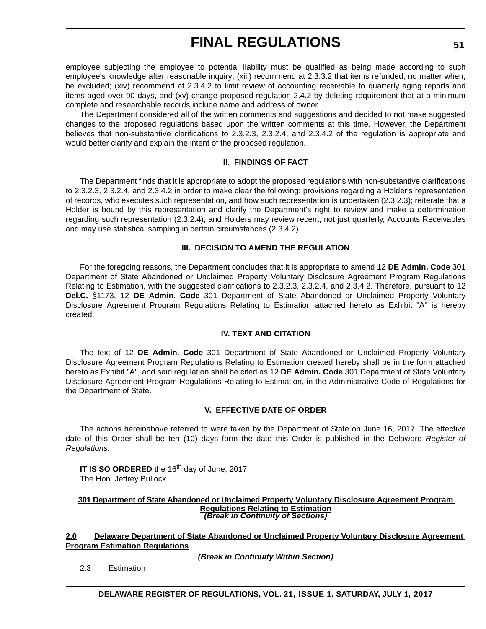employee subjecting the employee to potential liability must be qualified as being made according to such employee's knowledge after reasonable inquiry; (xiii) recommend at 2.3.3.2 that items refunded, no matter when, be excluded; (xiv) recommend at 2.3.4.2 to limit review of accounting receivable to quarterly aging reports and items aged over 90 days, and (xv) change proposed regulation 2.4.2 by deleting requirement that at a minimum complete and researchable records include name and address of owner.

The Department considered all of the written comments and suggestions and decided to not make suggested changes to the proposed regulations based upon the written comments at this time. However, the Department believes that non-substantive clarifications to 2.3.2.3, 2.3.2.4, and 2.3.4.2 of the regulation is appropriate and would better clarify and explain the intent of the proposed regulation.

#### **II. FINDINGS OF FACT**

The Department finds that it is appropriate to adopt the proposed regulations with non-substantive clarifications to 2.3.2.3, 2.3.2.4, and 2.3.4.2 in order to make clear the following: provisions regarding a Holder's representation of records, who executes such representation, and how such representation is undertaken (2.3.2.3); reiterate that a Holder is bound by this representation and clarify the Department's right to review and make a determination regarding such representation (2.3.2.4); and Holders may review recent, not just quarterly, Accounts Receivables and may use statistical sampling in certain circumstances (2.3.4.2).

#### **III. DECISION TO AMEND THE REGULATION**

For the foregoing reasons, the Department concludes that it is appropriate to amend 12 **DE Admin. Code** 301 Department of State Abandoned or Unclaimed Property Voluntary Disclosure Agreement Program Regulations Relating to Estimation, with the suggested clarifications to 2.3.2.3, 2.3.2.4, and 2.3.4.2. Therefore, pursuant to 12 **Del.C.** §1173, 12 **DE Admin. Code** 301 Department of State Abandoned or Unclaimed Property Voluntary Disclosure Agreement Program Regulations Relating to Estimation attached hereto as Exhibit "A" is hereby created.

#### **IV. TEXT AND CITATION**

The text of 12 **DE Admin. Code** 301 Department of State Abandoned or Unclaimed Property Voluntary Disclosure Agreement Program Regulations Relating to Estimation created hereby shall be in the form attached hereto as Exhibit "A", and said regulation shall be cited as 12 **DE Admin. Code** 301 Department of State Voluntary Disclosure Agreement Program Regulations Relating to Estimation, in the Administrative Code of Regulations for the Department of State.

#### **V. EFFECTIVE DATE OF ORDER**

The actions hereinabove referred to were taken by the Department of State on June 16, 2017. The effective date of this Order shall be ten (10) days form the date this Order is published in the Delaware *Register of Regulations*.

**IT IS SO ORDERED** the 16<sup>th</sup> day of June, 2017. The Hon. Jeffrey Bullock

#### **301 Department of State Abandoned or Unclaimed Property Voluntary Disclosure Agreement Program Regulations Relating to Estimation** *(Break in Continuity of Sections)*

**2.0 Delaware Department of State Abandoned or Unclaimed Property Voluntary Disclosure Agreement Program Estimation Regulations**

*(Break in Continuity Within Section)*

2.3 Estimation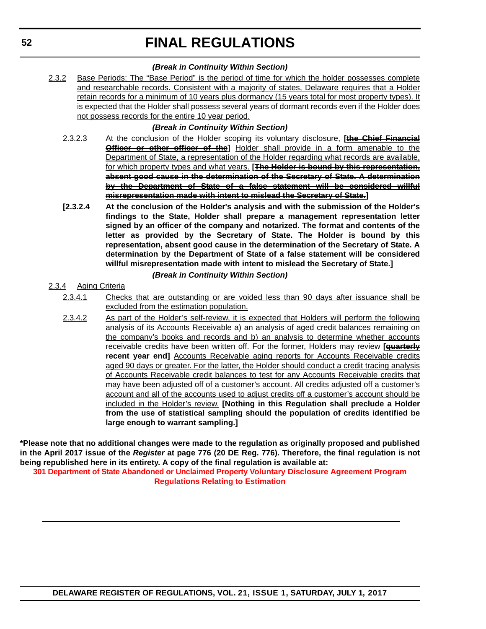#### *(Break in Continuity Within Section)*

2.3.2 Base Periods: The "Base Period" is the period of time for which the holder possesses complete and researchable records. Consistent with a majority of states, Delaware requires that a Holder retain records for a minimum of 10 years plus dormancy (15 years total for most property types). It is expected that the Holder shall possess several years of dormant records even if the Holder does not possess records for the entire 10 year period.

#### *(Break in Continuity Within Section)*

- 2.3.2.3 At the conclusion of the Holder scoping its voluntary disclosure, **[the Chief Financial Officer or other officer of the**] Holder shall provide in a form amenable to the Department of State, a representation of the Holder regarding what records are available, for which property types and what years. **[The Holder is bound by this representation, absent good cause in the determination of the Secretary of State. A determination by the Department of State of a false statement will be considered willful misrepresentation made with intent to mislead the Secretary of State.]**
- **[2.3.2.4 At the conclusion of the Holder's analysis and with the submission of the Holder's findings to the State, Holder shall prepare a management representation letter signed by an officer of the company and notarized. The format and contents of the letter as provided by the Secretary of State. The Holder is bound by this representation, absent good cause in the determination of the Secretary of State. A determination by the Department of State of a false statement will be considered willful misrepresentation made with intent to mislead the Secretary of State.]**

#### *(Break in Continuity Within Section)*

- 2.3.4 Aging Criteria
	- 2.3.4.1 Checks that are outstanding or are voided less than 90 days after issuance shall be excluded from the estimation population.
	- 2.3.4.2 As part of the Holder's self-review, it is expected that Holders will perform the following analysis of its Accounts Receivable a) an analysis of aged credit balances remaining on the company's books and records and b) an analysis to determine whether accounts receivable credits have been written off. For the former, Holders may review **[quarterly recent year end]** Accounts Receivable aging reports for Accounts Receivable credits aged 90 days or greater. For the latter, the Holder should conduct a credit tracing analysis of Accounts Receivable credit balances to test for any Accounts Receivable credits that may have been adjusted off of a customer's account. All credits adjusted off a customer's account and all of the accounts used to adjust credits off a customer's account should be included in the Holder's review. **[Nothing in this Regulation shall preclude a Holder from the use of statistical sampling should the population of credits identified be large enough to warrant sampling.]**

**\*Please note that no additional changes were made to the regulation as originally proposed and published in the April 2017 issue of the** *Register* **at page 776 (20 DE Reg. 776). Therefore, the final regulation is not being republished here in its entirety. A copy of the final regulation is available at:**

**[301 Department of State Abandoned or Unclaimed Property Voluntary Disclosure Agreement Program](http://regulations.delaware.gov/register/july2017/final/21 DE Reg 50 07-01-17.htm)  Regulations Relating to Estimation**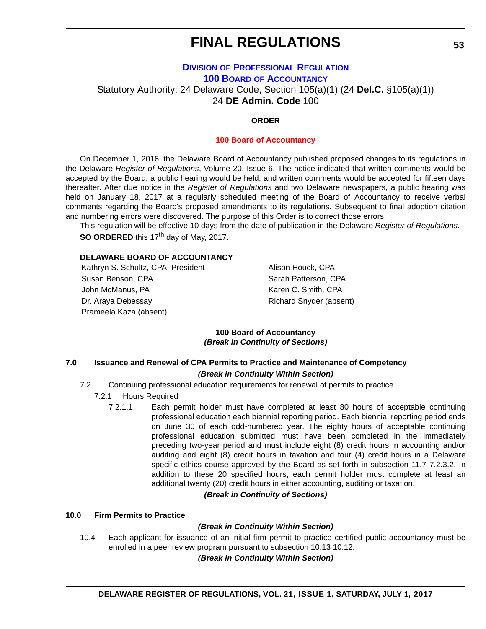### <span id="page-52-0"></span>**DIVISION [OF PROFESSIONAL REGULATION](http://dpr.delaware.gov/) 100 BOARD [OF ACCOUNTANCY](http://dpr.delaware.gov/boards/accountancy/)** Statutory Authority: 24 Delaware Code, Section 105(a)(1) (24 **Del.C.** §105(a)(1)) 24 **DE Admin. Code** 100

#### **ORDER**

#### **[100 Board of Accountancy](#page-4-0)**

On December 1, 2016, the Delaware Board of Accountancy published proposed changes to its regulations in the Delaware *Register of Regulations*, Volume 20, Issue 6. The notice indicated that written comments would be accepted by the Board, a public hearing would be held, and written comments would be accepted for fifteen days thereafter. After due notice in the *Register of Regulations* and two Delaware newspapers, a public hearing was held on January 18, 2017 at a regularly scheduled meeting of the Board of Accountancy to receive verbal comments regarding the Board's proposed amendments to its regulations. Subsequent to final adoption citation and numbering errors were discovered. The purpose of this Order is to correct those errors.

This regulation will be effective 10 days from the date of publication in the Delaware *Register of Regulations*. **SO ORDERED** this 17<sup>th</sup> day of May, 2017.

#### **DELAWARE BOARD OF ACCOUNTANCY**

Kathryn S. Schultz, CPA, President Alison Houck, CPA Susan Benson, CPA Susan Patterson, CPA John McManus, PA **Karen C. Smith, CPA** Dr. Araya Debessay **Richard Snyder (absent)** Prameela Kaza (absent)

#### **100 Board of Accountancy** *(Break in Continuity of Sections)*

#### **7.0 Issuance and Renewal of CPA Permits to Practice and Maintenance of Competency** *(Break in Continuity Within Section)*

- 7.2 Continuing professional education requirements for renewal of permits to practice
	- 7.2.1 Hours Required
		- 7.2.1.1 Each permit holder must have completed at least 80 hours of acceptable continuing professional education each biennial reporting period. Each biennial reporting period ends on June 30 of each odd-numbered year. The eighty hours of acceptable continuing professional education submitted must have been completed in the immediately preceding two-year period and must include eight (8) credit hours in accounting and/or auditing and eight (8) credit hours in taxation and four (4) credit hours in a Delaware specific ethics course approved by the Board as set forth in subsection 44.7 7.2.3.2. In addition to these 20 specified hours, each permit holder must complete at least an additional twenty (20) credit hours in either accounting, auditing or taxation.

#### *(Break in Continuity of Sections)*

#### **10.0 Firm Permits to Practice**

#### *(Break in Continuity Within Section)*

10.4 Each applicant for issuance of an initial firm permit to practice certified public accountancy must be enrolled in a peer review program pursuant to subsection 40.13 10.12.

#### *(Break in Continuity Within Section)*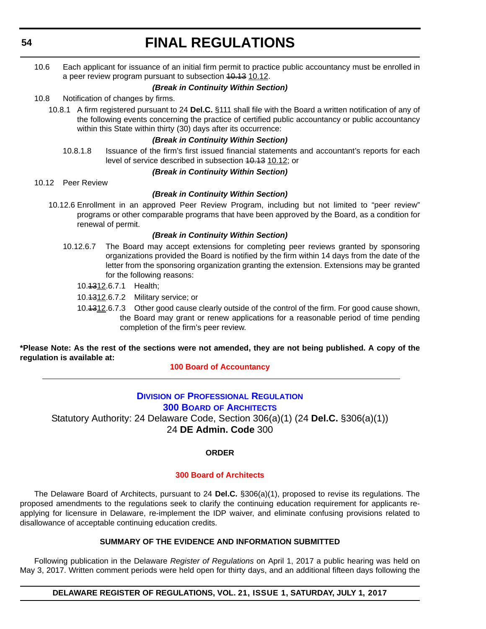<span id="page-53-0"></span>**54**

# **FINAL REGULATIONS**

10.6 Each applicant for issuance of an initial firm permit to practice public accountancy must be enrolled in a peer review program pursuant to subsection 40.13 10.12.

#### *(Break in Continuity Within Section)*

10.8 Notification of changes by firms.

10.8.1 A firm registered pursuant to 24 **Del.C.** §111 shall file with the Board a written notification of any of the following events concerning the practice of certified public accountancy or public accountancy within this State within thirty (30) days after its occurrence:

#### *(Break in Continuity Within Section)*

10.8.1.8 Issuance of the firm's first issued financial statements and accountant's reports for each level of service described in subsection 10.13 10.12; or

#### *(Break in Continuity Within Section)*

10.12 Peer Review

#### *(Break in Continuity Within Section)*

10.12.6 Enrollment in an approved Peer Review Program, including but not limited to "peer review" programs or other comparable programs that have been approved by the Board, as a condition for renewal of permit.

#### *(Break in Continuity Within Section)*

- 10.12.6.7 The Board may accept extensions for completing peer reviews granted by sponsoring organizations provided the Board is notified by the firm within 14 days from the date of the letter from the sponsoring organization granting the extension. Extensions may be granted for the following reasons:
	- 10.1312.6.7.1 Health;
	- 10.1312.6.7.2 Military service; or
	- 10.1312.6.7.3 Other good cause clearly outside of the control of the firm. For good cause shown, the Board may grant or renew applications for a reasonable period of time pending completion of the firm's peer review.

**\*Please Note: As the rest of the sections were not amended, they are not being published. A copy of the regulation is available at:**

#### **[100 Board of Accountancy](http://regulations.delaware.gov/register/july2017/final/21 DE Reg 53 07-01-17.htm)**

### **DIVISION [OF PROFESSIONAL REGULATION](http://dpr.delaware.gov/) 300 BOARD [OF ARCHITECTS](http://dpr.delaware.gov/boards/architects/)**

Statutory Authority: 24 Delaware Code, Section 306(a)(1) (24 **Del.C.** §306(a)(1)) 24 **DE Admin. Code** 300

#### **ORDER**

#### **[300 Board of Architects](#page-4-0)**

The Delaware Board of Architects, pursuant to 24 **Del.C.** §306(a)(1), proposed to revise its regulations. The proposed amendments to the regulations seek to clarify the continuing education requirement for applicants reapplying for licensure in Delaware, re-implement the IDP waiver, and eliminate confusing provisions related to disallowance of acceptable continuing education credits.

#### **SUMMARY OF THE EVIDENCE AND INFORMATION SUBMITTED**

Following publication in the Delaware *Register of Regulations* on April 1, 2017 a public hearing was held on May 3, 2017. Written comment periods were held open for thirty days, and an additional fifteen days following the

**DELAWARE REGISTER OF REGULATIONS, VOL. 21, ISSUE 1, SATURDAY, JULY 1, 2017**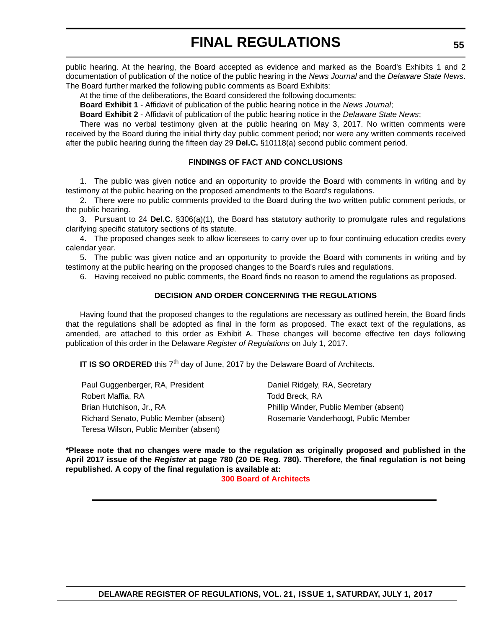public hearing. At the hearing, the Board accepted as evidence and marked as the Board's Exhibits 1 and 2 documentation of publication of the notice of the public hearing in the *News Journal* and the *Delaware State News*. The Board further marked the following public comments as Board Exhibits:

At the time of the deliberations, the Board considered the following documents:

**Board Exhibit 1** - Affidavit of publication of the public hearing notice in the *News Journal*;

**Board Exhibit 2** - Affidavit of publication of the public hearing notice in the *Delaware State News*;

There was no verbal testimony given at the public hearing on May 3, 2017. No written comments were received by the Board during the initial thirty day public comment period; nor were any written comments received after the public hearing during the fifteen day 29 **Del.C.** §10118(a) second public comment period.

#### **FINDINGS OF FACT AND CONCLUSIONS**

1. The public was given notice and an opportunity to provide the Board with comments in writing and by testimony at the public hearing on the proposed amendments to the Board's regulations.

2. There were no public comments provided to the Board during the two written public comment periods, or the public hearing.

3. Pursuant to 24 **Del.C.** §306(a)(1), the Board has statutory authority to promulgate rules and regulations clarifying specific statutory sections of its statute.

4. The proposed changes seek to allow licensees to carry over up to four continuing education credits every calendar year.

 5. The public was given notice and an opportunity to provide the Board with comments in writing and by testimony at the public hearing on the proposed changes to the Board's rules and regulations.

6. Having received no public comments, the Board finds no reason to amend the regulations as proposed.

#### **DECISION AND ORDER CONCERNING THE REGULATIONS**

Having found that the proposed changes to the regulations are necessary as outlined herein, the Board finds that the regulations shall be adopted as final in the form as proposed. The exact text of the regulations, as amended, are attached to this order as Exhibit A. These changes will become effective ten days following publication of this order in the Delaware *Register of Regulations* on July 1, 2017.

**IT IS SO ORDERED** this 7<sup>th</sup> day of June, 2017 by the Delaware Board of Architects.

Paul Guggenberger, RA, President Daniel Ridgely, RA, Secretary Robert Maffia, RA **Todd Breck, RA** Brian Hutchison, Jr., RA **Phillip Winder, Public Member (absent)** Richard Senato, Public Member (absent) Rosemarie Vanderhoogt, Public Member Teresa Wilson, Public Member (absent)

**\*Please note that no changes were made to the regulation as originally proposed and published in the April 2017 issue of the** *Register* **at page 780 (20 DE Reg. 780). Therefore, the final regulation is not being republished. A copy of the final regulation is available at:**

#### **[300 Board of Architects](http://regulations.delaware.gov/register/july2017/final/21 DE Reg 54 07-01-17.htm)**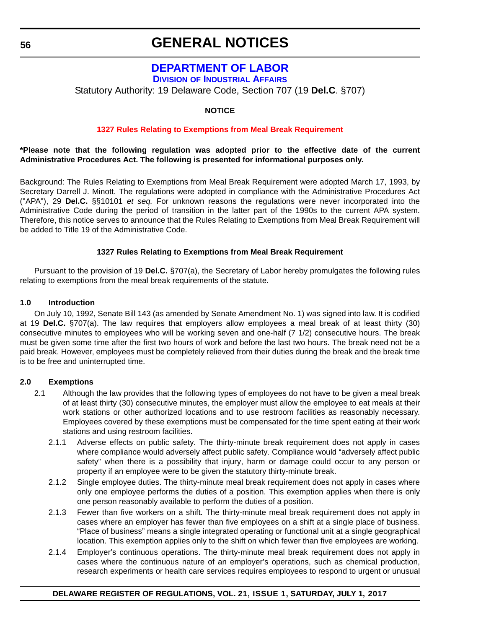### **[DEPARTMENT OF LABOR](http://dol.delaware.gov/)**

**DIVISION [OF INDUSTRIAL AFFAIRS](https://dia.delawareworks.com/)**

<span id="page-55-0"></span>Statutory Authority: 19 Delaware Code, Section 707 (19 **Del.C**. §707)

#### **NOTICE**

#### **[1327 Rules Relating to Exemptions from Meal Break Requirement](#page-4-0)**

#### **\*Please note that the following regulation was adopted prior to the effective date of the current Administrative Procedures Act. The following is presented for informational purposes only.**

Background: The Rules Relating to Exemptions from Meal Break Requirement were adopted March 17, 1993, by Secretary Darrell J. Minott. The regulations were adopted in compliance with the Administrative Procedures Act ("APA"), 29 **Del.C.** §§10101 *et seq.* For unknown reasons the regulations were never incorporated into the Administrative Code during the period of transition in the latter part of the 1990s to the current APA system. Therefore, this notice serves to announce that the Rules Relating to Exemptions from Meal Break Requirement will be added to Title 19 of the Administrative Code.

#### **1327 Rules Relating to Exemptions from Meal Break Requirement**

Pursuant to the provision of 19 **Del.C.** §707(a), the Secretary of Labor hereby promulgates the following rules relating to exemptions from the meal break requirements of the statute.

#### **1.0 Introduction**

On July 10, 1992, Senate Bill 143 (as amended by Senate Amendment No. 1) was signed into law. It is codified at 19 **Del.C.** §707(a). The law requires that employers allow employees a meal break of at least thirty (30) consecutive minutes to employees who will be working seven and one-half (7 1/2) consecutive hours. The break must be given some time after the first two hours of work and before the last two hours. The break need not be a paid break. However, employees must be completely relieved from their duties during the break and the break time is to be free and uninterrupted time.

#### **2.0 Exemptions**

- 2.1 Although the law provides that the following types of employees do not have to be given a meal break of at least thirty (30) consecutive minutes, the employer must allow the employee to eat meals at their work stations or other authorized locations and to use restroom facilities as reasonably necessary. Employees covered by these exemptions must be compensated for the time spent eating at their work stations and using restroom facilities.
	- 2.1.1 Adverse effects on public safety. The thirty-minute break requirement does not apply in cases where compliance would adversely affect public safety. Compliance would "adversely affect public safety" when there is a possibility that injury, harm or damage could occur to any person or property if an employee were to be given the statutory thirty-minute break.
	- 2.1.2 Single employee duties. The thirty-minute meal break requirement does not apply in cases where only one employee performs the duties of a position. This exemption applies when there is only one person reasonably available to perform the duties of a position.
	- 2.1.3 Fewer than five workers on a shift. The thirty-minute meal break requirement does not apply in cases where an employer has fewer than five employees on a shift at a single place of business. "Place of business" means a single integrated operating or functional unit at a single geographical location. This exemption applies only to the shift on which fewer than five employees are working.
	- 2.1.4 Employer's continuous operations. The thirty-minute meal break requirement does not apply in cases where the continuous nature of an employer's operations, such as chemical production, research experiments or health care services requires employees to respond to urgent or unusual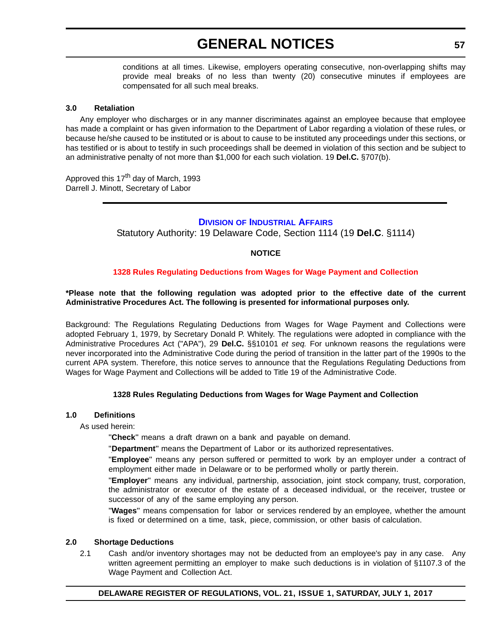<span id="page-56-0"></span>conditions at all times. Likewise, employers operating consecutive, non-overlapping shifts may provide meal breaks of no less than twenty (20) consecutive minutes if employees are compensated for all such meal breaks.

#### **3.0 Retaliation**

Any employer who discharges or in any manner discriminates against an employee because that employee has made a complaint or has given information to the Department of Labor regarding a violation of these rules, or because he/she caused to be instituted or is about to cause to be instituted any proceedings under this sections, or has testified or is about to testify in such proceedings shall be deemed in violation of this section and be subject to an administrative penalty of not more than \$1,000 for each such violation. 19 **Del.C.** §707(b).

Approved this 17<sup>th</sup> day of March, 1993 Darrell J. Minott, Secretary of Labor

#### **DIVISION [OF INDUSTRIAL AFFAIRS](https://dia.delawareworks.com/)**

Statutory Authority: 19 Delaware Code, Section 1114 (19 **Del.C**. §1114)

#### **NOTICE**

#### **[1328 Rules Regulating Deductions from Wages for Wage Payment and Collection](#page-4-0)**

#### **\*Please note that the following regulation was adopted prior to the effective date of the current Administrative Procedures Act. The following is presented for informational purposes only.**

Background: The Regulations Regulating Deductions from Wages for Wage Payment and Collections were adopted February 1, 1979, by Secretary Donald P. Whitely. The regulations were adopted in compliance with the Administrative Procedures Act ("APA"), 29 **Del.C.** §§10101 *et seq.* For unknown reasons the regulations were never incorporated into the Administrative Code during the period of transition in the latter part of the 1990s to the current APA system. Therefore, this notice serves to announce that the Regulations Regulating Deductions from Wages for Wage Payment and Collections will be added to Title 19 of the Administrative Code.

#### **1328 Rules Regulating Deductions from Wages for Wage Payment and Collection**

#### **1.0 Definitions**

As used herein:

"**Check**" means a draft drawn on a bank and payable on demand.

"\_**Department**" means the Department of Labor or its authorized representatives.

"**Employee**" means any person suffered or permitted to work by an employer under a contract of employment either made in Delaware or to be performed wholly or partly therein.

"**Employer**" means any individual, partnership, association, joint stock company, trust, corporation, the administrator or executor of the estate of a deceased individual, or the receiver, trustee or successor of any of the same employing any person.

"**Wages**" means compensation for labor or services rendered by an employee, whether the amount is fixed or determined on a time, task, piece, commission, or other basis of calculation.

#### **2.0 Shortage Deductions**

2.1 Cash and/or inventory shortages may not be deducted from an employee's pay in any case. Any written agreement permitting an employer to make such deductions is in violation of §1107.3 of the Wage Payment and Collection Act.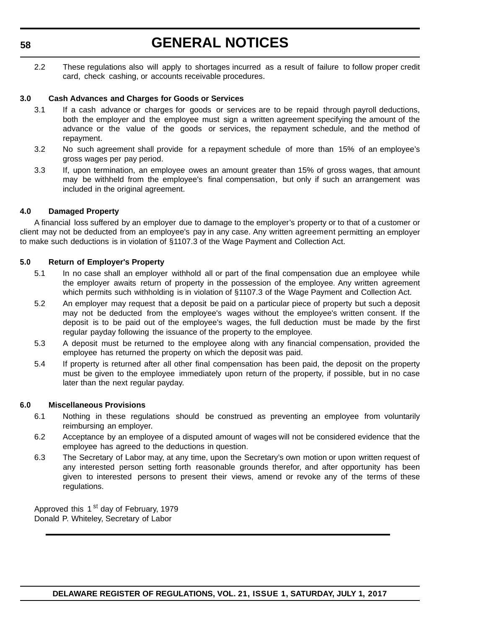#### **58**

# **GENERAL NOTICES**

2.2 These regulations also will apply to shortages incurred as a result of failure to follow proper credit card, check cashing, or accounts receivable procedures.

#### **3.0 Cash Advances and Charges for Goods or Services**

- 3.1 If a cash advance or charges for goods or services are to be repaid through payroll deductions, both the employer and the employee must sign a written agreement specifying the amount of the advance or the value of the goods or services, the repayment schedule, and the method of repayment.
- 3.2 No such agreement shall provide for a repayment schedule of more than 15% of an employee's gross wages per pay period.
- 3.3 If, upon termination, an employee owes an amount greater than 15% of gross wages, that amount may be withheld from the employee's final compensation, but only if such an arrangement was included in the original agreement.

#### **4.0 Damaged Property**

A financial loss suffered by an employer due to damage to the employer's property or to that of a customer or client may not be deducted from an employee's pay in any case. Any written agreement permitting an employer to make such deductions is in violation of §1107.3 of the Wage Payment and Collection Act.

#### **5.0 Return of Employer's Property**

- 5.1 In no case shall an employer withhold all or part of the final compensation due an employee while the employer awaits return of property in the possession of the employee. Any written agreement which permits such withholding is in violation of §1107.3 of the Wage Payment and Collection Act.
- 5.2 An employer may request that a deposit be paid on a particular piece of property but such a deposit may not be deducted from the employee's wages without the employee's written consent. If the deposit is to be paid out of the employee's wages, the full deduction must be made by the first regular payday following the issuance of the property to the employee.
- 5.3 A deposit must be returned to the employee along with any financial compensation, provided the employee has returned the property on which the deposit was paid.
- 5.4 If property is returned after all other final compensation has been paid, the deposit on the property must be given to the employee immediately upon return of the property, if possible, but in no case later than the next regular payday.

#### **6.0 Miscellaneous Provisions**

- 6.1 Nothing in these regulations should be construed as preventing an employee from voluntarily reimbursing an employer.
- 6.2 Acceptance by an employee of a disputed amount of wages will not be considered evidence that the employee has agreed to the deductions in question.
- 6.3 The Secretary of Labor may, at any time, upon the Secretary's own motion or upon written request of any interested person setting forth reasonable grounds therefor, and after opportunity has been given to interested persons to present their views, amend or revoke any of the terms of these regulations.

Approved this 1<sup>st</sup> day of February, 1979 Donald P. Whiteley, Secretary of Labor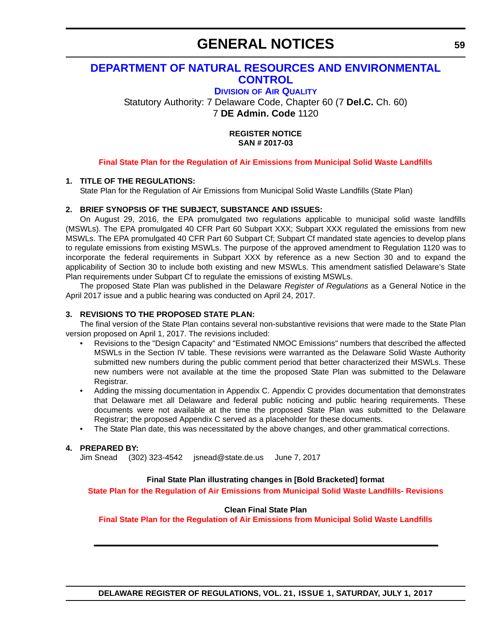### <span id="page-58-0"></span>**[DEPARTMENT OF NATURAL RESOURCES AND ENVIRONMENTAL](http://www.dnrec.delaware.gov/Pages/Portal.aspx)  CONTROL**

**DIVISION [OF AIR QUALITY](http://www.dnrec.delaware.gov/air/Pages/Default.aspx)**

Statutory Authority: 7 Delaware Code, Chapter 60 (7 **Del.C.** Ch. 60) 7 **DE Admin. Code** 1120

> **REGISTER NOTICE SAN # 2017-03**

#### **[Final State Plan for the Regulation of Air Emissions from Municipal Solid Waste Landfills](#page-4-0)**

#### **1. TITLE OF THE REGULATIONS:**

State Plan for the Regulation of Air Emissions from Municipal Solid Waste Landfills (State Plan)

#### **2. BRIEF SYNOPSIS OF THE SUBJECT, SUBSTANCE AND ISSUES:**

On August 29, 2016, the EPA promulgated two regulations applicable to municipal solid waste landfills (MSWLs). The EPA promulgated 40 CFR Part 60 Subpart XXX; Subpart XXX regulated the emissions from new MSWLs. The EPA promulgated 40 CFR Part 60 Subpart Cf; Subpart Cf mandated state agencies to develop plans to regulate emissions from existing MSWLs. The purpose of the approved amendment to Regulation 1120 was to incorporate the federal requirements in Subpart XXX by reference as a new Section 30 and to expand the applicability of Section 30 to include both existing and new MSWLs. This amendment satisfied Delaware's State Plan requirements under Subpart Cf to regulate the emissions of existing MSWLs.

The proposed State Plan was published in the Delaware *Register of Regulations* as a General Notice in the April 2017 issue and a public hearing was conducted on April 24, 2017.

#### **3. REVISIONS TO THE PROPOSED STATE PLAN:**

The final version of the State Plan contains several non-substantive revisions that were made to the State Plan version proposed on April 1, 2017. The revisions included:

- Revisions to the "Design Capacity" and "Estimated NMOC Emissions" numbers that described the affected MSWLs in the Section IV table. These revisions were warranted as the Delaware Solid Waste Authority submitted new numbers during the public comment period that better characterized their MSWLs. These new numbers were not available at the time the proposed State Plan was submitted to the Delaware Registrar.
- Adding the missing documentation in Appendix C. Appendix C provides documentation that demonstrates that Delaware met all Delaware and federal public noticing and public hearing requirements. These documents were not available at the time the proposed State Plan was submitted to the Delaware Registrar; the proposed Appendix C served as a placeholder for these documents.
- The State Plan date, this was necessitated by the above changes, and other grammatical corrections.

#### **4. PREPARED BY:**

Jim Snead (302) 323-4542 [jsnead@state.de.us](mailto:jsnead@state.de.us) June 7, 2017

#### **Final State Plan illustrating changes in [Bold Bracketed] format**

**[State Plan for the Regulation of Air Emissions from Municipal Solid Waste Landfills- Revisions](http://regulations.delaware.gov/register/july2017/MSWL State Plan Revisions.pdf)**

#### **Clean Final State Plan**

**[Final State Plan for the Regulation of Air Emissions from Municipal Solid Waste Landfills](http://regulations.delaware.gov/register/july2017/MSWL State Plan.pdf)**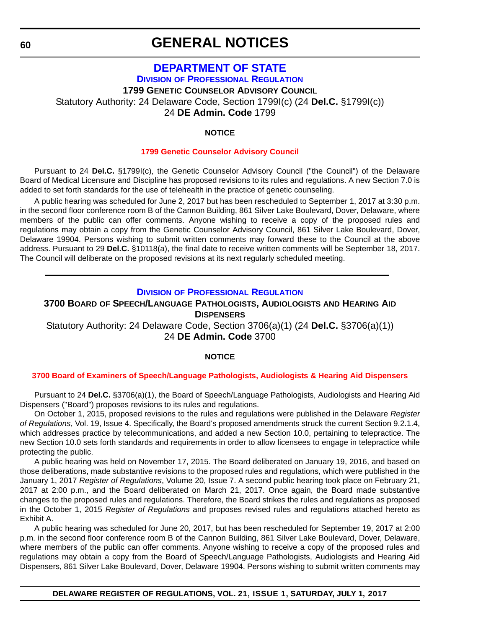### <span id="page-59-0"></span>**[DEPARTMENT OF STATE](http://sos.delaware.gov/) DIVISION [OF PROFESSIONAL REGULATION](http://dpr.delaware.gov/) 1799 GENETIC COUNSELOR ADVISORY COUNCIL** Statutory Authority: 24 Delaware Code, Section 1799I(c) (24 **Del.C.** §1799I(c)) 24 **DE Admin. Code** 1799

#### **NOTICE**

#### **[1799 Genetic Counselor Advisory Council](#page-4-0)**

Pursuant to 24 **Del.C.** §1799I(c), the Genetic Counselor Advisory Council ("the Council") of the Delaware Board of Medical Licensure and Discipline has proposed revisions to its rules and regulations. A new Section 7.0 is added to set forth standards for the use of telehealth in the practice of genetic counseling.

A public hearing was scheduled for June 2, 2017 but has been rescheduled to September 1, 2017 at 3:30 p.m. in the second floor conference room B of the Cannon Building, 861 Silver Lake Boulevard, Dover, Delaware, where members of the public can offer comments. Anyone wishing to receive a copy of the proposed rules and regulations may obtain a copy from the Genetic Counselor Advisory Council, 861 Silver Lake Boulevard, Dover, Delaware 19904. Persons wishing to submit written comments may forward these to the Council at the above address. Pursuant to 29 **Del.C.** §10118(a), the final date to receive written comments will be September 18, 2017. The Council will deliberate on the proposed revisions at its next regularly scheduled meeting.

#### **DIVISION [OF PROFESSIONAL REGULATION](http://dpr.delaware.gov/)**

#### **3700 BOARD OF SPEECH/LANGUAGE PATHOLOGISTS, AUDIOLOGISTS AND HEARING AID DISPENSERS**

Statutory Authority: 24 Delaware Code, Section 3706(a)(1) (24 **Del.C.** §3706(a)(1)) 24 **DE Admin. Code** 3700

#### **NOTICE**

#### **[3700 Board of Examiners of Speech/Language Pathologists, Audiologists & Hearing Aid Dispensers](#page-4-0)**

Pursuant to 24 **Del.C.** §3706(a)(1), the Board of Speech/Language Pathologists, Audiologists and Hearing Aid Dispensers ("Board") proposes revisions to its rules and regulations.

On October 1, 2015, proposed revisions to the rules and regulations were published in the Delaware *Register of Regulations*, Vol. 19, Issue 4. Specifically, the Board's proposed amendments struck the current Section 9.2.1.4, which addresses practice by telecommunications, and added a new Section 10.0, pertaining to telepractice. The new Section 10.0 sets forth standards and requirements in order to allow licensees to engage in telepractice while protecting the public.

A public hearing was held on November 17, 2015. The Board deliberated on January 19, 2016, and based on those deliberations, made substantive revisions to the proposed rules and regulations, which were published in the January 1, 2017 *Register of Regulations*, Volume 20, Issue 7. A second public hearing took place on February 21, 2017 at 2:00 p.m., and the Board deliberated on March 21, 2017. Once again, the Board made substantive changes to the proposed rules and regulations. Therefore, the Board strikes the rules and regulations as proposed in the October 1, 2015 *Register of Regulations* and proposes revised rules and regulations attached hereto as Exhibit A.

A public hearing was scheduled for June 20, 2017, but has been rescheduled for September 19, 2017 at 2:00 p.m. in the second floor conference room B of the Cannon Building, 861 Silver Lake Boulevard, Dover, Delaware, where members of the public can offer comments. Anyone wishing to receive a copy of the proposed rules and regulations may obtain a copy from the Board of Speech/Language Pathologists, Audiologists and Hearing Aid Dispensers, 861 Silver Lake Boulevard, Dover, Delaware 19904. Persons wishing to submit written comments may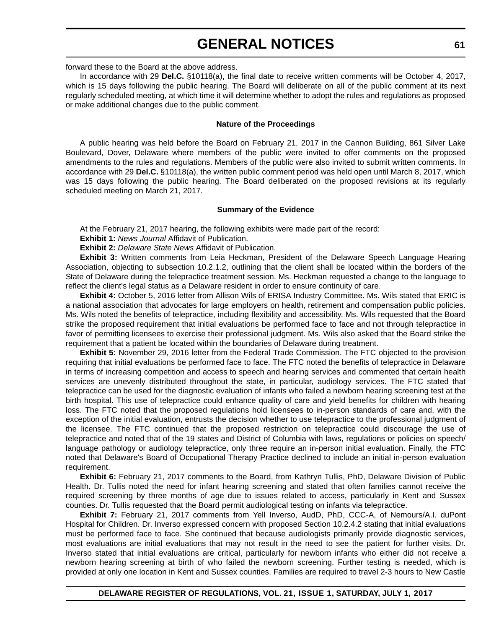forward these to the Board at the above address.

In accordance with 29 **Del.C.** §10118(a), the final date to receive written comments will be October 4, 2017, which is 15 days following the public hearing. The Board will deliberate on all of the public comment at its next regularly scheduled meeting, at which time it will determine whether to adopt the rules and regulations as proposed or make additional changes due to the public comment.

#### **Nature of the Proceedings**

A public hearing was held before the Board on February 21, 2017 in the Cannon Building, 861 Silver Lake Boulevard, Dover, Delaware where members of the public were invited to offer comments on the proposed amendments to the rules and regulations. Members of the public were also invited to submit written comments. In accordance with 29 **Del.C.** §10118(a), the written public comment period was held open until March 8, 2017, which was 15 days following the public hearing. The Board deliberated on the proposed revisions at its regularly scheduled meeting on March 21, 2017.

#### **Summary of the Evidence**

At the February 21, 2017 hearing, the following exhibits were made part of the record:

**Exhibit 1:** *News Journal* Affidavit of Publication.

**Exhibit 2:** *Delaware State News* Affidavit of Publication.

**Exhibit 3:** Written comments from Leia Heckman, President of the Delaware Speech Language Hearing Association, objecting to subsection 10.2.1.2, outlining that the client shall be located within the borders of the State of Delaware during the telepractice treatment session. Ms. Heckman requested a change to the language to reflect the client's legal status as a Delaware resident in order to ensure continuity of care.

**Exhibit 4:** October 5, 2016 letter from Allison Wils of ERISA Industry Committee. Ms. Wils stated that ERIC is a national association that advocates for large employers on health, retirement and compensation public policies. Ms. Wils noted the benefits of telepractice, including flexibility and accessibility. Ms. Wils requested that the Board strike the proposed requirement that initial evaluations be performed face to face and not through telepractice in favor of permitting licensees to exercise their professional judgment. Ms. Wils also asked that the Board strike the requirement that a patient be located within the boundaries of Delaware during treatment.

**Exhibit 5:** November 29, 2016 letter from the Federal Trade Commission. The FTC objected to the provision requiring that initial evaluations be performed face to face. The FTC noted the benefits of telepractice in Delaware in terms of increasing competition and access to speech and hearing services and commented that certain health services are unevenly distributed throughout the state, in particular, audiology services. The FTC stated that telepractice can be used for the diagnostic evaluation of infants who failed a newborn hearing screening test at the birth hospital. This use of telepractice could enhance quality of care and yield benefits for children with hearing loss. The FTC noted that the proposed regulations hold licensees to in-person standards of care and, with the exception of the initial evaluation, entrusts the decision whether to use telepractice to the professional judgment of the licensee. The FTC continued that the proposed restriction on telepractice could discourage the use of telepractice and noted that of the 19 states and District of Columbia with laws, regulations or policies on speech/ language pathology or audiology telepractice, only three require an in-person initial evaluation. Finally, the FTC noted that Delaware's Board of Occupational Therapy Practice declined to include an initial in-person evaluation requirement.

**Exhibit 6:** February 21, 2017 comments to the Board, from Kathryn Tullis, PhD, Delaware Division of Public Health. Dr. Tullis noted the need for infant hearing screening and stated that often families cannot receive the required screening by three months of age due to issues related to access, particularly in Kent and Sussex counties. Dr. Tullis requested that the Board permit audiological testing on infants via telepractice.

**Exhibit 7:** February 21, 2017 comments from Yell Inverso, AudD, PhD, CCC-A, of Nemours/A.I. duPont Hospital for Children. Dr. Inverso expressed concern with proposed Section 10.2.4.2 stating that initial evaluations must be performed face to face. She continued that because audiologists primarily provide diagnostic services, most evaluations are initial evaluations that may not result in the need to see the patient for further visits. Dr. Inverso stated that initial evaluations are critical, particularly for newborn infants who either did not receive a newborn hearing screening at birth of who failed the newborn screening. Further testing is needed, which is provided at only one location in Kent and Sussex counties. Families are required to travel 2-3 hours to New Castle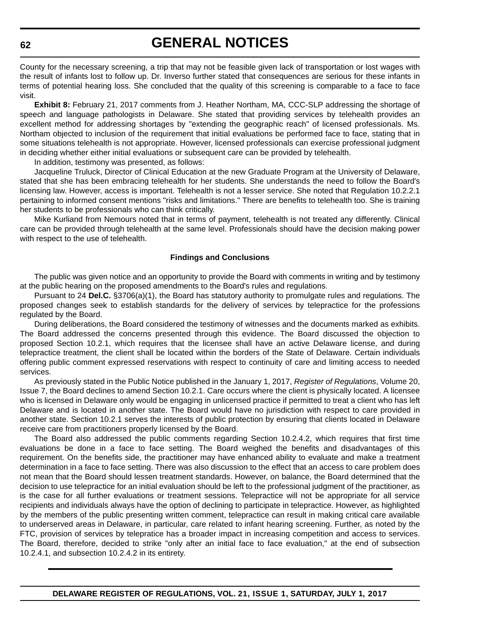County for the necessary screening, a trip that may not be feasible given lack of transportation or lost wages with the result of infants lost to follow up. Dr. Inverso further stated that consequences are serious for these infants in terms of potential hearing loss. She concluded that the quality of this screening is comparable to a face to face visit.

**Exhibit 8:** February 21, 2017 comments from J. Heather Northam, MA, CCC-SLP addressing the shortage of speech and language pathologists in Delaware. She stated that providing services by telehealth provides an excellent method for addressing shortages by "extending the geographic reach" of licensed professionals. Ms. Northam objected to inclusion of the requirement that initial evaluations be performed face to face, stating that in some situations telehealth is not appropriate. However, licensed professionals can exercise professional judgment in deciding whether either initial evaluations or subsequent care can be provided by telehealth.

In addition, testimony was presented, as follows:

Jacqueline Truluck, Director of Clinical Education at the new Graduate Program at the University of Delaware, stated that she has been embracing telehealth for her students. She understands the need to follow the Board's licensing law. However, access is important. Telehealth is not a lesser service. She noted that Regulation 10.2.2.1 pertaining to informed consent mentions "risks and limitations." There are benefits to telehealth too. She is training her students to be professionals who can think critically.

Mike Kurliand from Nemours noted that in terms of payment, telehealth is not treated any differently. Clinical care can be provided through telehealth at the same level. Professionals should have the decision making power with respect to the use of telehealth.

#### **Findings and Conclusions**

The public was given notice and an opportunity to provide the Board with comments in writing and by testimony at the public hearing on the proposed amendments to the Board's rules and regulations.

Pursuant to 24 **Del.C.** §3706(a)(1), the Board has statutory authority to promulgate rules and regulations. The proposed changes seek to establish standards for the delivery of services by telepractice for the professions regulated by the Board.

During deliberations, the Board considered the testimony of witnesses and the documents marked as exhibits. The Board addressed the concerns presented through this evidence. The Board discussed the objection to proposed Section 10.2.1, which requires that the licensee shall have an active Delaware license, and during telepractice treatment, the client shall be located within the borders of the State of Delaware. Certain individuals offering public comment expressed reservations with respect to continuity of care and limiting access to needed services.

As previously stated in the Public Notice published in the January 1, 2017, *Register of Regulations*, Volume 20, Issue 7, the Board declines to amend Section 10.2.1. Care occurs where the client is physically located. A licensee who is licensed in Delaware only would be engaging in unlicensed practice if permitted to treat a client who has left Delaware and is located in another state. The Board would have no jurisdiction with respect to care provided in another state. Section 10.2.1 serves the interests of public protection by ensuring that clients located in Delaware receive care from practitioners properly licensed by the Board.

The Board also addressed the public comments regarding Section 10.2.4.2, which requires that first time evaluations be done in a face to face setting. The Board weighed the benefits and disadvantages of this requirement. On the benefits side, the practitioner may have enhanced ability to evaluate and make a treatment determination in a face to face setting. There was also discussion to the effect that an access to care problem does not mean that the Board should lessen treatment standards. However, on balance, the Board determined that the decision to use telepractice for an initial evaluation should be left to the professional judgment of the practitioner, as is the case for all further evaluations or treatment sessions. Telepractice will not be appropriate for all service recipients and individuals always have the option of declining to participate in telepractice. However, as highlighted by the members of the public presenting written comment, telepractice can result in making critical care available to underserved areas in Delaware, in particular, care related to infant hearing screening. Further, as noted by the FTC, provision of services by telepratice has a broader impact in increasing competition and access to services. The Board, therefore, decided to strike "only after an initial face to face evaluation," at the end of subsection 10.2.4.1, and subsection 10.2.4.2 in its entirety.

**DELAWARE REGISTER OF REGULATIONS, VOL. 21, ISSUE 1, SATURDAY, JULY 1, 2017**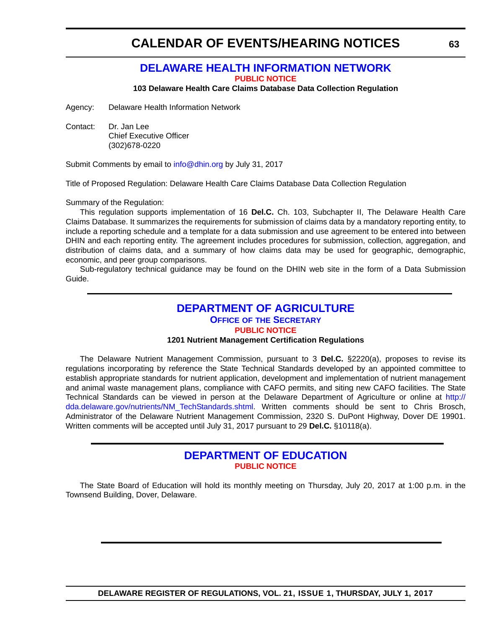### **[DELAWARE HEALTH INFORMATION NETWORK](https://dhin.org/)**

**[PUBLIC NOTICE](#page-4-0)**

**103 Delaware Health Care Claims Database Data Collection Regulation**

<span id="page-62-0"></span>Agency: Delaware Health Information Network

Contact: Dr. Jan Lee Chief Executive Officer (302)678-0220

Submit Comments by email to [info@dhin.org](mailto:info@dhin.org) by July 31, 2017

Title of Proposed Regulation: Delaware Health Care Claims Database Data Collection Regulation

Summary of the Regulation:

This regulation supports implementation of 16 **Del.C.** Ch. 103, Subchapter II, The Delaware Health Care Claims Database. It summarizes the requirements for submission of claims data by a mandatory reporting entity, to include a reporting schedule and a template for a data submission and use agreement to be entered into between DHIN and each reporting entity. The agreement includes procedures for submission, collection, aggregation, and distribution of claims data, and a summary of how claims data may be used for geographic, demographic, economic, and peer group comparisons.

Sub-regulatory technical guidance may be found on the DHIN web site in the form of a Data Submission Guide.

#### **[DEPARTMENT OF AGRICULTURE](http://dda.delaware.gov/) OFFICE OF [THE SECRETARY](http://dda.delaware.gov/nutrients/index.shtml)**

**[PUBLIC NOTICE](#page-4-0)**

#### **1201 Nutrient Management Certification Regulations**

The Delaware Nutrient Management Commission, pursuant to 3 **Del.C.** §2220(a), proposes to revise its regulations incorporating by reference the State Technical Standards developed by an appointed committee to establish appropriate standards for nutrient application, development and implementation of nutrient management and animal waste management plans, compliance with CAFO permits, and siting new CAFO facilities. The State Technical Standards can be viewed in person at the Delaware Department of Agriculture or online at [http://](http://dda.delaware.gov/nutrients/NM_TechStandards.shtml) [dda.delaware.gov/nutrients/NM\\_TechStandards.shtml.](http://dda.delaware.gov/nutrients/NM_TechStandards.shtml) Written comments should be sent to Chris Brosch, Administrator of the Delaware Nutrient Management Commission, 2320 S. DuPont Highway, Dover DE 19901. Written comments will be accepted until July 31, 2017 pursuant to 29 **Del.C.** §10118(a).

### **[DEPARTMENT OF EDUCATION](https://www.doe.k12.de.us/) [PUBLIC NOTICE](#page-4-0)**

The State Board of Education will hold its monthly meeting on Thursday, July 20, 2017 at 1:00 p.m. in the Townsend Building, Dover, Delaware.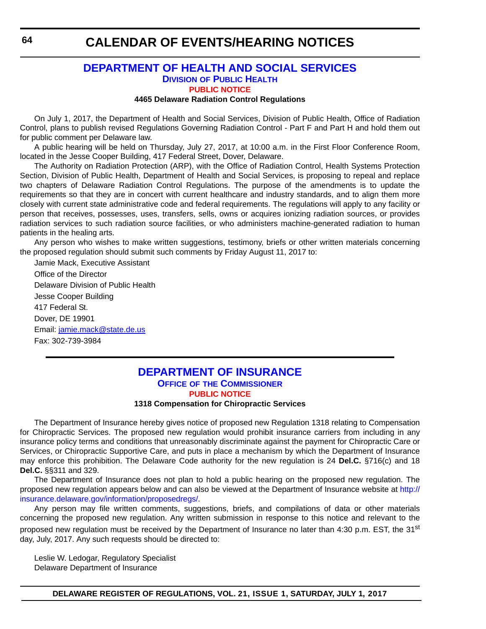#### **[DEPARTMENT OF HEALTH AND SOCIAL SERVICES](http://www.dhss.delaware.gov/dhss/index.html) DIVISION [OF PUBLIC HEALTH](http://www.dhss.delaware.gov/dhss/dph/index.html) [PUBLIC NOTICE](#page-4-0)**

#### **4465 Delaware Radiation Control Regulations**

On July 1, 2017, the Department of Health and Social Services, Division of Public Health, Office of Radiation Control, plans to publish revised Regulations Governing Radiation Control - Part F and Part H and hold them out for public comment per Delaware law.

A public hearing will be held on Thursday, July 27, 2017, at 10:00 a.m. in the First Floor Conference Room, located in the Jesse Cooper Building, 417 Federal Street, Dover, Delaware.

The Authority on Radiation Protection (ARP), with the Office of Radiation Control, Health Systems Protection Section, Division of Public Health, Department of Health and Social Services, is proposing to repeal and replace two chapters of Delaware Radiation Control Regulations. The purpose of the amendments is to update the requirements so that they are in concert with current healthcare and industry standards, and to align them more closely with current state administrative code and federal requirements. The regulations will apply to any facility or person that receives, possesses, uses, transfers, sells, owns or acquires ionizing radiation sources, or provides radiation services to such radiation source facilities, or who administers machine-generated radiation to human patients in the healing arts.

Any person who wishes to make written suggestions, testimony, briefs or other written materials concerning the proposed regulation should submit such comments by Friday August 11, 2017 to:

Jamie Mack, Executive Assistant Office of the Director Delaware Division of Public Health Jesse Cooper Building 417 Federal St. Dover, DE 19901 Email: [jamie.mack@state.de.us](mailto:jamie.mack@state.de.us) Fax: 302-739-3984

#### **[DEPARTMENT OF INSURANCE](http://insurance.delaware.gov/) OFFICE OF [THE COMMISSIONER](http://insurance.delaware.gov/divisions/) [PUBLIC NOTICE](#page-4-0)**

#### **1318 Compensation for Chiropractic Services**

The Department of Insurance hereby gives notice of proposed new Regulation 1318 relating to Compensation for Chiropractic Services. The proposed new regulation would prohibit insurance carriers from including in any insurance policy terms and conditions that unreasonably discriminate against the payment for Chiropractic Care or Services, or Chiropractic Supportive Care, and puts in place a mechanism by which the Department of Insurance may enforce this prohibition. The Delaware Code authority for the new regulation is 24 **Del.C.** §716(c) and 18 **Del.C.** §§311 and 329.

The Department of Insurance does not plan to hold a public hearing on the proposed new regulation. The proposed new regulation appears below and can also be viewed at the Department of Insurance website at [http://](http://insurance.delaware.gov/information/proposedregs/) [insurance.delaware.gov/information/proposedregs/.](http://insurance.delaware.gov/information/proposedregs/)

Any person may file written comments, suggestions, briefs, and compilations of data or other materials concerning the proposed new regulation. Any written submission in response to this notice and relevant to the proposed new regulation must be received by the Department of Insurance no later than 4:30 p.m. EST, the 31<sup>st</sup> day, July, 2017. Any such requests should be directed to:

Leslie W. Ledogar, Regulatory Specialist Delaware Department of Insurance

<span id="page-63-0"></span>**64**

**DELAWARE REGISTER OF REGULATIONS, VOL. 21, ISSUE 1, SATURDAY, JULY 1, 2017**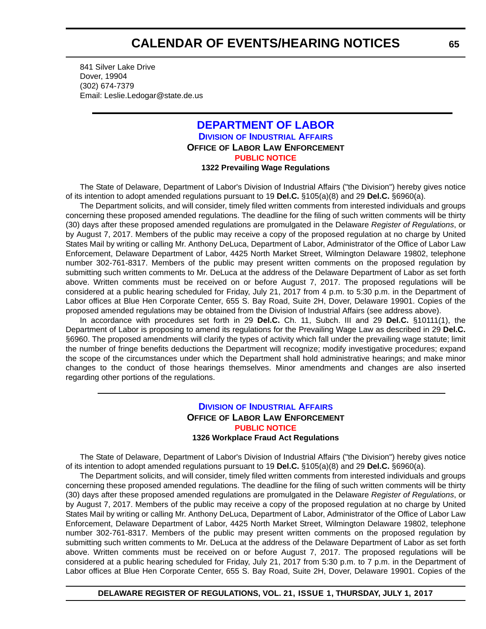<span id="page-64-0"></span>841 Silver Lake Drive Dover, 19904 (302) 674-7379 Email: Leslie.Ledogar@state.de.us

#### **[DEPARTMENT OF LABOR](http://dol.delaware.gov/) DIVISION [OF INDUSTRIAL AFFAIRS](https://dia.delawareworks.com/) OFFICE OF LABOR LAW ENFORCEMENT [PUBLIC NOTICE](#page-4-0) 1322 Prevailing Wage Regulations**

The State of Delaware, Department of Labor's Division of Industrial Affairs ("the Division") hereby gives notice of its intention to adopt amended regulations pursuant to 19 **Del.C.** §105(a)(8) and 29 **Del.C.** §6960(a).

The Department solicits, and will consider, timely filed written comments from interested individuals and groups concerning these proposed amended regulations. The deadline for the filing of such written comments will be thirty (30) days after these proposed amended regulations are promulgated in the Delaware *Register of Regulations*, or by August 7, 2017. Members of the public may receive a copy of the proposed regulation at no charge by United States Mail by writing or calling Mr. Anthony DeLuca, Department of Labor, Administrator of the Office of Labor Law Enforcement, Delaware Department of Labor, 4425 North Market Street, Wilmington Delaware 19802, telephone number 302-761-8317. Members of the public may present written comments on the proposed regulation by submitting such written comments to Mr. DeLuca at the address of the Delaware Department of Labor as set forth above. Written comments must be received on or before August 7, 2017. The proposed regulations will be considered at a public hearing scheduled for Friday, July 21, 2017 from 4 p.m. to 5:30 p.m. in the Department of Labor offices at Blue Hen Corporate Center, 655 S. Bay Road, Suite 2H, Dover, Delaware 19901. Copies of the proposed amended regulations may be obtained from the Division of Industrial Affairs (see address above).

In accordance with procedures set forth in 29 **Del.C.** Ch. 11, Subch. III and 29 **Del.C.** §10111(1), the Department of Labor is proposing to amend its regulations for the Prevailing Wage Law as described in 29 **Del.C.** §6960. The proposed amendments will clarify the types of activity which fall under the prevailing wage statute; limit the number of fringe benefits deductions the Department will recognize; modify investigative procedures; expand the scope of the circumstances under which the Department shall hold administrative hearings; and make minor changes to the conduct of those hearings themselves. Minor amendments and changes are also inserted regarding other portions of the regulations.

#### **DIVISION [OF INDUSTRIAL AFFAIRS](https://dia.delawareworks.com/) OFFICE OF LABOR LAW ENFORCEMENT [PUBLIC NOTICE](#page-4-0) 1326 Workplace Fraud Act Regulations**

The State of Delaware, Department of Labor's Division of Industrial Affairs ("the Division") hereby gives notice of its intention to adopt amended regulations pursuant to 19 **Del.C.** §105(a)(8) and 29 **Del.C.** §6960(a).

The Department solicits, and will consider, timely filed written comments from interested individuals and groups concerning these proposed amended regulations. The deadline for the filing of such written comments will be thirty (30) days after these proposed amended regulations are promulgated in the Delaware *Register of Regulations*, or by August 7, 2017. Members of the public may receive a copy of the proposed regulation at no charge by United States Mail by writing or calling Mr. Anthony DeLuca, Department of Labor, Administrator of the Office of Labor Law Enforcement, Delaware Department of Labor, 4425 North Market Street, Wilmington Delaware 19802, telephone number 302-761-8317. Members of the public may present written comments on the proposed regulation by submitting such written comments to Mr. DeLuca at the address of the Delaware Department of Labor as set forth above. Written comments must be received on or before August 7, 2017. The proposed regulations will be considered at a public hearing scheduled for Friday, July 21, 2017 from 5:30 p.m. to 7 p.m. in the Department of Labor offices at Blue Hen Corporate Center, 655 S. Bay Road, Suite 2H, Dover, Delaware 19901. Copies of the

**DELAWARE REGISTER OF REGULATIONS, VOL. 21, ISSUE 1, THURSDAY, JULY 1, 2017**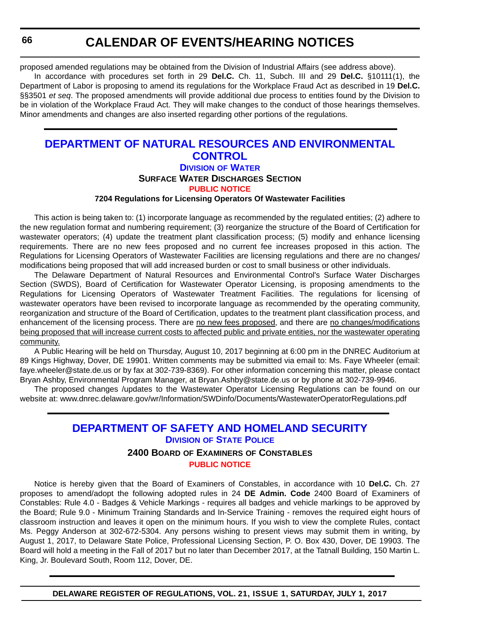proposed amended regulations may be obtained from the Division of Industrial Affairs (see address above).

In accordance with procedures set forth in 29 **Del.C.** Ch. 11, Subch. III and 29 **Del.C.** §10111(1), the Department of Labor is proposing to amend its regulations for the Workplace Fraud Act as described in 19 **Del.C.** §§3501 *et seq*. The proposed amendments will provide additional due process to entities found by the Division to be in violation of the Workplace Fraud Act. They will make changes to the conduct of those hearings themselves. Minor amendments and changes are also inserted regarding other portions of the regulations.

### **[DEPARTMENT OF NATURAL RESOURCES AND ENVIRONMENTAL](http://www.dnrec.delaware.gov/Pages/Portal.aspx)  CONTROL DIVISION [OF WATER](http://www.dnrec.delaware.gov/wr/Pages/Default.aspx) SURFACE WATER DISCHARGES SECTION [PUBLIC NOTICE](#page-4-0)**

#### **7204 Regulations for Licensing Operators Of Wastewater Facilities**

This action is being taken to: (1) incorporate language as recommended by the regulated entities; (2) adhere to the new regulation format and numbering requirement; (3) reorganize the structure of the Board of Certification for wastewater operators; (4) update the treatment plant classification process; (5) modify and enhance licensing requirements. There are no new fees proposed and no current fee increases proposed in this action. The Regulations for Licensing Operators of Wastewater Facilities are licensing regulations and there are no changes/ modifications being proposed that will add increased burden or cost to small business or other individuals.

The Delaware Department of Natural Resources and Environmental Control's Surface Water Discharges Section (SWDS), Board of Certification for Wastewater Operator Licensing, is proposing amendments to the Regulations for Licensing Operators of Wastewater Treatment Facilities. The regulations for licensing of wastewater operators have been revised to incorporate language as recommended by the operating community, reorganization and structure of the Board of Certification, updates to the treatment plant classification process, and enhancement of the licensing process. There are no new fees proposed, and there are no changes/modifications being proposed that will increase current costs to affected public and private entities, nor the wastewater operating community.

A Public Hearing will be held on Thursday, August 10, 2017 beginning at 6:00 pm in the DNREC Auditorium at 89 Kings Highway, Dover, DE 19901. Written comments may be submitted via email to: Ms. Faye Wheeler (email: [faye.wheeler@state.de.us](mailto:fayewheler@state.de.us) or by fax at 302-739-8369). For other information concerning this matter, please contact Bryan Ashby, Environmental Program Manager, at [Bryan.Ashby@state.de.us](mailto:bryan.ashby@state.de.us) or by phone at 302-739-9946.

The proposed changes /updates to the Wastewater Operator Licensing Regulations can be found on our website at: [www.dnrec.delaware.gov/wr/Information/SWDinfo/Documents/WastewaterOperatorRegulations.pdf](http://www.dnrec.delaware.gov/wr/Information/SWDinfo/Documents/WastewaterOperatorRegulations.pdf)

### **[DEPARTMENT OF SAFETY AND HOMELAND SECURITY](http://dshs.delaware.gov/) DIVISION [OF STATE POLICE](http://dsp.delaware.gov/)**

#### **2400 BOARD OF EXAMINERS OF CONSTABLES**

#### **[PUBLIC NOTICE](#page-4-0)**

Notice is hereby given that the Board of Examiners of Constables, in accordance with 10 **Del.C.** Ch. 27 proposes to amend/adopt the following adopted rules in 24 **DE Admin. Code** 2400 Board of Examiners of Constables: Rule 4.0 - Badges & Vehicle Markings - requires all badges and vehicle markings to be approved by the Board; Rule 9.0 - Minimum Training Standards and In-Service Training - removes the required eight hours of classroom instruction and leaves it open on the minimum hours. If you wish to view the complete Rules, contact Ms. Peggy Anderson at 302-672-5304. Any persons wishing to present views may submit them in writing, by August 1, 2017, to Delaware State Police, Professional Licensing Section, P. O. Box 430, Dover, DE 19903. The Board will hold a meeting in the Fall of 2017 but no later than December 2017, at the Tatnall Building, 150 Martin L. King, Jr. Boulevard South, Room 112, Dover, DE.

<span id="page-65-0"></span>**66**

**DELAWARE REGISTER OF REGULATIONS, VOL. 21, ISSUE 1, SATURDAY, JULY 1, 2017**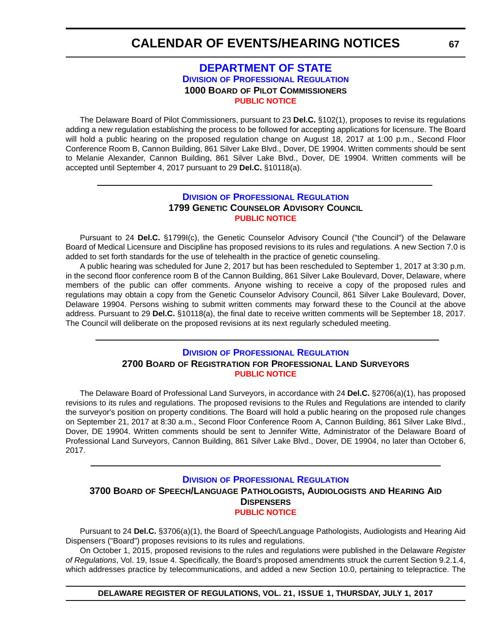#### **[DEPARTMENT OF STATE](http://sos.delaware.gov/) DIVISION [OF PROFESSIONAL REGULATION](http://dpr.delaware.gov/) 1000 BOARD OF PILOT COMMISSIONERS [PUBLIC NOTICE](#page-4-0)**

<span id="page-66-0"></span>The Delaware Board of Pilot Commissioners, pursuant to 23 **Del.C.** §102(1), proposes to revise its regulations adding a new regulation establishing the process to be followed for accepting applications for licensure. The Board will hold a public hearing on the proposed regulation change on August 18, 2017 at 1:00 p.m., Second Floor Conference Room B, Cannon Building, 861 Silver Lake Blvd., Dover, DE 19904. Written comments should be sent to Melanie Alexander, Cannon Building, 861 Silver Lake Blvd., Dover, DE 19904. Written comments will be accepted until September 4, 2017 pursuant to 29 **Del.C.** §10118(a).

#### **DIVISION [OF PROFESSIONAL REGULATION](http://dpr.delaware.gov/) 1799 GENETIC COUNSELOR ADVISORY COUNCIL [PUBLIC NOTICE](#page-4-0)**

Pursuant to 24 **Del.C.** §1799I(c), the Genetic Counselor Advisory Council ("the Council") of the Delaware Board of Medical Licensure and Discipline has proposed revisions to its rules and regulations. A new Section 7.0 is added to set forth standards for the use of telehealth in the practice of genetic counseling.

A public hearing was scheduled for June 2, 2017 but has been rescheduled to September 1, 2017 at 3:30 p.m. in the second floor conference room B of the Cannon Building, 861 Silver Lake Boulevard, Dover, Delaware, where members of the public can offer comments. Anyone wishing to receive a copy of the proposed rules and regulations may obtain a copy from the Genetic Counselor Advisory Council, 861 Silver Lake Boulevard, Dover, Delaware 19904. Persons wishing to submit written comments may forward these to the Council at the above address. Pursuant to 29 **Del.C.** §10118(a), the final date to receive written comments will be September 18, 2017. The Council will deliberate on the proposed revisions at its next regularly scheduled meeting.

#### **DIVISION [OF PROFESSIONAL REGULATION](http://dpr.delaware.gov/) 2700 BOARD OF REGISTRATION FOR PROFESSIONAL LAND SURVEYORS [PUBLIC NOTICE](#page-4-0)**

The Delaware Board of Professional Land Surveyors, in accordance with 24 **Del.C.** §2706(a)(1), has proposed revisions to its rules and regulations. The proposed revisions to the Rules and Regulations are intended to clarify the surveyor's position on property conditions. The Board will hold a public hearing on the proposed rule changes on September 21, 2017 at 8:30 a.m., Second Floor Conference Room A, Cannon Building, 861 Silver Lake Blvd., Dover, DE 19904. Written comments should be sent to Jennifer Witte, Administrator of the Delaware Board of Professional Land Surveyors, Cannon Building, 861 Silver Lake Blvd., Dover, DE 19904, no later than October 6, 2017.

#### **DIVISION [OF PROFESSIONAL REGULATION](http://dpr.delaware.gov/) 3700 BOARD OF SPEECH/LANGUAGE PATHOLOGISTS, AUDIOLOGISTS AND HEARING AID DISPENSERS [PUBLIC NOTICE](#page-4-0)**

Pursuant to 24 **Del.C.** §3706(a)(1), the Board of Speech/Language Pathologists, Audiologists and Hearing Aid Dispensers ("Board") proposes revisions to its rules and regulations.

On October 1, 2015, proposed revisions to the rules and regulations were published in the Delaware *Register of Regulations*, Vol. 19, Issue 4. Specifically, the Board's proposed amendments struck the current Section 9.2.1.4, which addresses practice by telecommunications, and added a new Section 10.0, pertaining to telepractice. The

**DELAWARE REGISTER OF REGULATIONS, VOL. 21, ISSUE 1, THURSDAY, JULY 1, 2017**